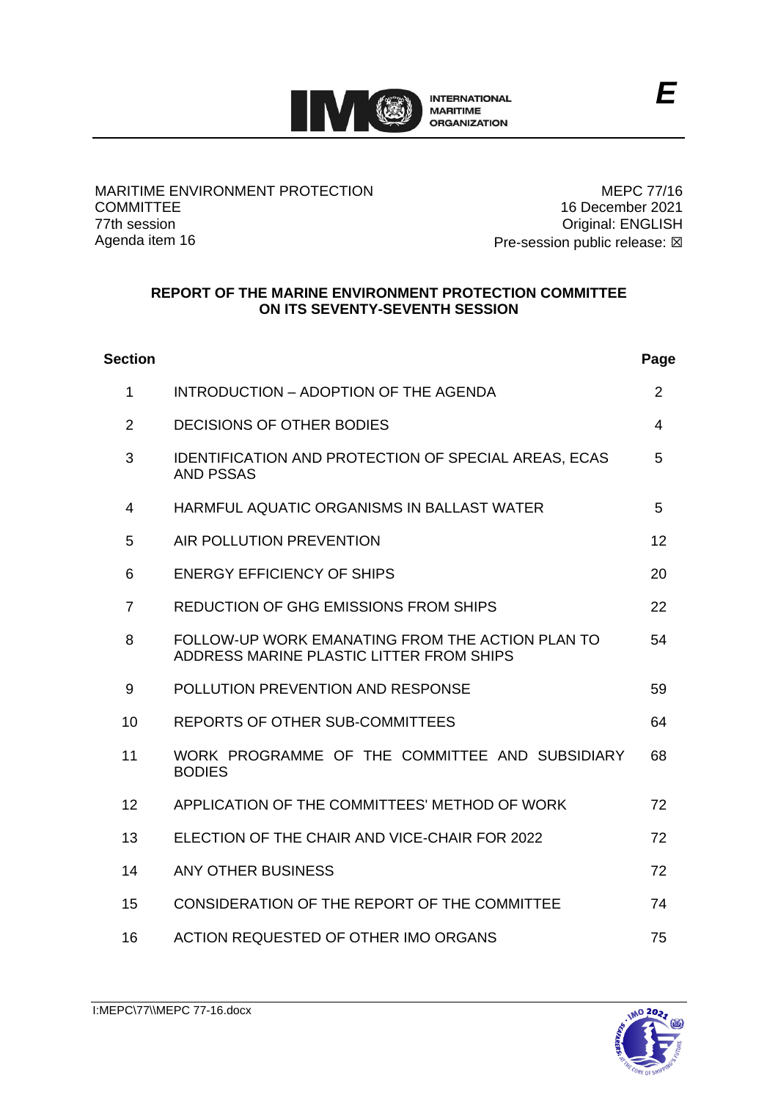

### MARITIME ENVIRONMENT PROTECTION **COMMITTEE** 77th session Agenda item 16

MEPC 77/16 16 December 2021 Original: ENGLISH Pre-session public release:  $\boxtimes$ 

# **REPORT OF THE MARINE ENVIRONMENT PROTECTION COMMITTEE ON ITS SEVENTY-SEVENTH SESSION**

| <b>Section</b> |                                                                                              | Page           |
|----------------|----------------------------------------------------------------------------------------------|----------------|
| 1              | INTRODUCTION - ADOPTION OF THE AGENDA                                                        | $\overline{2}$ |
| $\overline{2}$ | DECISIONS OF OTHER BODIES                                                                    | 4              |
| 3              | <b>IDENTIFICATION AND PROTECTION OF SPECIAL AREAS, ECAS</b><br><b>AND PSSAS</b>              | 5              |
| 4              | <b>HARMFUL AQUATIC ORGANISMS IN BALLAST WATER</b>                                            | 5              |
| 5              | AIR POLLUTION PREVENTION                                                                     | 12             |
| 6              | <b>ENERGY EFFICIENCY OF SHIPS</b>                                                            | 20             |
| 7              | <b>REDUCTION OF GHG EMISSIONS FROM SHIPS</b>                                                 | 22             |
| 8              | FOLLOW-UP WORK EMANATING FROM THE ACTION PLAN TO<br>ADDRESS MARINE PLASTIC LITTER FROM SHIPS | 54             |
| 9              | POLLUTION PREVENTION AND RESPONSE                                                            | 59             |
| 10             | REPORTS OF OTHER SUB-COMMITTEES                                                              | 64             |
| 11             | WORK PROGRAMME OF THE COMMITTEE AND SUBSIDIARY<br><b>BODIES</b>                              | 68             |
| 12             | APPLICATION OF THE COMMITTEES' METHOD OF WORK                                                | 72             |
| 13             | ELECTION OF THE CHAIR AND VICE-CHAIR FOR 2022                                                | 72             |
| 14             | <b>ANY OTHER BUSINESS</b>                                                                    | 72             |
| 15             | CONSIDERATION OF THE REPORT OF THE COMMITTEE                                                 | 74             |
| 16             | ACTION REQUESTED OF OTHER IMO ORGANS                                                         | 75             |

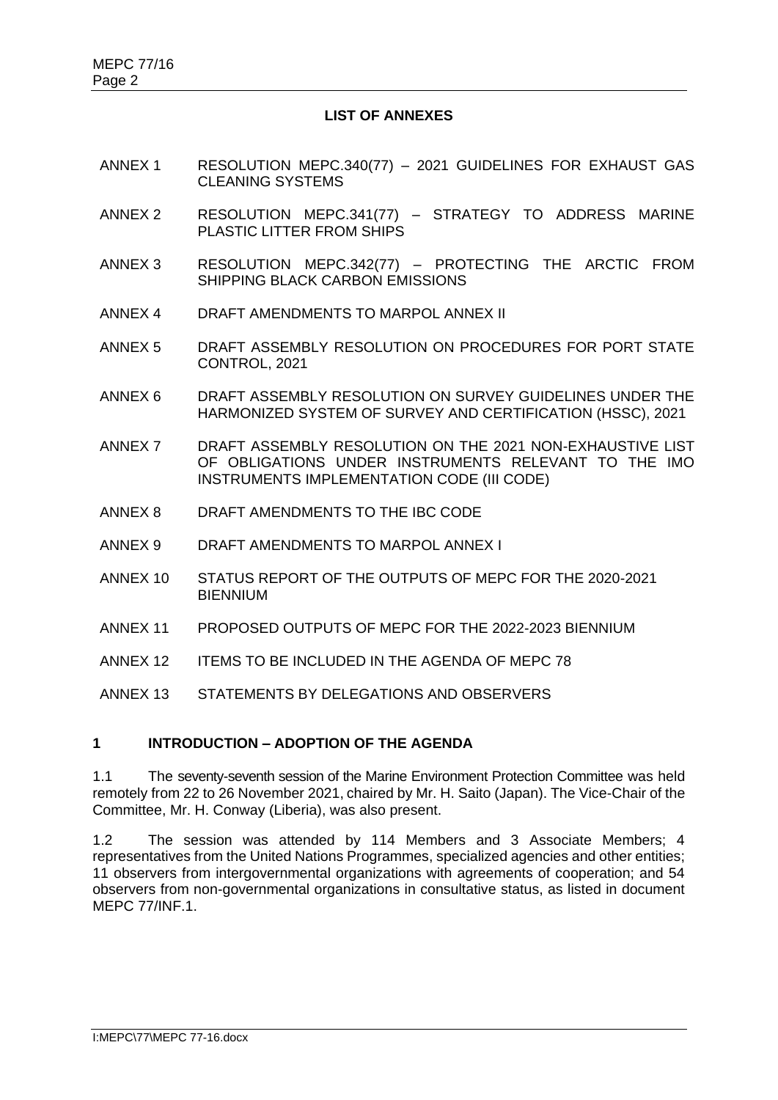# **LIST OF ANNEXES**

- ANNEX 1 RESOLUTION MEPC.340(77) 2021 GUIDELINES FOR EXHAUST GAS CLEANING SYSTEMS
- ANNEX 2 RESOLUTION MEPC.341(77) STRATEGY TO ADDRESS MARINE PLASTIC LITTER FROM SHIPS
- ANNEX 3 RESOLUTION MEPC.342(77) PROTECTING THE ARCTIC FROM SHIPPING BLACK CARBON EMISSIONS
- ANNEX 4 DRAFT AMENDMENTS TO MARPOL ANNEX II
- ANNEX 5 DRAFT ASSEMBLY RESOLUTION ON PROCEDURES FOR PORT STATE CONTROL, 2021
- ANNEX 6 DRAFT ASSEMBLY RESOLUTION ON SURVEY GUIDELINES UNDER THE HARMONIZED SYSTEM OF SURVEY AND CERTIFICATION (HSSC), 2021
- ANNEX 7 DRAFT ASSEMBLY RESOLUTION ON THE 2021 NON-EXHAUSTIVE LIST OF OBLIGATIONS UNDER INSTRUMENTS RELEVANT TO THE IMO INSTRUMENTS IMPLEMENTATION CODE (III CODE)
- ANNEX 8 DRAFT AMENDMENTS TO THE IBC CODE
- ANNEX 9 DRAFT AMENDMENTS TO MARPOL ANNEX I
- ANNEX 10 STATUS REPORT OF THE OUTPUTS OF MEPC FOR THE 2020-2021 **BIENNIUM**
- ANNEX 11 PROPOSED OUTPUTS OF MEPC FOR THE 2022-2023 BIENNIUM
- ANNEX 12 ITEMS TO BE INCLUDED IN THE AGENDA OF MEPC 78
- ANNEX 13 STATEMENTS BY DELEGATIONS AND OBSERVERS

### **1 INTRODUCTION – ADOPTION OF THE AGENDA**

1.1 The seventy-seventh session of the Marine Environment Protection Committee was held remotely from 22 to 26 November 2021, chaired by Mr. H. Saito (Japan). The Vice-Chair of the Committee, Mr. H. Conway (Liberia), was also present.

1.2 The session was attended by 114 Members and 3 Associate Members; 4 representatives from the United Nations Programmes, specialized agencies and other entities; 11 observers from intergovernmental organizations with agreements of cooperation; and 54 observers from non-governmental organizations in consultative status, as listed in document MEPC 77/INF.1.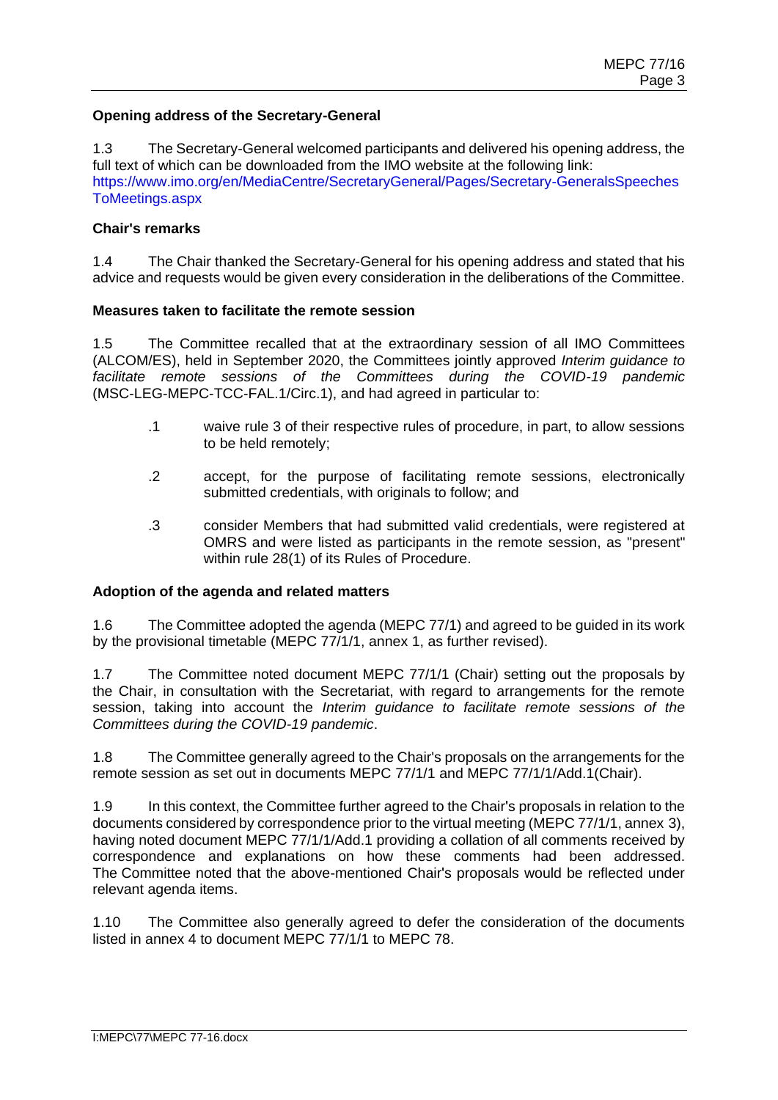# **Opening address of the Secretary-General**

1.3 The Secretary-General welcomed participants and delivered his opening address, the full text of which can be downloaded from the IMO website at the following link: [https://www.imo.org/en/MediaCentre/SecretaryGeneral/Pages/Secretary-GeneralsSpeeches](https://www.imo.org/en/MediaCentre/SecretaryGeneral/Pages/Secretary-GeneralsSpeechesToMeetings.aspx) [ToMeetings.aspx](https://www.imo.org/en/MediaCentre/SecretaryGeneral/Pages/Secretary-GeneralsSpeechesToMeetings.aspx)

### **Chair's remarks**

1.4 The Chair thanked the Secretary-General for his opening address and stated that his advice and requests would be given every consideration in the deliberations of the Committee.

### **Measures taken to facilitate the remote session**

1.5 The Committee recalled that at the extraordinary session of all IMO Committees (ALCOM/ES), held in September 2020, the Committees jointly approved *Interim guidance to facilitate remote sessions of the Committees during the COVID-19 pandemic* (MSC-LEG-MEPC-TCC-FAL.1/Circ.1), and had agreed in particular to:

- .1 waive rule 3 of their respective rules of procedure, in part, to allow sessions to be held remotely;
- .2 accept, for the purpose of facilitating remote sessions, electronically submitted credentials, with originals to follow; and
- .3 consider Members that had submitted valid credentials, were registered at OMRS and were listed as participants in the remote session, as "present" within rule 28(1) of its Rules of Procedure.

### **Adoption of the agenda and related matters**

1.6 The Committee adopted the agenda (MEPC 77/1) and agreed to be guided in its work by the provisional timetable (MEPC 77/1/1, annex 1, as further revised).

1.7 The Committee noted document MEPC 77/1/1 (Chair) setting out the proposals by the Chair, in consultation with the Secretariat, with regard to arrangements for the remote session, taking into account the *Interim guidance to facilitate remote sessions of the Committees during the COVID-19 pandemic*.

1.8 The Committee generally agreed to the Chair's proposals on the arrangements for the remote session as set out in documents MEPC 77/1/1 and MEPC 77/1/1/Add.1(Chair).

1.9 In this context, the Committee further agreed to the Chair's proposals in relation to the documents considered by correspondence prior to the virtual meeting (MEPC 77/1/1, annex 3), having noted document MEPC 77/1/1/Add.1 providing a collation of all comments received by correspondence and explanations on how these comments had been addressed. The Committee noted that the above-mentioned Chair's proposals would be reflected under relevant agenda items.

1.10 The Committee also generally agreed to defer the consideration of the documents listed in annex 4 to document MEPC 77/1/1 to MEPC 78.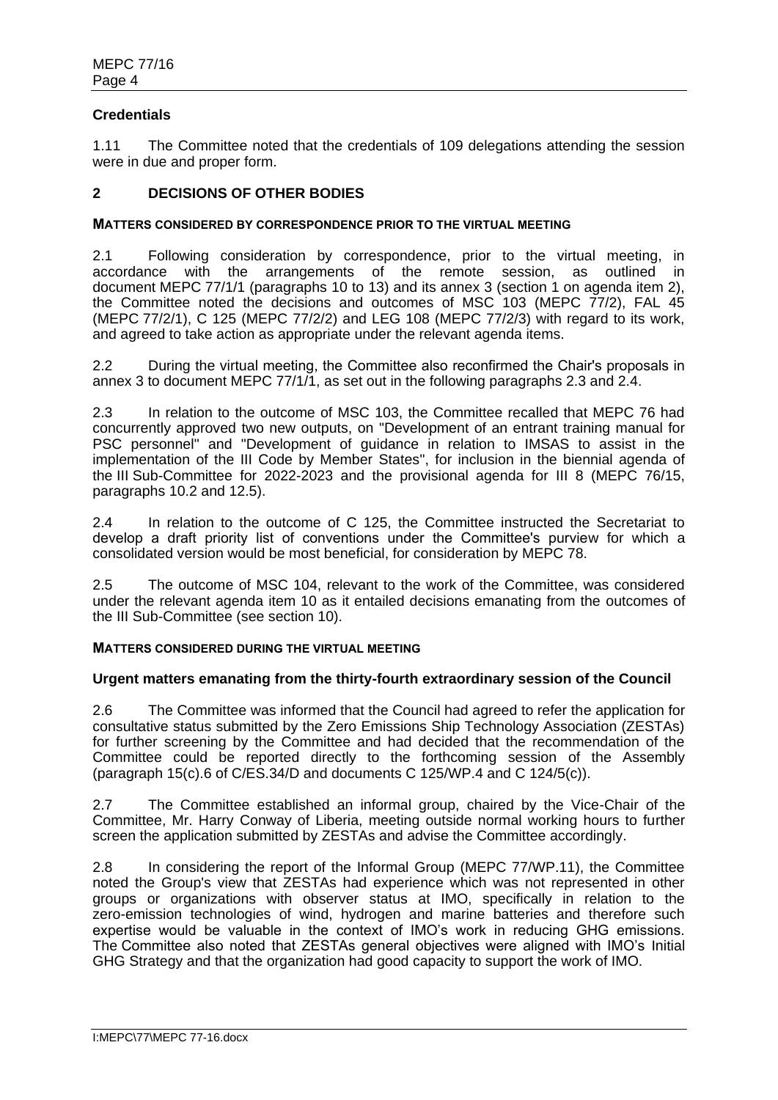# **Credentials**

1.11 The Committee noted that the credentials of 109 delegations attending the session were in due and proper form.

### **2 DECISIONS OF OTHER BODIES**

#### **MATTERS CONSIDERED BY CORRESPONDENCE PRIOR TO THE VIRTUAL MEETING**

2.1 Following consideration by correspondence, prior to the virtual meeting, in accordance with the arrangements of the remote session, as outlined in document MEPC 77/1/1 (paragraphs 10 to 13) and its annex 3 (section 1 on agenda item 2), the Committee noted the decisions and outcomes of MSC 103 (MEPC 77/2), FAL 45 (MEPC 77/2/1), C 125 (MEPC 77/2/2) and LEG 108 (MEPC 77/2/3) with regard to its work, and agreed to take action as appropriate under the relevant agenda items.

2.2 During the virtual meeting, the Committee also reconfirmed the Chair's proposals in annex 3 to document MEPC 77/1/1, as set out in the following paragraphs 2.3 and 2.4.

2.3 In relation to the outcome of MSC 103, the Committee recalled that MEPC 76 had concurrently approved two new outputs, on "Development of an entrant training manual for PSC personnel" and "Development of guidance in relation to IMSAS to assist in the implementation of the III Code by Member States", for inclusion in the biennial agenda of the III Sub-Committee for 2022-2023 and the provisional agenda for III 8 (MEPC 76/15, paragraphs 10.2 and 12.5).

2.4 In relation to the outcome of C 125, the Committee instructed the Secretariat to develop a draft priority list of conventions under the Committeeʹs purview for which a consolidated version would be most beneficial, for consideration by MEPC 78.

2.5 The outcome of MSC 104, relevant to the work of the Committee, was considered under the relevant agenda item 10 as it entailed decisions emanating from the outcomes of the III Sub-Committee (see section 10).

### **MATTERS CONSIDERED DURING THE VIRTUAL MEETING**

### **Urgent matters emanating from the thirty-fourth extraordinary session of the Council**

2.6 The Committee was informed that the Council had agreed to refer the application for consultative status submitted by the Zero Emissions Ship Technology Association (ZESTAs) for further screening by the Committee and had decided that the recommendation of the Committee could be reported directly to the forthcoming session of the Assembly (paragraph 15(c).6 of C/ES.34/D and documents C 125/WP.4 and C 124/5(c)).

2.7 The Committee established an informal group, chaired by the Vice-Chair of the Committee, Mr. Harry Conway of Liberia, meeting outside normal working hours to further screen the application submitted by ZESTAs and advise the Committee accordingly.

2.8 In considering the report of the Informal Group (MEPC 77/WP.11), the Committee noted the Group's view that ZESTAs had experience which was not represented in other groups or organizations with observer status at IMO, specifically in relation to the zero-emission technologies of wind, hydrogen and marine batteries and therefore such expertise would be valuable in the context of IMO's work in reducing GHG emissions. The Committee also noted that ZESTAs general objectives were aligned with IMO's Initial GHG Strategy and that the organization had good capacity to support the work of IMO.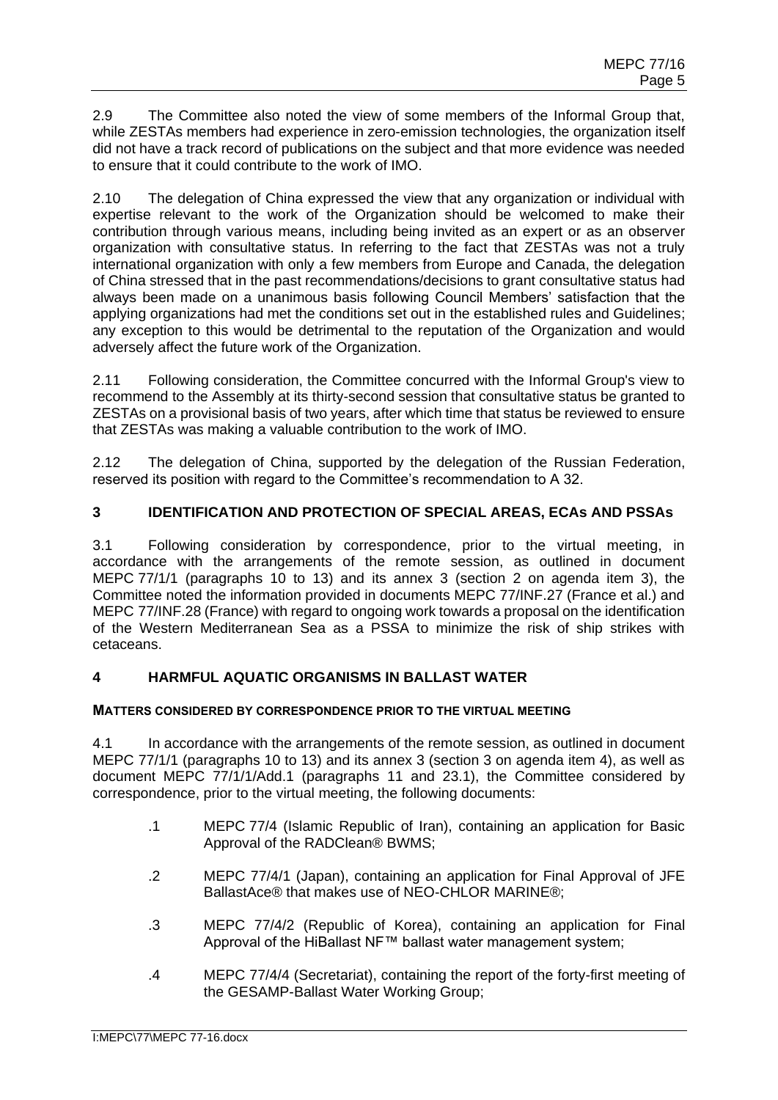2.9 The Committee also noted the view of some members of the Informal Group that, while ZESTAs members had experience in zero-emission technologies, the organization itself did not have a track record of publications on the subject and that more evidence was needed to ensure that it could contribute to the work of IMO.

2.10 The delegation of China expressed the view that any organization or individual with expertise relevant to the work of the Organization should be welcomed to make their contribution through various means, including being invited as an expert or as an observer organization with consultative status. In referring to the fact that ZESTAs was not a truly international organization with only a few members from Europe and Canada, the delegation of China stressed that in the past recommendations/decisions to grant consultative status had always been made on a unanimous basis following Council Members' satisfaction that the applying organizations had met the conditions set out in the established rules and Guidelines; any exception to this would be detrimental to the reputation of the Organization and would adversely affect the future work of the Organization.

2.11 Following consideration, the Committee concurred with the Informal Group's view to recommend to the Assembly at its thirty-second session that consultative status be granted to ZESTAs on a provisional basis of two years, after which time that status be reviewed to ensure that ZESTAs was making a valuable contribution to the work of IMO.

2.12 The delegation of China, supported by the delegation of the Russian Federation, reserved its position with regard to the Committee's recommendation to A 32.

# **3 IDENTIFICATION AND PROTECTION OF SPECIAL AREAS, ECAs AND PSSAs**

3.1 Following consideration by correspondence, prior to the virtual meeting, in accordance with the arrangements of the remote session, as outlined in document MEPC 77/1/1 (paragraphs 10 to 13) and its annex 3 (section 2 on agenda item 3), the Committee noted the information provided in documents MEPC 77/INF.27 (France et al.) and MEPC 77/INF.28 (France) with regard to ongoing work towards a proposal on the identification of the Western Mediterranean Sea as a PSSA to minimize the risk of ship strikes with cetaceans.

# **4 HARMFUL AQUATIC ORGANISMS IN BALLAST WATER**

# **MATTERS CONSIDERED BY CORRESPONDENCE PRIOR TO THE VIRTUAL MEETING**

4.1 In accordance with the arrangements of the remote session, as outlined in document MEPC 77/1/1 (paragraphs 10 to 13) and its annex 3 (section 3 on agenda item 4), as well as document MEPC 77/1/1/Add.1 (paragraphs 11 and 23.1), the Committee considered by correspondence, prior to the virtual meeting, the following documents:

- .1 MEPC 77/4 (Islamic Republic of Iran), containing an application for Basic Approval of the RADClean® BWMS;
- .2 MEPC 77/4/1 (Japan), containing an application for Final Approval of JFE BallastAce® that makes use of NEO-CHLOR MARINE®;
- .3 MEPC 77/4/2 (Republic of Korea), containing an application for Final Approval of the HiBallast NF™ ballast water management system;
- .4 MEPC 77/4/4 (Secretariat), containing the report of the forty-first meeting of the GESAMP-Ballast Water Working Group;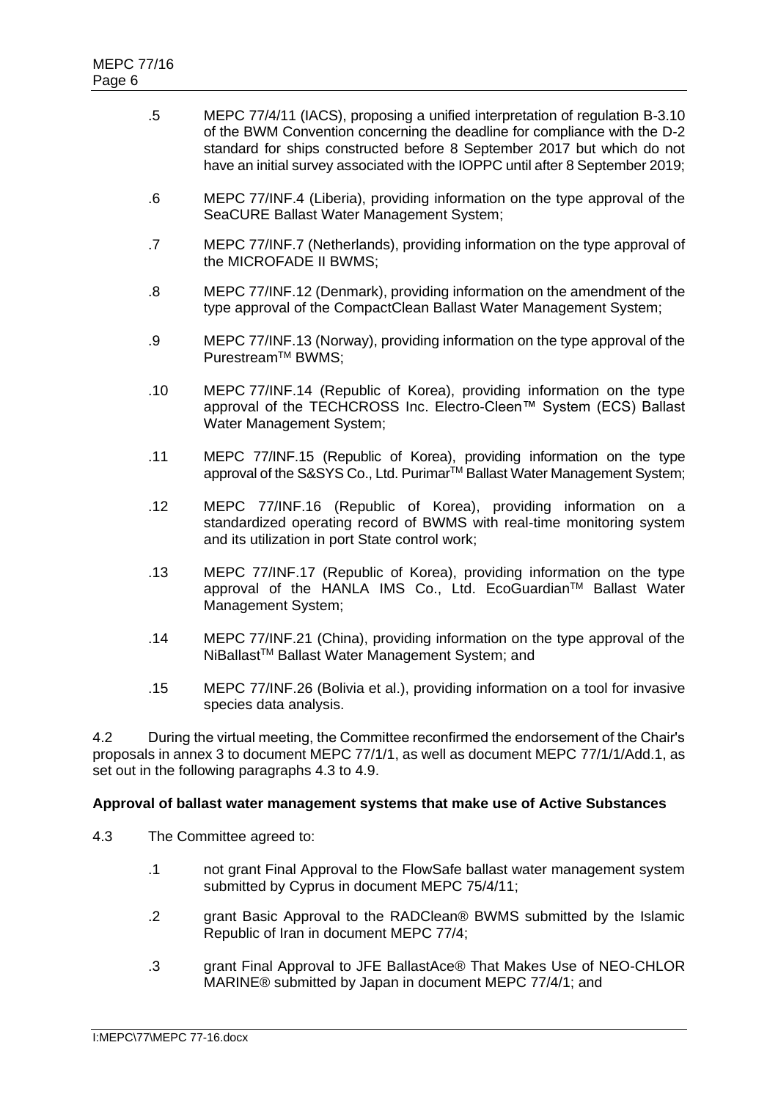- .5 MEPC 77/4/11 (IACS), proposing a unified interpretation of regulation B-3.10 of the BWM Convention concerning the deadline for compliance with the D-2 standard for ships constructed before 8 September 2017 but which do not have an initial survey associated with the IOPPC until after 8 September 2019;
- .6 MEPC 77/INF.4 (Liberia), providing information on the type approval of the SeaCURE Ballast Water Management System;
- .7 MEPC 77/INF.7 (Netherlands), providing information on the type approval of the MICROFADE II BWMS;
- .8 MEPC 77/INF.12 (Denmark), providing information on the amendment of the type approval of the CompactClean Ballast Water Management System;
- .9 MEPC 77/INF.13 (Norway), providing information on the type approval of the Purestream<sup>™</sup> BWMS;
- .10 MEPC 77/INF.14 (Republic of Korea), providing information on the type approval of the TECHCROSS Inc. Electro-Cleen™ System (ECS) Ballast Water Management System;
- .11 MEPC 77/INF.15 (Republic of Korea), providing information on the type approval of the S&SYS Co., Ltd. Purimar<sup>™</sup> Ballast Water Management System;
- .12 MEPC 77/INF.16 (Republic of Korea), providing information on a standardized operating record of BWMS with real-time monitoring system and its utilization in port State control work;
- .13 MEPC 77/INF.17 (Republic of Korea), providing information on the type approval of the HANLA IMS Co., Ltd. EcoGuardian™ Ballast Water Management System;
- .14 MEPC 77/INF.21 (China), providing information on the type approval of the NiBallast<sup>™</sup> Ballast Water Management System; and
- .15 MEPC 77/INF.26 (Bolivia et al.), providing information on a tool for invasive species data analysis.

4.2 During the virtual meeting, the Committee reconfirmed the endorsement of the Chairʹs proposals in annex 3 to document MEPC 77/1/1, as well as document MEPC 77/1/1/Add.1, as set out in the following paragraphs 4.3 to 4.9.

# **Approval of ballast water management systems that make use of Active Substances**

- 4.3 The Committee agreed to:
	- .1 not grant Final Approval to the FlowSafe ballast water management system submitted by Cyprus in document MEPC 75/4/11;
	- .2 grant Basic Approval to the RADClean® BWMS submitted by the Islamic Republic of Iran in document MEPC 77/4;
	- .3 grant Final Approval to JFE BallastAce® That Makes Use of NEO-CHLOR MARINE® submitted by Japan in document MEPC 77/4/1; and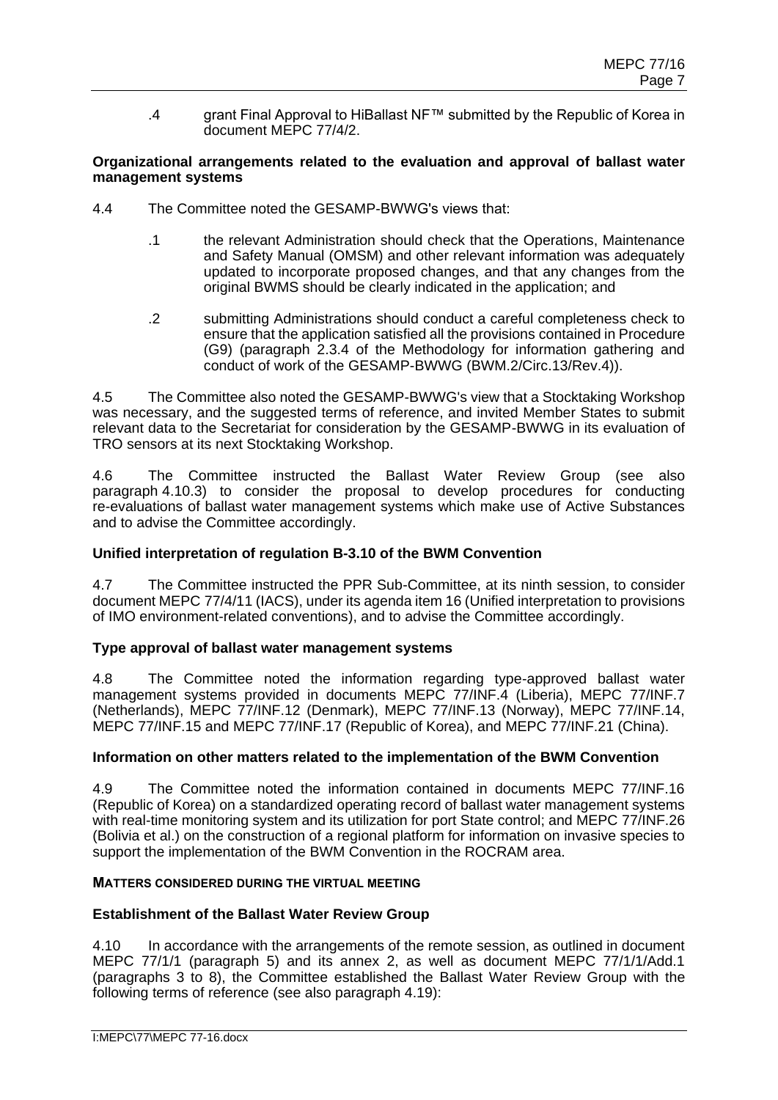.4 grant Final Approval to HiBallast NF™ submitted by the Republic of Korea in document MEPC 77/4/2.

### **Organizational arrangements related to the evaluation and approval of ballast water management systems**

- 4.4 The Committee noted the GESAMP-BWWGʹs views that:
	- .1 the relevant Administration should check that the Operations, Maintenance and Safety Manual (OMSM) and other relevant information was adequately updated to incorporate proposed changes, and that any changes from the original BWMS should be clearly indicated in the application; and
	- .2 submitting Administrations should conduct a careful completeness check to ensure that the application satisfied all the provisions contained in Procedure (G9) (paragraph 2.3.4 of the Methodology for information gathering and conduct of work of the GESAMP-BWWG (BWM.2/Circ.13/Rev.4)).

4.5 The Committee also noted the GESAMP-BWWG's view that a Stocktaking Workshop was necessary, and the suggested terms of reference, and invited Member States to submit relevant data to the Secretariat for consideration by the GESAMP-BWWG in its evaluation of TRO sensors at its next Stocktaking Workshop.

4.6 The Committee instructed the Ballast Water Review Group (see also paragraph 4.10.3) to consider the proposal to develop procedures for conducting re-evaluations of ballast water management systems which make use of Active Substances and to advise the Committee accordingly.

# **Unified interpretation of regulation B-3.10 of the BWM Convention**

4.7 The Committee instructed the PPR Sub-Committee, at its ninth session, to consider document MEPC 77/4/11 (IACS), under its agenda item 16 (Unified interpretation to provisions of IMO environment-related conventions), and to advise the Committee accordingly.

### **Type approval of ballast water management systems**

4.8 The Committee noted the information regarding type-approved ballast water management systems provided in documents MEPC 77/INF.4 (Liberia), MEPC 77/INF.7 (Netherlands), MEPC 77/INF.12 (Denmark), MEPC 77/INF.13 (Norway), MEPC 77/INF.14, MEPC 77/INF.15 and MEPC 77/INF.17 (Republic of Korea), and MEPC 77/INF.21 (China).

### **Information on other matters related to the implementation of the BWM Convention**

4.9 The Committee noted the information contained in documents MEPC 77/INF.16 (Republic of Korea) on a standardized operating record of ballast water management systems with real-time monitoring system and its utilization for port State control; and MEPC 77/INF.26 (Bolivia et al.) on the construction of a regional platform for information on invasive species to support the implementation of the BWM Convention in the ROCRAM area.

### **MATTERS CONSIDERED DURING THE VIRTUAL MEETING**

# **Establishment of the Ballast Water Review Group**

4.10 In accordance with the arrangements of the remote session, as outlined in document MEPC 77/1/1 (paragraph 5) and its annex 2, as well as document MEPC 77/1/1/Add.1 (paragraphs 3 to 8), the Committee established the Ballast Water Review Group with the following terms of reference (see also paragraph 4.19):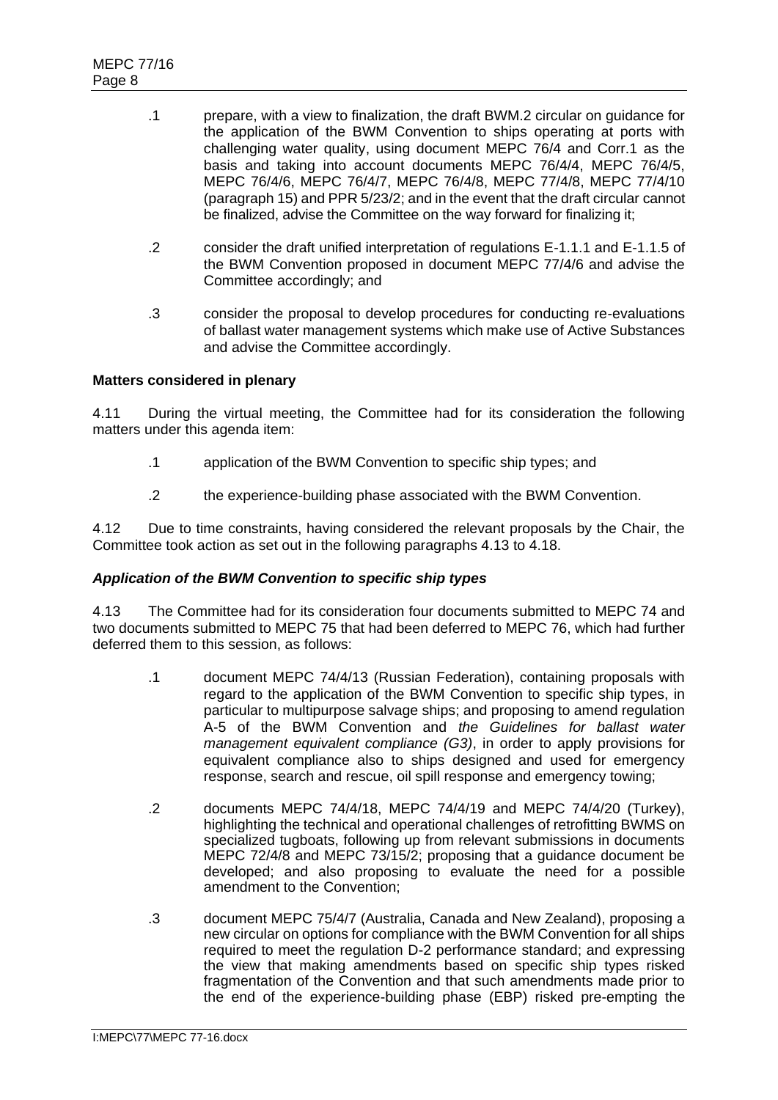- .1 prepare, with a view to finalization, the draft BWM.2 circular on guidance for the application of the BWM Convention to ships operating at ports with challenging water quality, using document MEPC 76/4 and Corr.1 as the basis and taking into account documents MEPC 76/4/4, MEPC 76/4/5, MEPC 76/4/6, MEPC 76/4/7, MEPC 76/4/8, MEPC 77/4/8, MEPC 77/4/10 (paragraph 15) and PPR 5/23/2; and in the event that the draft circular cannot be finalized, advise the Committee on the way forward for finalizing it;
- .2 consider the draft unified interpretation of regulations E-1.1.1 and E-1.1.5 of the BWM Convention proposed in document MEPC 77/4/6 and advise the Committee accordingly; and
- .3 consider the proposal to develop procedures for conducting re-evaluations of ballast water management systems which make use of Active Substances and advise the Committee accordingly.

# **Matters considered in plenary**

4.11 During the virtual meeting, the Committee had for its consideration the following matters under this agenda item:

- .1 application of the BWM Convention to specific ship types; and
- .2 the experience-building phase associated with the BWM Convention.

4.12 Due to time constraints, having considered the relevant proposals by the Chair, the Committee took action as set out in the following paragraphs 4.13 to 4.18.

# *Application of the BWM Convention to specific ship types*

4.13 The Committee had for its consideration four documents submitted to MEPC 74 and two documents submitted to MEPC 75 that had been deferred to MEPC 76, which had further deferred them to this session, as follows:

- .1 document MEPC 74/4/13 (Russian Federation), containing proposals with regard to the application of the BWM Convention to specific ship types, in particular to multipurpose salvage ships; and proposing to amend regulation A-5 of the BWM Convention and *the Guidelines for ballast water management equivalent compliance (G3)*, in order to apply provisions for equivalent compliance also to ships designed and used for emergency response, search and rescue, oil spill response and emergency towing;
- .2 documents MEPC 74/4/18, MEPC 74/4/19 and MEPC 74/4/20 (Turkey), highlighting the technical and operational challenges of retrofitting BWMS on specialized tugboats, following up from relevant submissions in documents MEPC 72/4/8 and MEPC 73/15/2; proposing that a guidance document be developed; and also proposing to evaluate the need for a possible amendment to the Convention;
- .3 document MEPC 75/4/7 (Australia, Canada and New Zealand), proposing a new circular on options for compliance with the BWM Convention for all ships required to meet the regulation D-2 performance standard; and expressing the view that making amendments based on specific ship types risked fragmentation of the Convention and that such amendments made prior to the end of the experience-building phase (EBP) risked pre-empting the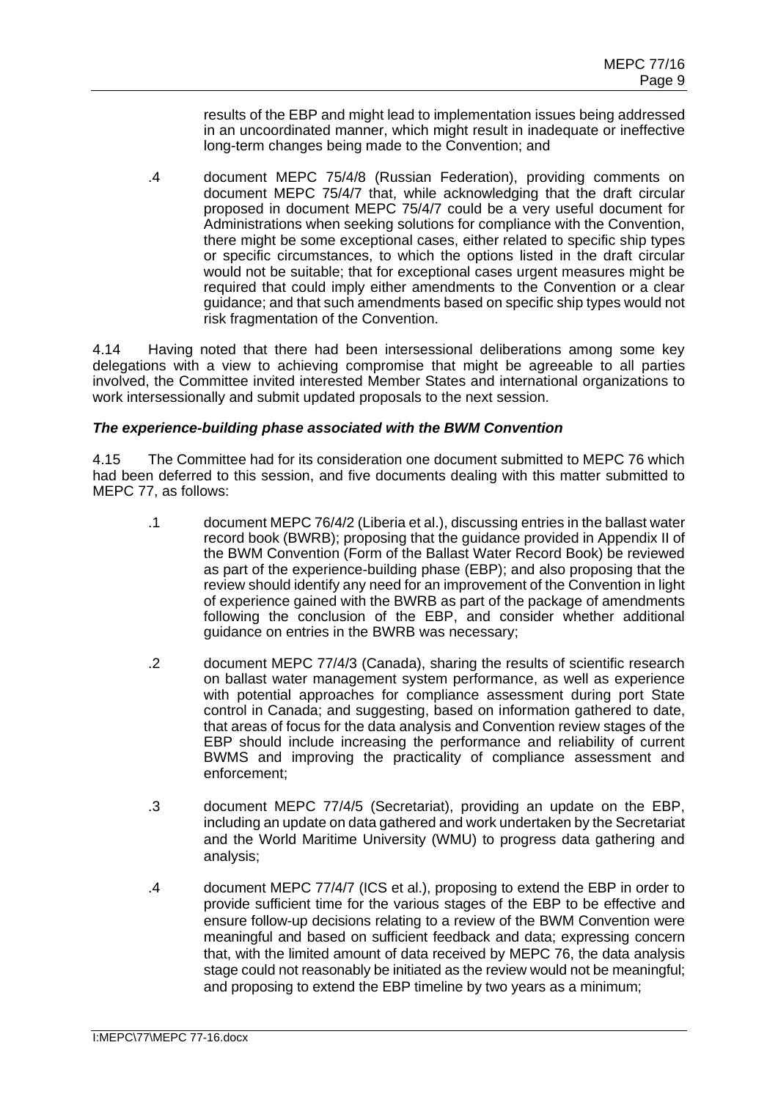results of the EBP and might lead to implementation issues being addressed in an uncoordinated manner, which might result in inadequate or ineffective long-term changes being made to the Convention; and

.4 document MEPC 75/4/8 (Russian Federation), providing comments on document MEPC 75/4/7 that, while acknowledging that the draft circular proposed in document MEPC 75/4/7 could be a very useful document for Administrations when seeking solutions for compliance with the Convention, there might be some exceptional cases, either related to specific ship types or specific circumstances, to which the options listed in the draft circular would not be suitable; that for exceptional cases urgent measures might be required that could imply either amendments to the Convention or a clear guidance; and that such amendments based on specific ship types would not risk fragmentation of the Convention.

4.14 Having noted that there had been intersessional deliberations among some key delegations with a view to achieving compromise that might be agreeable to all parties involved, the Committee invited interested Member States and international organizations to work intersessionally and submit updated proposals to the next session.

# *The experience-building phase associated with the BWM Convention*

4.15 The Committee had for its consideration one document submitted to MEPC 76 which had been deferred to this session, and five documents dealing with this matter submitted to MEPC 77, as follows:

- .1 document MEPC 76/4/2 (Liberia et al.), discussing entries in the ballast water record book (BWRB); proposing that the guidance provided in Appendix II of the BWM Convention (Form of the Ballast Water Record Book) be reviewed as part of the experience-building phase (EBP); and also proposing that the review should identify any need for an improvement of the Convention in light of experience gained with the BWRB as part of the package of amendments following the conclusion of the EBP, and consider whether additional guidance on entries in the BWRB was necessary;
- .2 document MEPC 77/4/3 (Canada), sharing the results of scientific research on ballast water management system performance, as well as experience with potential approaches for compliance assessment during port State control in Canada; and suggesting, based on information gathered to date, that areas of focus for the data analysis and Convention review stages of the EBP should include increasing the performance and reliability of current BWMS and improving the practicality of compliance assessment and enforcement;
- .3 document MEPC 77/4/5 (Secretariat), providing an update on the EBP, including an update on data gathered and work undertaken by the Secretariat and the World Maritime University (WMU) to progress data gathering and analysis;
- .4 document MEPC 77/4/7 (ICS et al.), proposing to extend the EBP in order to provide sufficient time for the various stages of the EBP to be effective and ensure follow-up decisions relating to a review of the BWM Convention were meaningful and based on sufficient feedback and data; expressing concern that, with the limited amount of data received by MEPC 76, the data analysis stage could not reasonably be initiated as the review would not be meaningful; and proposing to extend the EBP timeline by two years as a minimum;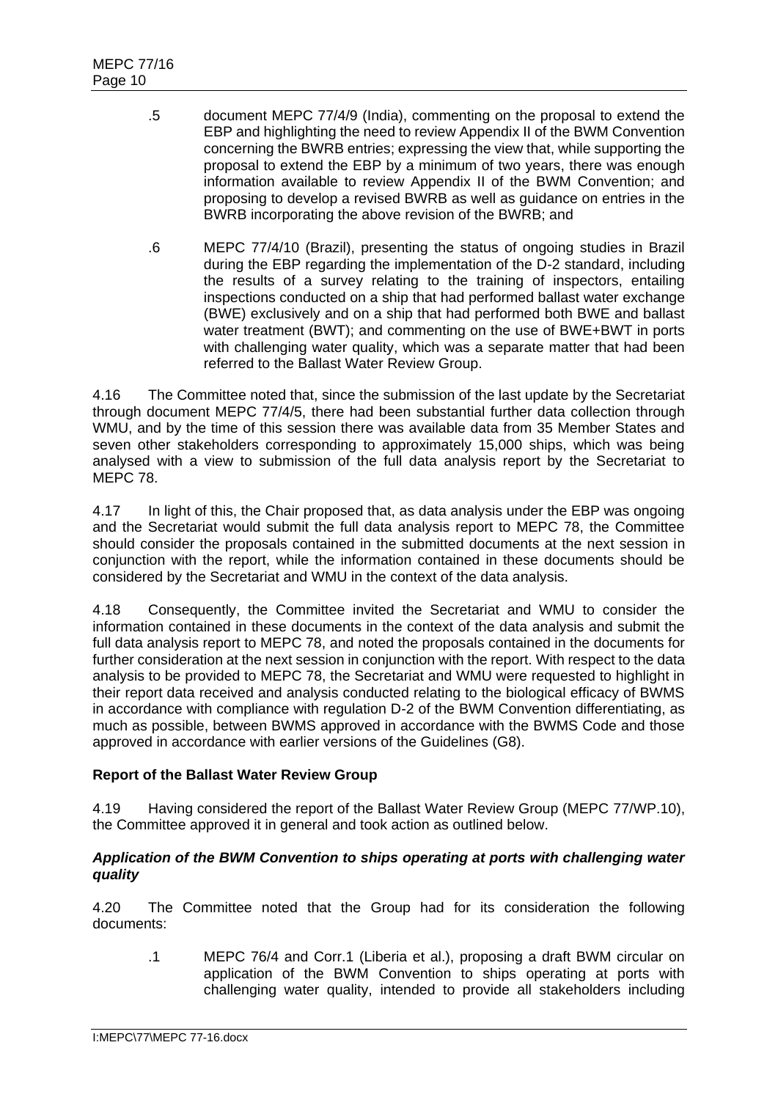- .5 document MEPC 77/4/9 (India), commenting on the proposal to extend the EBP and highlighting the need to review Appendix II of the BWM Convention concerning the BWRB entries; expressing the view that, while supporting the proposal to extend the EBP by a minimum of two years, there was enough information available to review Appendix II of the BWM Convention; and proposing to develop a revised BWRB as well as guidance on entries in the BWRB incorporating the above revision of the BWRB; and
- .6 MEPC 77/4/10 (Brazil), presenting the status of ongoing studies in Brazil during the EBP regarding the implementation of the D-2 standard, including the results of a survey relating to the training of inspectors, entailing inspections conducted on a ship that had performed ballast water exchange (BWE) exclusively and on a ship that had performed both BWE and ballast water treatment (BWT); and commenting on the use of BWE+BWT in ports with challenging water quality, which was a separate matter that had been referred to the Ballast Water Review Group.

4.16 The Committee noted that, since the submission of the last update by the Secretariat through document MEPC 77/4/5, there had been substantial further data collection through WMU, and by the time of this session there was available data from 35 Member States and seven other stakeholders corresponding to approximately 15,000 ships, which was being analysed with a view to submission of the full data analysis report by the Secretariat to MEPC 78.

4.17 In light of this, the Chair proposed that, as data analysis under the EBP was ongoing and the Secretariat would submit the full data analysis report to MEPC 78, the Committee should consider the proposals contained in the submitted documents at the next session in conjunction with the report, while the information contained in these documents should be considered by the Secretariat and WMU in the context of the data analysis.

4.18 Consequently, the Committee invited the Secretariat and WMU to consider the information contained in these documents in the context of the data analysis and submit the full data analysis report to MEPC 78, and noted the proposals contained in the documents for further consideration at the next session in conjunction with the report. With respect to the data analysis to be provided to MEPC 78, the Secretariat and WMU were requested to highlight in their report data received and analysis conducted relating to the biological efficacy of BWMS in accordance with compliance with regulation D-2 of the BWM Convention differentiating, as much as possible, between BWMS approved in accordance with the BWMS Code and those approved in accordance with earlier versions of the Guidelines (G8).

# **Report of the Ballast Water Review Group**

4.19 Having considered the report of the Ballast Water Review Group (MEPC 77/WP.10), the Committee approved it in general and took action as outlined below.

# *Application of the BWM Convention to ships operating at ports with challenging water quality*

4.20 The Committee noted that the Group had for its consideration the following documents:

.1 MEPC 76/4 and Corr.1 (Liberia et al.), proposing a draft BWM circular on application of the BWM Convention to ships operating at ports with challenging water quality, intended to provide all stakeholders including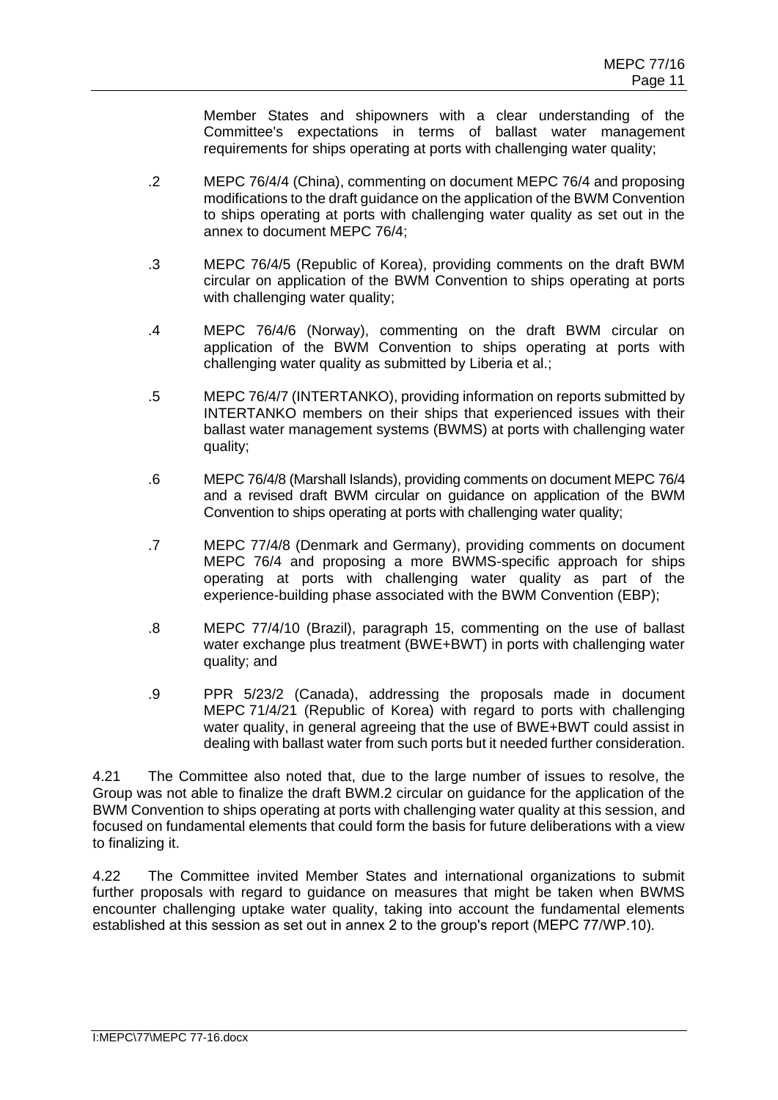Member States and shipowners with a clear understanding of the Committee's expectations in terms of ballast water management requirements for ships operating at ports with challenging water quality;

- .2 MEPC 76/4/4 (China), commenting on document MEPC 76/4 and proposing modifications to the draft guidance on the application of the BWM Convention to ships operating at ports with challenging water quality as set out in the annex to document MEPC 76/4;
- .3 MEPC 76/4/5 (Republic of Korea), providing comments on the draft BWM circular on application of the BWM Convention to ships operating at ports with challenging water quality;
- .4 MEPC 76/4/6 (Norway), commenting on the draft BWM circular on application of the BWM Convention to ships operating at ports with challenging water quality as submitted by Liberia et al.;
- .5 MEPC 76/4/7 (INTERTANKO), providing information on reports submitted by INTERTANKO members on their ships that experienced issues with their ballast water management systems (BWMS) at ports with challenging water quality;
- .6 MEPC 76/4/8 (Marshall Islands), providing comments on document MEPC 76/4 and a revised draft BWM circular on guidance on application of the BWM Convention to ships operating at ports with challenging water quality;
- .7 MEPC 77/4/8 (Denmark and Germany), providing comments on document MEPC 76/4 and proposing a more BWMS-specific approach for ships operating at ports with challenging water quality as part of the experience-building phase associated with the BWM Convention (EBP);
- .8 MEPC 77/4/10 (Brazil), paragraph 15, commenting on the use of ballast water exchange plus treatment (BWE+BWT) in ports with challenging water quality; and
- .9 PPR 5/23/2 (Canada), addressing the proposals made in document MEPC 71/4/21 (Republic of Korea) with regard to ports with challenging water quality, in general agreeing that the use of BWE+BWT could assist in dealing with ballast water from such ports but it needed further consideration.

4.21 The Committee also noted that, due to the large number of issues to resolve, the Group was not able to finalize the draft BWM.2 circular on guidance for the application of the BWM Convention to ships operating at ports with challenging water quality at this session, and focused on fundamental elements that could form the basis for future deliberations with a view to finalizing it.

4.22 The Committee invited Member States and international organizations to submit further proposals with regard to guidance on measures that might be taken when BWMS encounter challenging uptake water quality, taking into account the fundamental elements established at this session as set out in annex 2 to the group's report (MEPC 77/WP.10).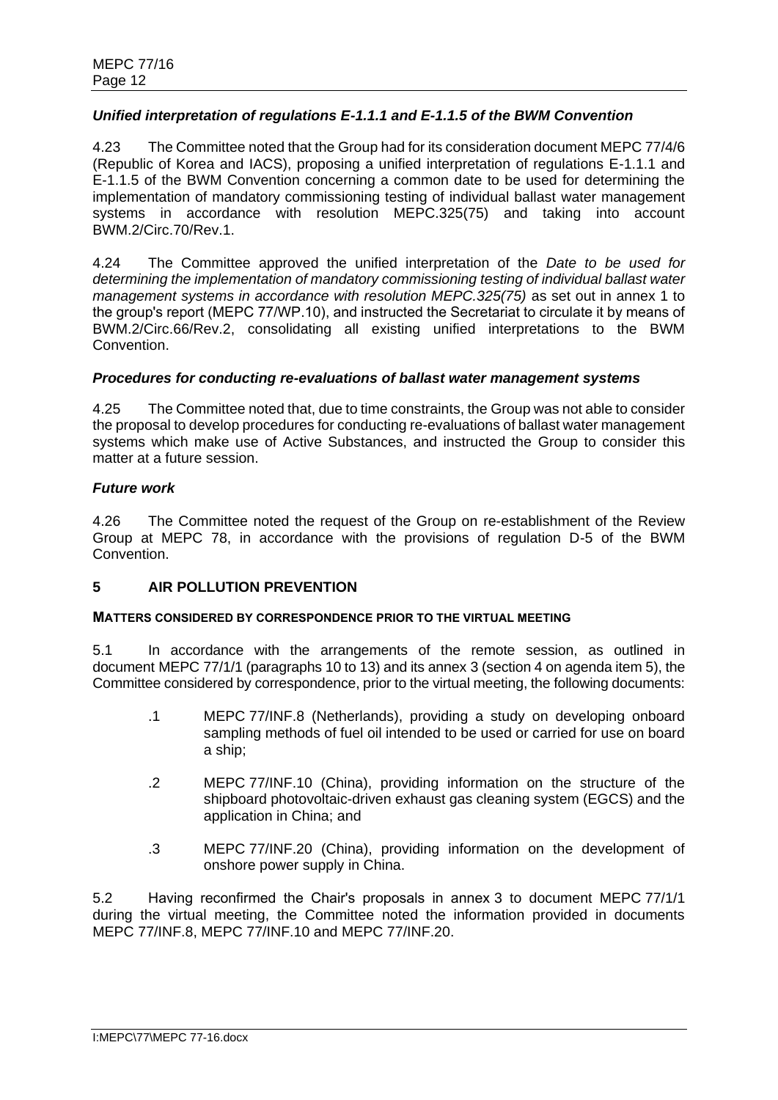# *Unified interpretation of regulations E-1.1.1 and E-1.1.5 of the BWM Convention*

4.23 The Committee noted that the Group had for its consideration document MEPC 77/4/6 (Republic of Korea and IACS), proposing a unified interpretation of regulations E-1.1.1 and E-1.1.5 of the BWM Convention concerning a common date to be used for determining the implementation of mandatory commissioning testing of individual ballast water management systems in accordance with resolution MEPC.325(75) and taking into account BWM.2/Circ.70/Rev.1.

4.24 The Committee approved the unified interpretation of the *Date to be used for determining the implementation of mandatory commissioning testing of individual ballast water management systems in accordance with resolution MEPC.325(75)* as set out in annex 1 to the groupʹs report (MEPC 77/WP.10), and instructed the Secretariat to circulate it by means of BWM.2/Circ.66/Rev.2, consolidating all existing unified interpretations to the BWM Convention.

### *Procedures for conducting re-evaluations of ballast water management systems*

4.25 The Committee noted that, due to time constraints, the Group was not able to consider the proposal to develop procedures for conducting re-evaluations of ballast water management systems which make use of Active Substances, and instructed the Group to consider this matter at a future session.

# *Future work*

4.26 The Committee noted the request of the Group on re-establishment of the Review Group at MEPC 78, in accordance with the provisions of regulation D-5 of the BWM Convention.

# **5 AIR POLLUTION PREVENTION**

# **MATTERS CONSIDERED BY CORRESPONDENCE PRIOR TO THE VIRTUAL MEETING**

5.1 In accordance with the arrangements of the remote session, as outlined in document MEPC 77/1/1 (paragraphs 10 to 13) and its annex 3 (section 4 on agenda item 5), the Committee considered by correspondence, prior to the virtual meeting, the following documents:

- .1 MEPC 77/INF.8 (Netherlands), providing a study on developing onboard sampling methods of fuel oil intended to be used or carried for use on board a ship;
- .2 MEPC 77/INF.10 (China), providing information on the structure of the shipboard photovoltaic-driven exhaust gas cleaning system (EGCS) and the application in China; and
- .3 MEPC 77/INF.20 (China), providing information on the development of onshore power supply in China.

5.2 Having reconfirmed the Chairʹs proposals in annex 3 to document MEPC 77/1/1 during the virtual meeting, the Committee noted the information provided in documents MEPC 77/INF.8, MEPC 77/INF.10 and MEPC 77/INF.20.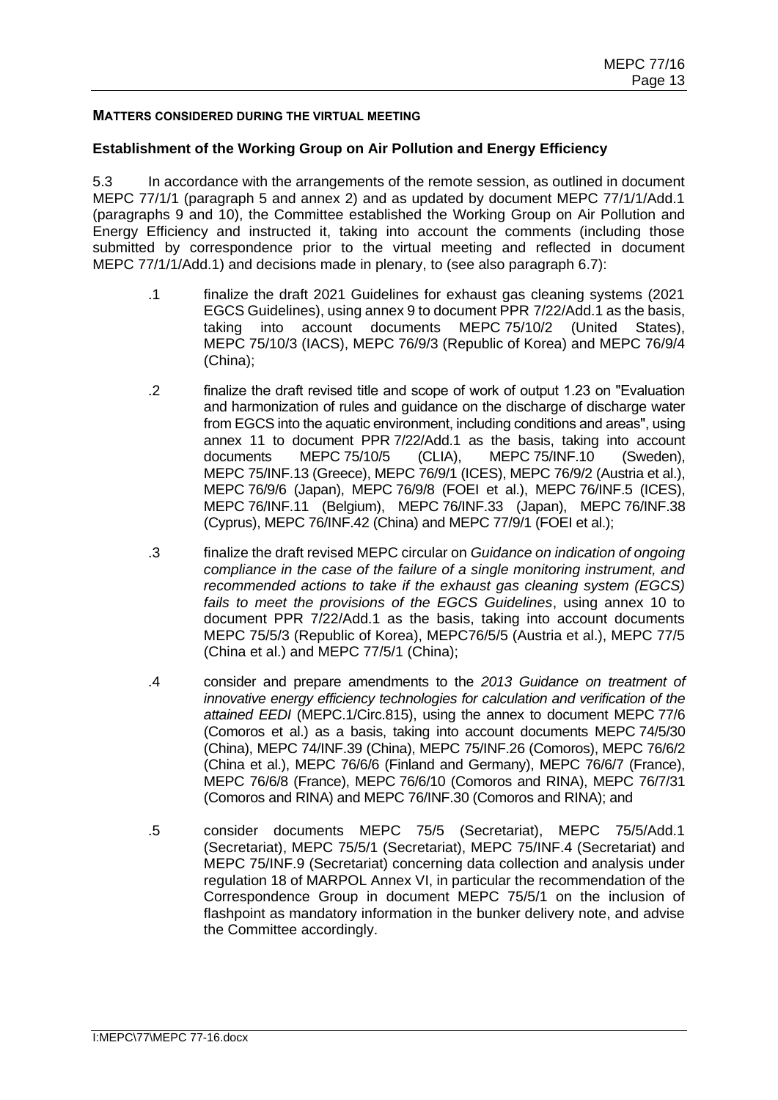### **MATTERS CONSIDERED DURING THE VIRTUAL MEETING**

### **Establishment of the Working Group on Air Pollution and Energy Efficiency**

5.3 In accordance with the arrangements of the remote session, as outlined in document MEPC 77/1/1 (paragraph 5 and annex 2) and as updated by document MEPC 77/1/1/Add.1 (paragraphs 9 and 10), the Committee established the Working Group on Air Pollution and Energy Efficiency and instructed it, taking into account the comments (including those submitted by correspondence prior to the virtual meeting and reflected in document MEPC 77/1/1/Add.1) and decisions made in plenary, to (see also paragraph 6.7):

- .1 finalize the draft 2021 Guidelines for exhaust gas cleaning systems (2021 EGCS Guidelines), using annex 9 to document PPR 7/22/Add.1 as the basis, taking into account documents MEPC 75/10/2 (United States), MEPC 75/10/3 (IACS), MEPC 76/9/3 (Republic of Korea) and MEPC 76/9/4 (China);
- .2 finalize the draft revised title and scope of work of output 1.23 on ʺEvaluation and harmonization of rules and guidance on the discharge of discharge water from EGCS into the aquatic environment, including conditions and areas", using annex 11 to document PPR 7/22/Add.1 as the basis, taking into account documents MEPC 75/10/5 (CLIA), MEPC 75/INF.10 (Sweden), MEPC 75/INF.13 (Greece), MEPC 76/9/1 (ICES), MEPC 76/9/2 (Austria et al.), MEPC 76/9/6 (Japan), MEPC 76/9/8 (FOEI et al.), MEPC 76/INF.5 (ICES), MEPC 76/INF.11 (Belgium), MEPC 76/INF.33 (Japan), MEPC 76/INF.38 (Cyprus), MEPC 76/INF.42 (China) and MEPC 77/9/1 (FOEI et al.);
- .3 finalize the draft revised MEPC circular on *Guidance on indication of ongoing compliance in the case of the failure of a single monitoring instrument, and recommended actions to take if the exhaust gas cleaning system (EGCS) fails to meet the provisions of the EGCS Guidelines*, using annex 10 to document PPR 7/22/Add.1 as the basis, taking into account documents MEPC 75/5/3 (Republic of Korea), MEPC76/5/5 (Austria et al.), MEPC 77/5 (China et al.) and MEPC 77/5/1 (China);
- .4 consider and prepare amendments to the *2013 Guidance on treatment of innovative energy efficiency technologies for calculation and verification of the attained EEDI* (MEPC.1/Circ.815), using the annex to document MEPC 77/6 (Comoros et al.) as a basis, taking into account documents MEPC 74/5/30 (China), MEPC 74/INF.39 (China), MEPC 75/INF.26 (Comoros), MEPC 76/6/2 (China et al.), MEPC 76/6/6 (Finland and Germany), MEPC 76/6/7 (France), MEPC 76/6/8 (France), MEPC 76/6/10 (Comoros and RINA), MEPC 76/7/31 (Comoros and RINA) and MEPC 76/INF.30 (Comoros and RINA); and
- .5 consider documents MEPC 75/5 (Secretariat), MEPC 75/5/Add.1 (Secretariat), MEPC 75/5/1 (Secretariat), MEPC 75/INF.4 (Secretariat) and MEPC 75/INF.9 (Secretariat) concerning data collection and analysis under regulation 18 of MARPOL Annex VI, in particular the recommendation of the Correspondence Group in document MEPC 75/5/1 on the inclusion of flashpoint as mandatory information in the bunker delivery note, and advise the Committee accordingly.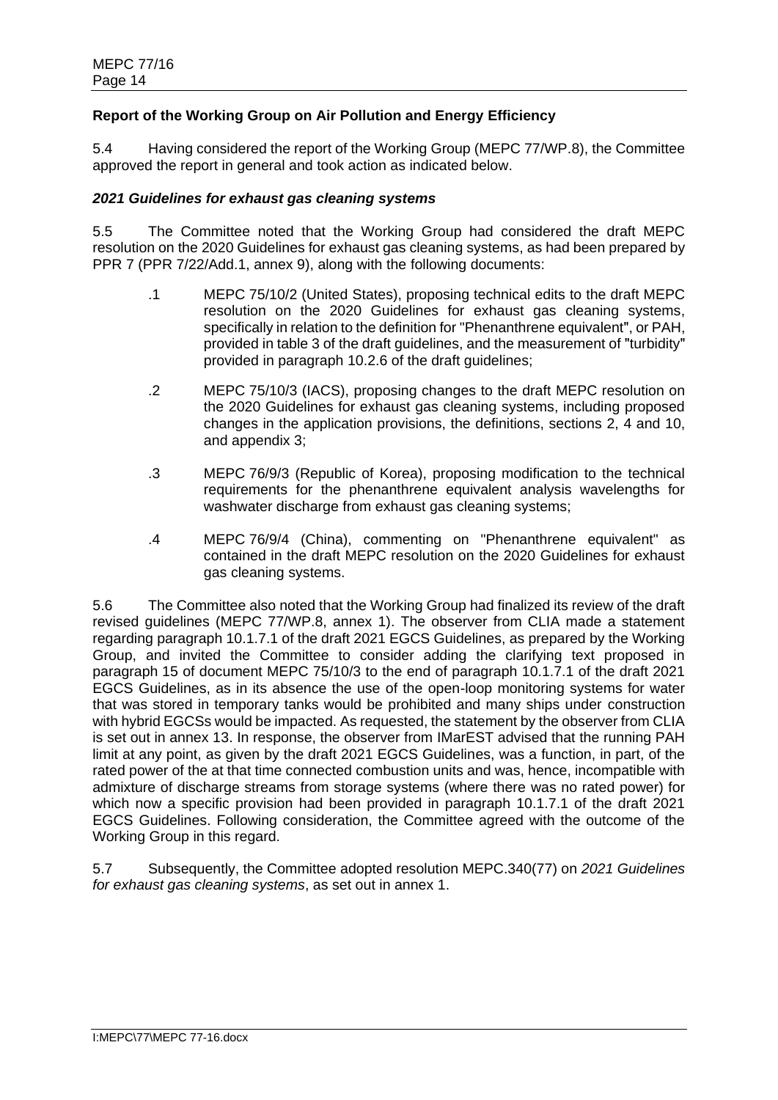# **Report of the Working Group on Air Pollution and Energy Efficiency**

5.4 Having considered the report of the Working Group (MEPC 77/WP.8), the Committee approved the report in general and took action as indicated below.

### *2021 Guidelines for exhaust gas cleaning systems*

5.5 The Committee noted that the Working Group had considered the draft MEPC resolution on the 2020 Guidelines for exhaust gas cleaning systems, as had been prepared by PPR 7 (PPR 7/22/Add.1, annex 9), along with the following documents:

- .1 MEPC 75/10/2 (United States), proposing technical edits to the draft MEPC resolution on the 2020 Guidelines for exhaust gas cleaning systems, specifically in relation to the definition for "Phenanthrene equivalent", or PAH, provided in table 3 of the draft quidelines, and the measurement of "turbidity" provided in paragraph 10.2.6 of the draft guidelines;
- .2 MEPC 75/10/3 (IACS), proposing changes to the draft MEPC resolution on the 2020 Guidelines for exhaust gas cleaning systems, including proposed changes in the application provisions, the definitions, sections 2, 4 and 10, and appendix 3;
- .3 MEPC 76/9/3 (Republic of Korea), proposing modification to the technical requirements for the phenanthrene equivalent analysis wavelengths for washwater discharge from exhaust gas cleaning systems;
- .4 MEPC 76/9/4 (China), commenting on "Phenanthrene equivalent" as contained in the draft MEPC resolution on the 2020 Guidelines for exhaust gas cleaning systems.

5.6 The Committee also noted that the Working Group had finalized its review of the draft revised guidelines (MEPC 77/WP.8, annex 1). The observer from CLIA made a statement regarding paragraph 10.1.7.1 of the draft 2021 EGCS Guidelines, as prepared by the Working Group, and invited the Committee to consider adding the clarifying text proposed in paragraph 15 of document MEPC 75/10/3 to the end of paragraph 10.1.7.1 of the draft 2021 EGCS Guidelines, as in its absence the use of the open-loop monitoring systems for water that was stored in temporary tanks would be prohibited and many ships under construction with hybrid EGCSs would be impacted. As requested, the statement by the observer from CLIA is set out in annex 13. In response, the observer from IMarEST advised that the running PAH limit at any point, as given by the draft 2021 EGCS Guidelines, was a function, in part, of the rated power of the at that time connected combustion units and was, hence, incompatible with admixture of discharge streams from storage systems (where there was no rated power) for which now a specific provision had been provided in paragraph 10.1.7.1 of the draft 2021 EGCS Guidelines. Following consideration, the Committee agreed with the outcome of the Working Group in this regard.

5.7 Subsequently, the Committee adopted resolution MEPC.340(77) on *2021 Guidelines for exhaust gas cleaning systems*, as set out in annex 1.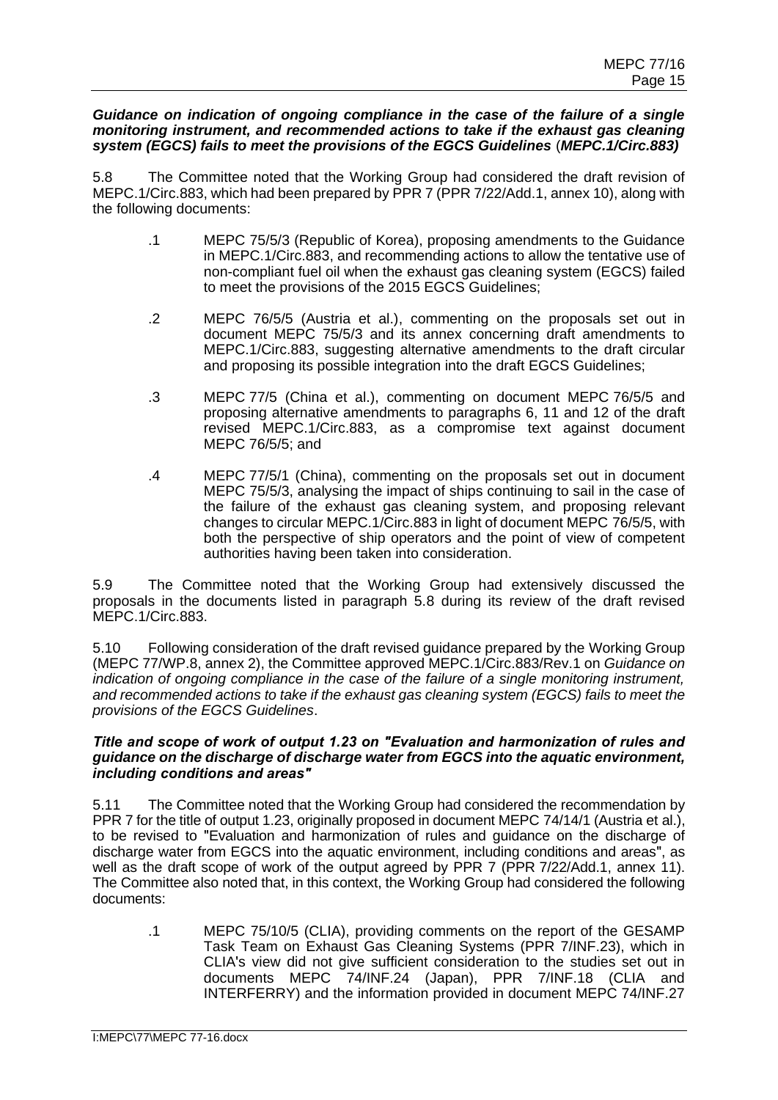*Guidance on indication of ongoing compliance in the case of the failure of a single monitoring instrument, and recommended actions to take if the exhaust gas cleaning system (EGCS) fails to meet the provisions of the EGCS Guidelines* (*MEPC.1/Circ.883)*

5.8 The Committee noted that the Working Group had considered the draft revision of MEPC.1/Circ.883, which had been prepared by PPR 7 (PPR 7/22/Add.1, annex 10), along with the following documents:

- .1 MEPC 75/5/3 (Republic of Korea), proposing amendments to the Guidance in MEPC.1/Circ.883, and recommending actions to allow the tentative use of non-compliant fuel oil when the exhaust gas cleaning system (EGCS) failed to meet the provisions of the 2015 EGCS Guidelines;
- .2 MEPC 76/5/5 (Austria et al.), commenting on the proposals set out in document MEPC 75/5/3 and its annex concerning draft amendments to MEPC.1/Circ.883, suggesting alternative amendments to the draft circular and proposing its possible integration into the draft EGCS Guidelines;
- .3 MEPC 77/5 (China et al.), commenting on document MEPC 76/5/5 and proposing alternative amendments to paragraphs 6, 11 and 12 of the draft revised MEPC.1/Circ.883, as a compromise text against document MEPC 76/5/5; and
- .4 MEPC 77/5/1 (China), commenting on the proposals set out in document MEPC 75/5/3, analysing the impact of ships continuing to sail in the case of the failure of the exhaust gas cleaning system, and proposing relevant changes to circular MEPC.1/Circ.883 in light of document MEPC 76/5/5, with both the perspective of ship operators and the point of view of competent authorities having been taken into consideration.

5.9 The Committee noted that the Working Group had extensively discussed the proposals in the documents listed in paragraph 5.8 during its review of the draft revised MEPC.1/Circ.883.

5.10 Following consideration of the draft revised guidance prepared by the Working Group (MEPC 77/WP.8, annex 2), the Committee approved MEPC.1/Circ.883/Rev.1 on *Guidance on indication of ongoing compliance in the case of the failure of a single monitoring instrument, and recommended actions to take if the exhaust gas cleaning system (EGCS) fails to meet the provisions of the EGCS Guidelines*.

### *Title and scope of work of output 1.23 on ʺEvaluation and harmonization of rules and guidance on the discharge of discharge water from EGCS into the aquatic environment, including conditions and areas*<sup>"</sup>

5.11 The Committee noted that the Working Group had considered the recommendation by PPR 7 for the title of output 1.23, originally proposed in document MEPC 74/14/1 (Austria et al.), to be revised to "Evaluation and harmonization of rules and guidance on the discharge of discharge water from EGCS into the aquatic environment, including conditions and areas", as well as the draft scope of work of the output agreed by PPR 7 (PPR 7/22/Add.1, annex 11). The Committee also noted that, in this context, the Working Group had considered the following documents:

.1 MEPC 75/10/5 (CLIA), providing comments on the report of the GESAMP Task Team on Exhaust Gas Cleaning Systems (PPR 7/INF.23), which in CLIAʹs view did not give sufficient consideration to the studies set out in documents MEPC 74/INF.24 (Japan), PPR 7/INF.18 (CLIA and INTERFERRY) and the information provided in document MEPC 74/INF.27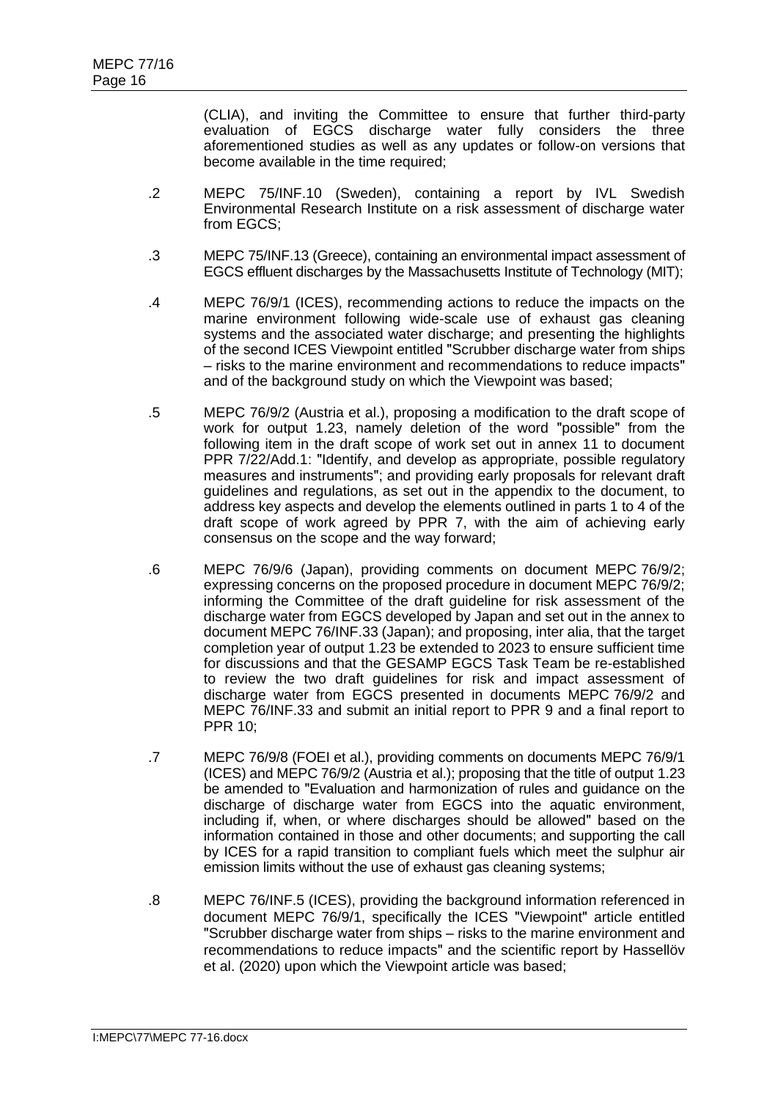(CLIA), and inviting the Committee to ensure that further third-party evaluation of EGCS discharge water fully considers the three aforementioned studies as well as any updates or follow-on versions that become available in the time required;

- .2 MEPC 75/INF.10 (Sweden), containing a report by IVL Swedish Environmental Research Institute on a risk assessment of discharge water from EGCS;
- .3 MEPC 75/INF.13 (Greece), containing an environmental impact assessment of EGCS effluent discharges by the Massachusetts Institute of Technology (MIT);
- .4 MEPC 76/9/1 (ICES), recommending actions to reduce the impacts on the marine environment following wide-scale use of exhaust gas cleaning systems and the associated water discharge; and presenting the highlights of the second ICES Viewpoint entitled "Scrubber discharge water from ships – risks to the marine environment and recommendations to reduce impacts" and of the background study on which the Viewpoint was based;
- .5 MEPC 76/9/2 (Austria et al.), proposing a modification to the draft scope of work for output 1.23, namely deletion of the word "possible" from the following item in the draft scope of work set out in annex 11 to document PPR 7/22/Add.1: "Identify, and develop as appropriate, possible regulatory measures and instruments"; and providing early proposals for relevant draft guidelines and regulations, as set out in the appendix to the document, to address key aspects and develop the elements outlined in parts 1 to 4 of the draft scope of work agreed by PPR 7, with the aim of achieving early consensus on the scope and the way forward;
- .6 MEPC 76/9/6 (Japan), providing comments on document MEPC 76/9/2; expressing concerns on the proposed procedure in document MEPC 76/9/2; informing the Committee of the draft guideline for risk assessment of the discharge water from EGCS developed by Japan and set out in the annex to document MEPC 76/INF.33 (Japan); and proposing, inter alia, that the target completion year of output 1.23 be extended to 2023 to ensure sufficient time for discussions and that the GESAMP EGCS Task Team be re-established to review the two draft guidelines for risk and impact assessment of discharge water from EGCS presented in documents MEPC 76/9/2 and MEPC 76/INF.33 and submit an initial report to PPR 9 and a final report to PPR 10;
- .7 MEPC 76/9/8 (FOEI et al.), providing comments on documents MEPC 76/9/1 (ICES) and MEPC 76/9/2 (Austria et al.); proposing that the title of output 1.23 be amended to "Evaluation and harmonization of rules and guidance on the discharge of discharge water from EGCS into the aquatic environment, including if, when, or where discharges should be allowed" based on the information contained in those and other documents; and supporting the call by ICES for a rapid transition to compliant fuels which meet the sulphur air emission limits without the use of exhaust gas cleaning systems;
- .8 MEPC 76/INF.5 (ICES), providing the background information referenced in document MEPC 76/9/1, specifically the ICES "Viewpoint" article entitled ʺScrubber discharge water from ships – risks to the marine environment and recommendations to reduce impacts" and the scientific report by Hassellöv et al. (2020) upon which the Viewpoint article was based;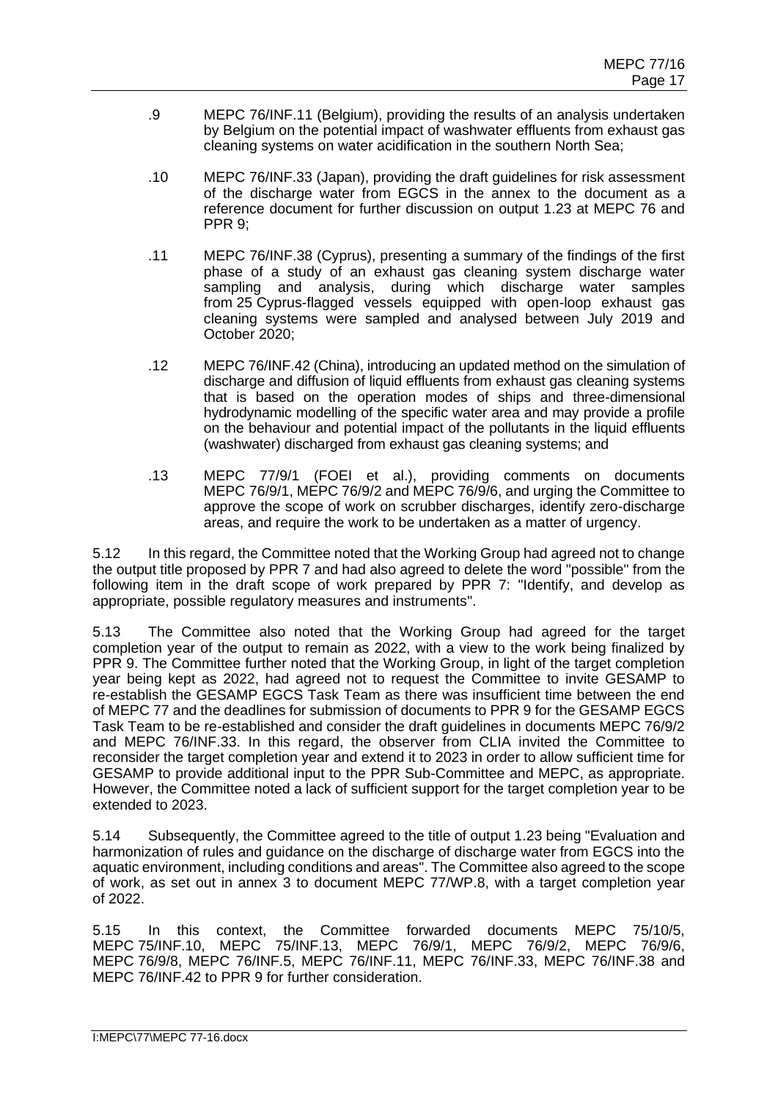- .9 MEPC 76/INF.11 (Belgium), providing the results of an analysis undertaken by Belgium on the potential impact of washwater effluents from exhaust gas cleaning systems on water acidification in the southern North Sea;
- .10 MEPC 76/INF.33 (Japan), providing the draft guidelines for risk assessment of the discharge water from EGCS in the annex to the document as a reference document for further discussion on output 1.23 at MEPC 76 and PPR 9;
- .11 MEPC 76/INF.38 (Cyprus), presenting a summary of the findings of the first phase of a study of an exhaust gas cleaning system discharge water sampling and analysis, during which discharge water samples from 25 Cyprus-flagged vessels equipped with open-loop exhaust gas cleaning systems were sampled and analysed between July 2019 and October 2020;
- .12 MEPC 76/INF.42 (China), introducing an updated method on the simulation of discharge and diffusion of liquid effluents from exhaust gas cleaning systems that is based on the operation modes of ships and three-dimensional hydrodynamic modelling of the specific water area and may provide a profile on the behaviour and potential impact of the pollutants in the liquid effluents (washwater) discharged from exhaust gas cleaning systems; and
- .13 MEPC 77/9/1 (FOEI et al.), providing comments on documents MEPC 76/9/1, MEPC 76/9/2 and MEPC 76/9/6, and urging the Committee to approve the scope of work on scrubber discharges, identify zero-discharge areas, and require the work to be undertaken as a matter of urgency.

5.12 In this regard, the Committee noted that the Working Group had agreed not to change the output title proposed by PPR 7 and had also agreed to delete the word "possible" from the following item in the draft scope of work prepared by PPR 7: "Identify, and develop as appropriate, possible regulatory measures and instruments".

5.13 The Committee also noted that the Working Group had agreed for the target completion year of the output to remain as 2022, with a view to the work being finalized by PPR 9. The Committee further noted that the Working Group, in light of the target completion year being kept as 2022, had agreed not to request the Committee to invite GESAMP to re-establish the GESAMP EGCS Task Team as there was insufficient time between the end of MEPC 77 and the deadlines for submission of documents to PPR 9 for the GESAMP EGCS Task Team to be re-established and consider the draft guidelines in documents MEPC 76/9/2 and MEPC 76/INF.33. In this regard, the observer from CLIA invited the Committee to reconsider the target completion year and extend it to 2023 in order to allow sufficient time for GESAMP to provide additional input to the PPR Sub-Committee and MEPC, as appropriate. However, the Committee noted a lack of sufficient support for the target completion year to be extended to 2023.

5.14 Subsequently, the Committee agreed to the title of output 1.23 being "Evaluation and harmonization of rules and guidance on the discharge of discharge water from EGCS into the aquatic environment, including conditions and areas". The Committee also agreed to the scope of work, as set out in annex 3 to document MEPC 77/WP.8, with a target completion year of 2022.

5.15 In this context, the Committee forwarded documents MEPC 75/10/5, MEPC 75/INF.10, MEPC 75/INF.13, MEPC 76/9/1, MEPC 76/9/2, MEPC 76/9/6, MEPC 76/9/8, MEPC 76/INF.5, MEPC 76/INF.11, MEPC 76/INF.33, MEPC 76/INF.38 and MEPC 76/INF.42 to PPR 9 for further consideration.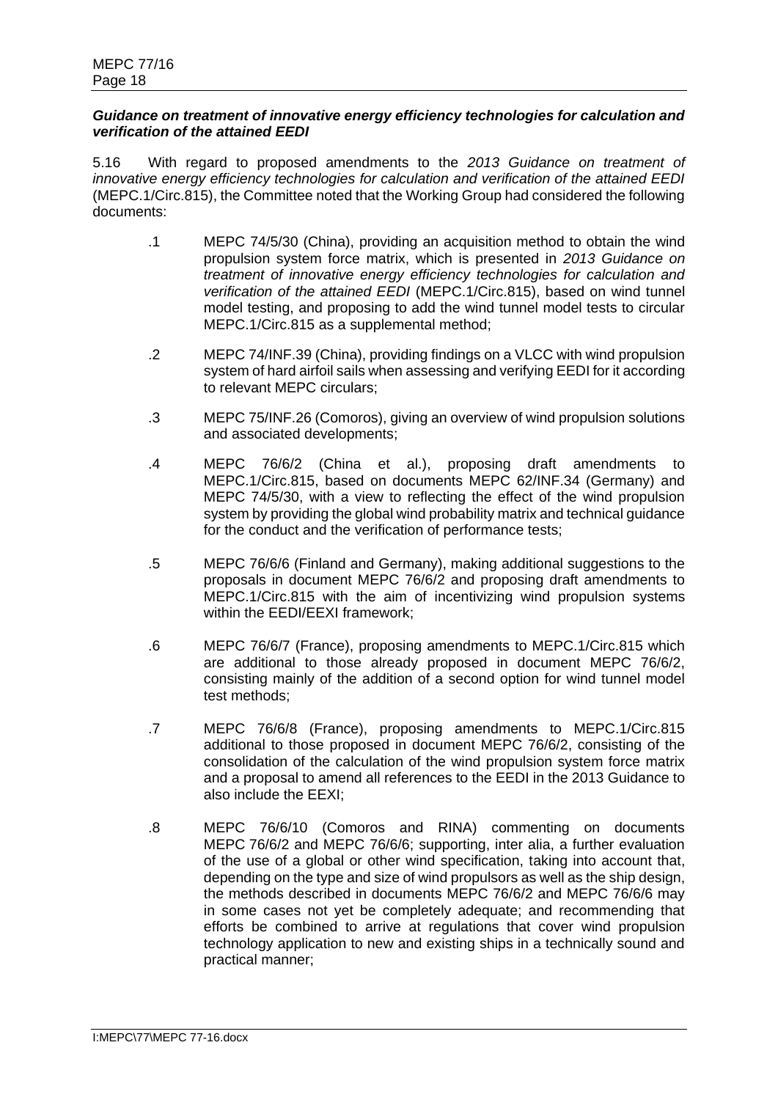### *Guidance on treatment of innovative energy efficiency technologies for calculation and verification of the attained EEDI*

5.16 With regard to proposed amendments to the *2013 Guidance on treatment of innovative energy efficiency technologies for calculation and verification of the attained EEDI* (MEPC.1/Circ.815), the Committee noted that the Working Group had considered the following documents:

- .1 MEPC 74/5/30 (China), providing an acquisition method to obtain the wind propulsion system force matrix, which is presented in *2013 Guidance on treatment of innovative energy efficiency technologies for calculation and verification of the attained EEDI* (MEPC.1/Circ.815), based on wind tunnel model testing, and proposing to add the wind tunnel model tests to circular MEPC.1/Circ.815 as a supplemental method;
- .2 MEPC 74/INF.39 (China), providing findings on a VLCC with wind propulsion system of hard airfoil sails when assessing and verifying EEDI for it according to relevant MEPC circulars;
- .3 MEPC 75/INF.26 (Comoros), giving an overview of wind propulsion solutions and associated developments;
- .4 MEPC 76/6/2 (China et al.), proposing draft amendments to MEPC.1/Circ.815, based on documents MEPC 62/INF.34 (Germany) and MEPC 74/5/30, with a view to reflecting the effect of the wind propulsion system by providing the global wind probability matrix and technical guidance for the conduct and the verification of performance tests;
- .5 MEPC 76/6/6 (Finland and Germany), making additional suggestions to the proposals in document MEPC 76/6/2 and proposing draft amendments to MEPC.1/Circ.815 with the aim of incentivizing wind propulsion systems within the EEDI/EEXI framework;
- .6 MEPC 76/6/7 (France), proposing amendments to MEPC.1/Circ.815 which are additional to those already proposed in document MEPC 76/6/2, consisting mainly of the addition of a second option for wind tunnel model test methods;
- .7 MEPC 76/6/8 (France), proposing amendments to MEPC.1/Circ.815 additional to those proposed in document MEPC 76/6/2, consisting of the consolidation of the calculation of the wind propulsion system force matrix and a proposal to amend all references to the EEDI in the 2013 Guidance to also include the EEXI;
- .8 MEPC 76/6/10 (Comoros and RINA) commenting on documents MEPC 76/6/2 and MEPC 76/6/6; supporting, inter alia, a further evaluation of the use of a global or other wind specification, taking into account that, depending on the type and size of wind propulsors as well as the ship design, the methods described in documents MEPC 76/6/2 and MEPC 76/6/6 may in some cases not yet be completely adequate; and recommending that efforts be combined to arrive at regulations that cover wind propulsion technology application to new and existing ships in a technically sound and practical manner;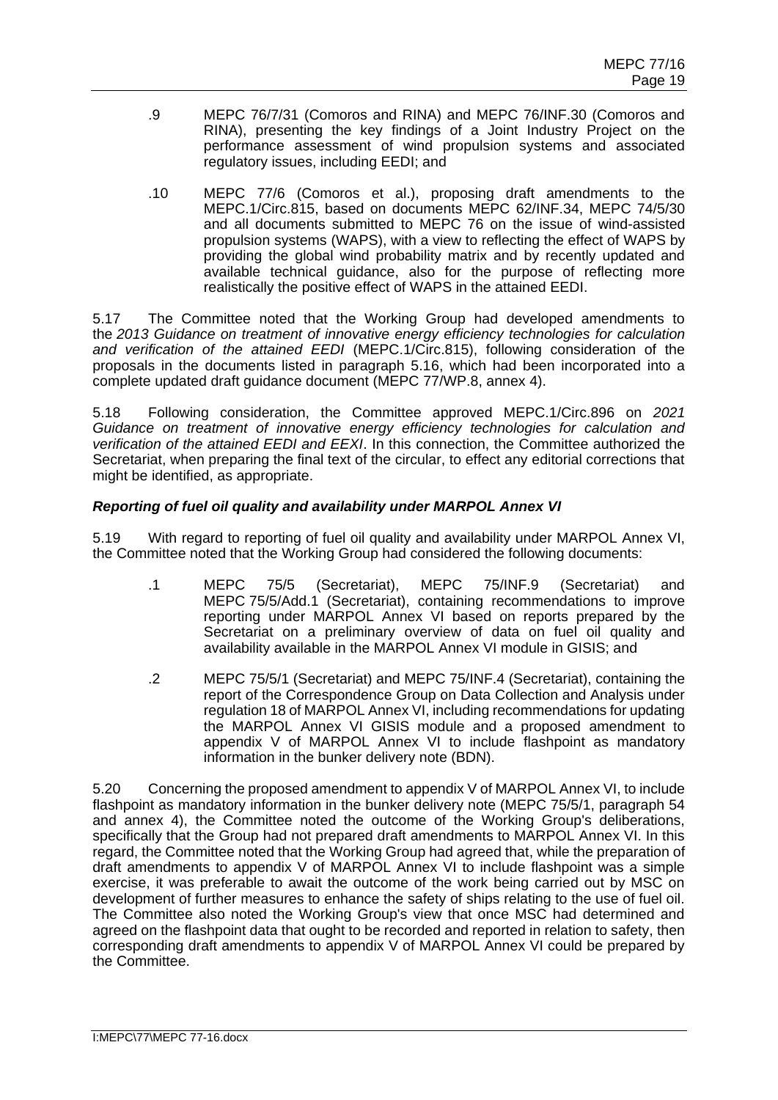- .9 MEPC 76/7/31 (Comoros and RINA) and MEPC 76/INF.30 (Comoros and RINA), presenting the key findings of a Joint Industry Project on the performance assessment of wind propulsion systems and associated regulatory issues, including EEDI; and
- .10 MEPC 77/6 (Comoros et al.), proposing draft amendments to the MEPC.1/Circ.815, based on documents MEPC 62/INF.34, MEPC 74/5/30 and all documents submitted to MEPC 76 on the issue of wind-assisted propulsion systems (WAPS), with a view to reflecting the effect of WAPS by providing the global wind probability matrix and by recently updated and available technical guidance, also for the purpose of reflecting more realistically the positive effect of WAPS in the attained EEDI.

5.17 The Committee noted that the Working Group had developed amendments to the *2013 Guidance on treatment of innovative energy efficiency technologies for calculation and verification of the attained EEDI* (MEPC.1/Circ.815), following consideration of the proposals in the documents listed in paragraph 5.16, which had been incorporated into a complete updated draft guidance document (MEPC 77/WP.8, annex 4).

5.18 Following consideration, the Committee approved MEPC.1/Circ.896 on *2021 Guidance on treatment of innovative energy efficiency technologies for calculation and verification of the attained EEDI and EEXI*. In this connection, the Committee authorized the Secretariat, when preparing the final text of the circular, to effect any editorial corrections that might be identified, as appropriate.

# *Reporting of fuel oil quality and availability under MARPOL Annex VI*

5.19 With regard to reporting of fuel oil quality and availability under MARPOL Annex VI, the Committee noted that the Working Group had considered the following documents:

- .1 MEPC 75/5 (Secretariat), MEPC 75/INF.9 (Secretariat) and MEPC 75/5/Add.1 (Secretariat), containing recommendations to improve reporting under MARPOL Annex VI based on reports prepared by the Secretariat on a preliminary overview of data on fuel oil quality and availability available in the MARPOL Annex VI module in GISIS; and
- .2 MEPC 75/5/1 (Secretariat) and MEPC 75/INF.4 (Secretariat), containing the report of the Correspondence Group on Data Collection and Analysis under regulation 18 of MARPOL Annex VI, including recommendations for updating the MARPOL Annex VI GISIS module and a proposed amendment to appendix V of MARPOL Annex VI to include flashpoint as mandatory information in the bunker delivery note (BDN).

5.20 Concerning the proposed amendment to appendix V of MARPOL Annex VI, to include flashpoint as mandatory information in the bunker delivery note (MEPC 75/5/1, paragraph 54 and annex 4), the Committee noted the outcome of the Working Group's deliberations, specifically that the Group had not prepared draft amendments to MARPOL Annex VI. In this regard, the Committee noted that the Working Group had agreed that, while the preparation of draft amendments to appendix V of MARPOL Annex VI to include flashpoint was a simple exercise, it was preferable to await the outcome of the work being carried out by MSC on development of further measures to enhance the safety of ships relating to the use of fuel oil. The Committee also noted the Working Group's view that once MSC had determined and agreed on the flashpoint data that ought to be recorded and reported in relation to safety, then corresponding draft amendments to appendix V of MARPOL Annex VI could be prepared by the Committee.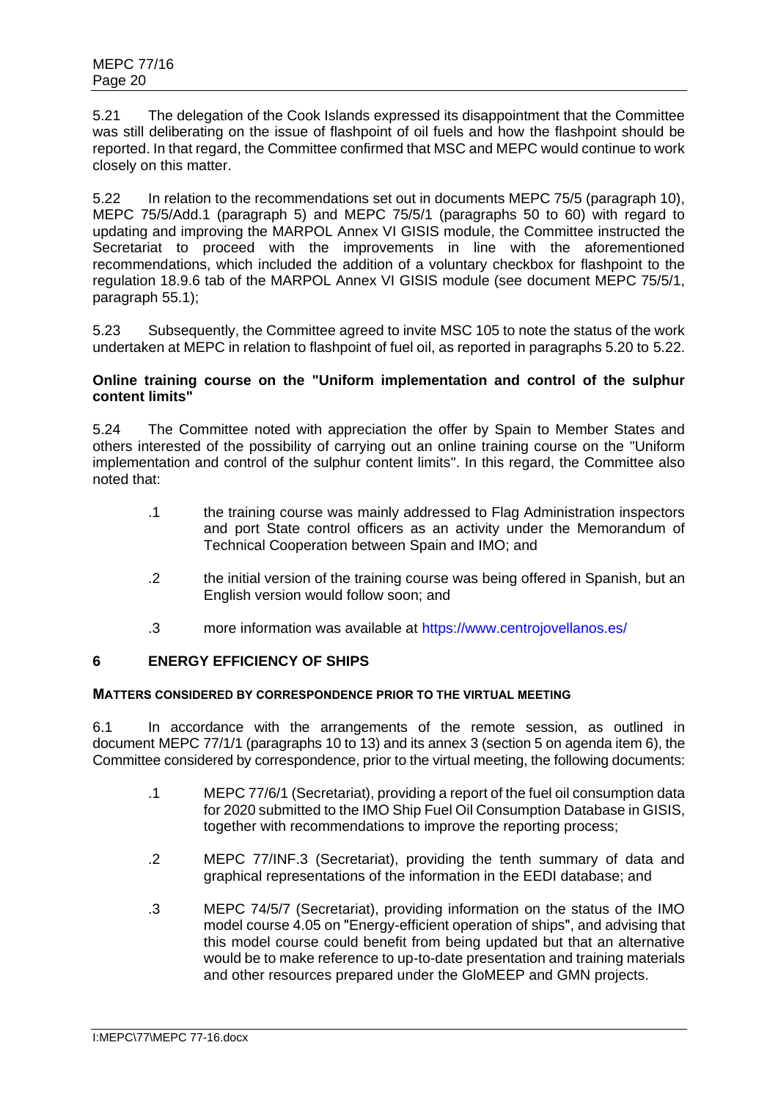5.21 The delegation of the Cook Islands expressed its disappointment that the Committee was still deliberating on the issue of flashpoint of oil fuels and how the flashpoint should be reported. In that regard, the Committee confirmed that MSC and MEPC would continue to work closely on this matter.

5.22 In relation to the recommendations set out in documents MEPC 75/5 (paragraph 10), MEPC 75/5/Add.1 (paragraph 5) and MEPC 75/5/1 (paragraphs 50 to 60) with regard to updating and improving the MARPOL Annex VI GISIS module, the Committee instructed the Secretariat to proceed with the improvements in line with the aforementioned recommendations, which included the addition of a voluntary checkbox for flashpoint to the regulation 18.9.6 tab of the MARPOL Annex VI GISIS module (see document MEPC 75/5/1, paragraph 55.1);

5.23 Subsequently, the Committee agreed to invite MSC 105 to note the status of the work undertaken at MEPC in relation to flashpoint of fuel oil, as reported in paragraphs 5.20 to 5.22.

### **Online training course on the "Uniform implementation and control of the sulphur content limits"**

5.24 The Committee noted with appreciation the offer by Spain to Member States and others interested of the possibility of carrying out an online training course on the "Uniform implementation and control of the sulphur content limits". In this regard, the Committee also noted that:

- .1 the training course was mainly addressed to Flag Administration inspectors and port State control officers as an activity under the Memorandum of Technical Cooperation between Spain and IMO; and
- .2 the initial version of the training course was being offered in Spanish, but an English version would follow soon; and
- .3 more information was available at<https://www.centrojovellanos.es/>

# **6 ENERGY EFFICIENCY OF SHIPS**

# **MATTERS CONSIDERED BY CORRESPONDENCE PRIOR TO THE VIRTUAL MEETING**

6.1 In accordance with the arrangements of the remote session, as outlined in document MEPC 77/1/1 (paragraphs 10 to 13) and its annex 3 (section 5 on agenda item 6), the Committee considered by correspondence, prior to the virtual meeting, the following documents:

- .1 MEPC 77/6/1 (Secretariat), providing a report of the fuel oil consumption data for 2020 submitted to the IMO Ship Fuel Oil Consumption Database in GISIS, together with recommendations to improve the reporting process;
- .2 MEPC 77/INF.3 (Secretariat), providing the tenth summary of data and graphical representations of the information in the EEDI database; and
- .3 MEPC 74/5/7 (Secretariat), providing information on the status of the IMO model course 4.05 on "Energy-efficient operation of ships", and advising that this model course could benefit from being updated but that an alternative would be to make reference to up-to-date presentation and training materials and other resources prepared under the GloMEEP and GMN projects.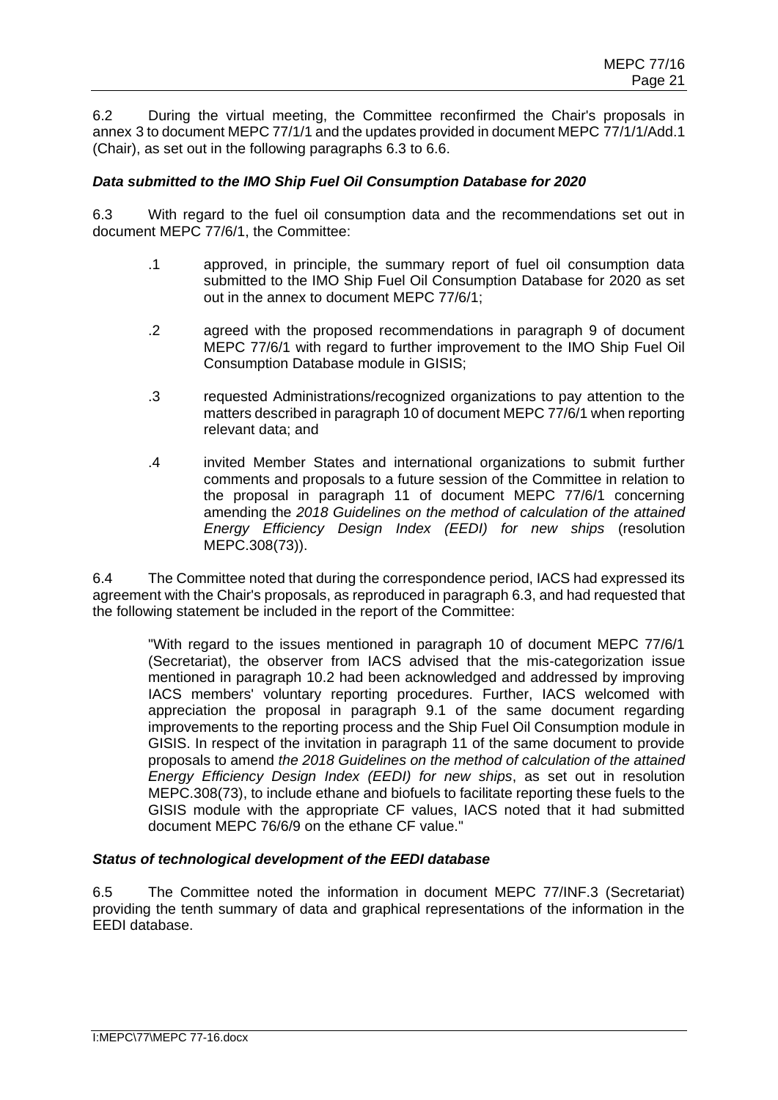6.2 During the virtual meeting, the Committee reconfirmed the Chair's proposals in annex 3 to document MEPC 77/1/1 and the updates provided in document MEPC 77/1/1/Add.1 (Chair), as set out in the following paragraphs 6.3 to 6.6.

# *Data submitted to the IMO Ship Fuel Oil Consumption Database for 2020*

6.3 With regard to the fuel oil consumption data and the recommendations set out in document MEPC 77/6/1, the Committee:

- .1 approved, in principle, the summary report of fuel oil consumption data submitted to the IMO Ship Fuel Oil Consumption Database for 2020 as set out in the annex to document MEPC 77/6/1;
- .2 agreed with the proposed recommendations in paragraph 9 of document MEPC 77/6/1 with regard to further improvement to the IMO Ship Fuel Oil Consumption Database module in GISIS;
- .3 requested Administrations/recognized organizations to pay attention to the matters described in paragraph 10 of document MEPC 77/6/1 when reporting relevant data; and
- .4 invited Member States and international organizations to submit further comments and proposals to a future session of the Committee in relation to the proposal in paragraph 11 of document MEPC 77/6/1 concerning amending the *2018 Guidelines on the method of calculation of the attained Energy Efficiency Design Index (EEDI) for new ships* (resolution MEPC.308(73)).

6.4 The Committee noted that during the correspondence period, IACS had expressed its agreement with the Chair's proposals, as reproduced in paragraph 6.3, and had requested that the following statement be included in the report of the Committee:

"With regard to the issues mentioned in paragraph 10 of document MEPC 77/6/1 (Secretariat), the observer from IACS advised that the mis-categorization issue mentioned in paragraph 10.2 had been acknowledged and addressed by improving IACS members' voluntary reporting procedures. Further, IACS welcomed with appreciation the proposal in paragraph 9.1 of the same document regarding improvements to the reporting process and the Ship Fuel Oil Consumption module in GISIS. In respect of the invitation in paragraph 11 of the same document to provide proposals to amend *the 2018 Guidelines on the method of calculation of the attained Energy Efficiency Design Index (EEDI) for new ships*, as set out in resolution MEPC.308(73), to include ethane and biofuels to facilitate reporting these fuels to the GISIS module with the appropriate CF values, IACS noted that it had submitted document MEPC 76/6/9 on the ethane CF value."

### *Status of technological development of the EEDI database*

6.5 The Committee noted the information in document MEPC 77/INF.3 (Secretariat) providing the tenth summary of data and graphical representations of the information in the EEDI database.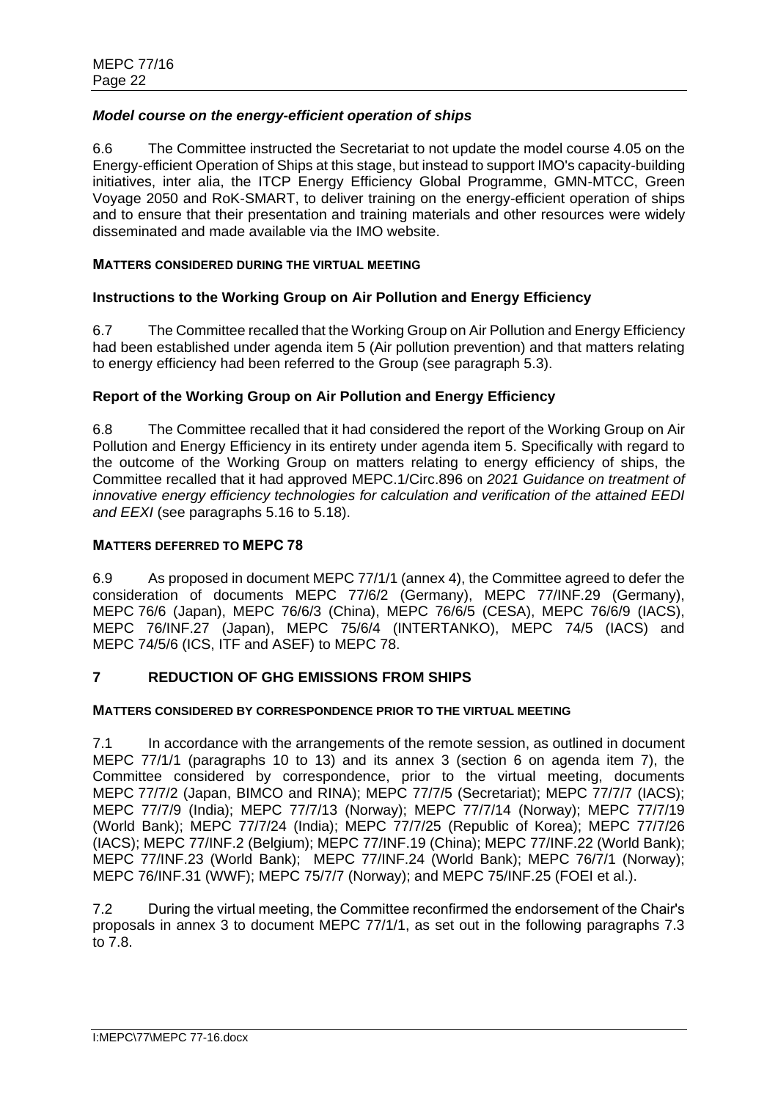# *Model course on the energy-efficient operation of ships*

6.6 The Committee instructed the Secretariat to not update the model course 4.05 on the Energy-efficient Operation of Ships at this stage, but instead to support IMO's capacity-building initiatives, inter alia, the ITCP Energy Efficiency Global Programme, GMN-MTCC, Green Voyage 2050 and RoK-SMART, to deliver training on the energy-efficient operation of ships and to ensure that their presentation and training materials and other resources were widely disseminated and made available via the IMO website.

# **MATTERS CONSIDERED DURING THE VIRTUAL MEETING**

# **Instructions to the Working Group on Air Pollution and Energy Efficiency**

6.7 The Committee recalled that the Working Group on Air Pollution and Energy Efficiency had been established under agenda item 5 (Air pollution prevention) and that matters relating to energy efficiency had been referred to the Group (see paragraph 5.3).

# **Report of the Working Group on Air Pollution and Energy Efficiency**

6.8 The Committee recalled that it had considered the report of the Working Group on Air Pollution and Energy Efficiency in its entirety under agenda item 5. Specifically with regard to the outcome of the Working Group on matters relating to energy efficiency of ships, the Committee recalled that it had approved MEPC.1/Circ.896 on *2021 Guidance on treatment of innovative energy efficiency technologies for calculation and verification of the attained EEDI and EEXI* (see paragraphs 5.16 to 5.18).

# **MATTERS DEFERRED TO MEPC 78**

6.9 As proposed in document MEPC 77/1/1 (annex 4), the Committee agreed to defer the consideration of documents MEPC 77/6/2 (Germany), MEPC 77/INF.29 (Germany), MEPC 76/6 (Japan), MEPC 76/6/3 (China), MEPC 76/6/5 (CESA), MEPC 76/6/9 (IACS), MEPC 76/INF.27 (Japan), MEPC 75/6/4 (INTERTANKO), MEPC 74/5 (IACS) and MEPC 74/5/6 (ICS, ITF and ASEF) to MEPC 78.

# **7 REDUCTION OF GHG EMISSIONS FROM SHIPS**

# **MATTERS CONSIDERED BY CORRESPONDENCE PRIOR TO THE VIRTUAL MEETING**

7.1 In accordance with the arrangements of the remote session, as outlined in document MEPC 77/1/1 (paragraphs 10 to 13) and its annex 3 (section 6 on agenda item 7), the Committee considered by correspondence, prior to the virtual meeting, documents MEPC 77/7/2 (Japan, BIMCO and RINA); MEPC 77/7/5 (Secretariat); MEPC 77/7/7 (IACS); MEPC 77/7/9 (India); MEPC 77/7/13 (Norway); MEPC 77/7/14 (Norway); MEPC 77/7/19 (World Bank); MEPC 77/7/24 (India); MEPC 77/7/25 (Republic of Korea); MEPC 77/7/26 (IACS); MEPC 77/INF.2 (Belgium); MEPC 77/INF.19 (China); MEPC 77/INF.22 (World Bank); MEPC 77/INF.23 (World Bank); MEPC 77/INF.24 (World Bank); MEPC 76/7/1 (Norway); MEPC 76/INF.31 (WWF); MEPC 75/7/7 (Norway); and MEPC 75/INF.25 (FOEI et al.).

7.2 During the virtual meeting, the Committee reconfirmed the endorsement of the Chairʹs proposals in annex 3 to document MEPC 77/1/1, as set out in the following paragraphs 7.3 to 7.8.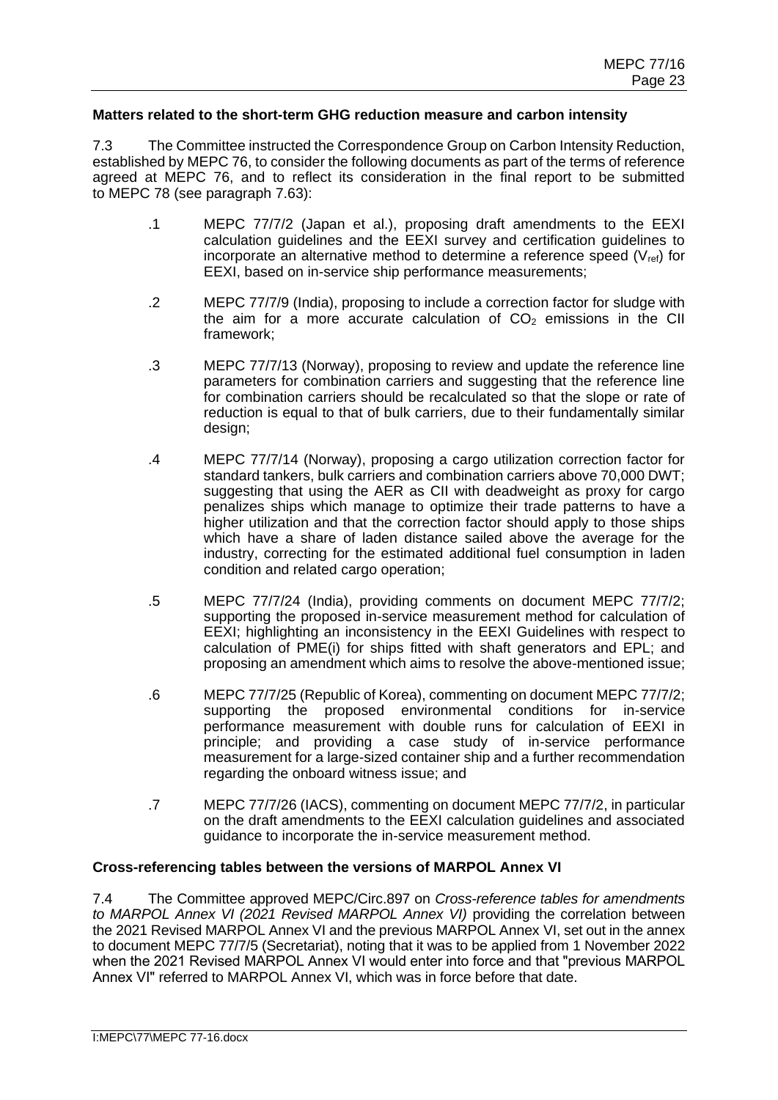### **Matters related to the short-term GHG reduction measure and carbon intensity**

7.3 The Committee instructed the Correspondence Group on Carbon Intensity Reduction, established by MEPC 76, to consider the following documents as part of the terms of reference agreed at MEPC 76, and to reflect its consideration in the final report to be submitted to MEPC 78 (see paragraph 7.63):

- .1 MEPC 77/7/2 (Japan et al.), proposing draft amendments to the EEXI calculation guidelines and the EEXI survey and certification guidelines to incorporate an alternative method to determine a reference speed  $(V_{ref})$  for EEXI, based on in-service ship performance measurements;
- .2 MEPC 77/7/9 (India), proposing to include a correction factor for sludge with the aim for a more accurate calculation of  $CO<sub>2</sub>$  emissions in the CII framework;
- .3 MEPC 77/7/13 (Norway), proposing to review and update the reference line parameters for combination carriers and suggesting that the reference line for combination carriers should be recalculated so that the slope or rate of reduction is equal to that of bulk carriers, due to their fundamentally similar design:
- .4 MEPC 77/7/14 (Norway), proposing a cargo utilization correction factor for standard tankers, bulk carriers and combination carriers above 70,000 DWT; suggesting that using the AER as CII with deadweight as proxy for cargo penalizes ships which manage to optimize their trade patterns to have a higher utilization and that the correction factor should apply to those ships which have a share of laden distance sailed above the average for the industry, correcting for the estimated additional fuel consumption in laden condition and related cargo operation;
- .5 MEPC 77/7/24 (India), providing comments on document MEPC 77/7/2; supporting the proposed in-service measurement method for calculation of EEXI; highlighting an inconsistency in the EEXI Guidelines with respect to calculation of PME(i) for ships fitted with shaft generators and EPL; and proposing an amendment which aims to resolve the above-mentioned issue;
- .6 MEPC 77/7/25 (Republic of Korea), commenting on document MEPC 77/7/2; supporting the proposed environmental conditions for in-service performance measurement with double runs for calculation of EEXI in principle; and providing a case study of in-service performance measurement for a large-sized container ship and a further recommendation regarding the onboard witness issue; and
- .7 MEPC 77/7/26 (IACS), commenting on document MEPC 77/7/2, in particular on the draft amendments to the EEXI calculation guidelines and associated guidance to incorporate the in-service measurement method.

### **Cross-referencing tables between the versions of MARPOL Annex VI**

7.4 The Committee approved MEPC/Circ.897 on *Cross-reference tables for amendments to MARPOL Annex VI (2021 Revised MARPOL Annex VI)* providing the correlation between the 2021 Revised MARPOL Annex VI and the previous MARPOL Annex VI, set out in the annex to document MEPC 77/7/5 (Secretariat), noting that it was to be applied from 1 November 2022 when the 2021 Revised MARPOL Annex VI would enter into force and that "previous MARPOL Annex VI" referred to MARPOL Annex VI, which was in force before that date.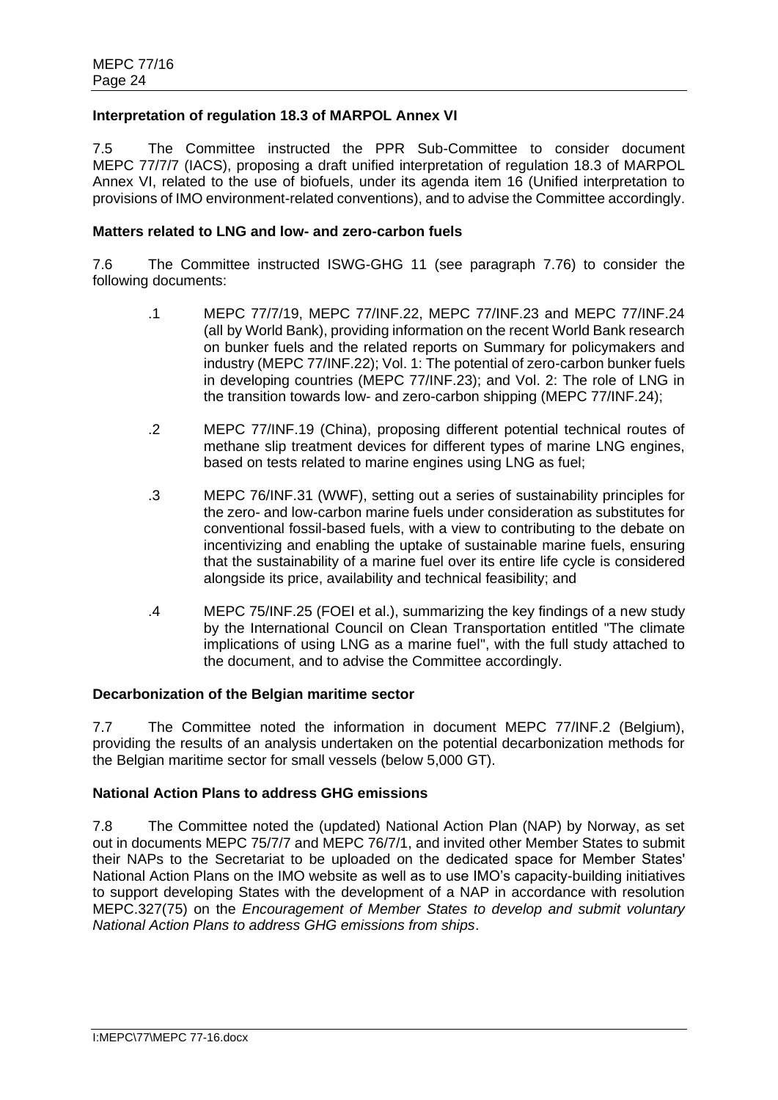# **Interpretation of regulation 18.3 of MARPOL Annex VI**

7.5 The Committee instructed the PPR Sub-Committee to consider document MEPC 77/7/7 (IACS), proposing a draft unified interpretation of regulation 18.3 of MARPOL Annex VI, related to the use of biofuels, under its agenda item 16 (Unified interpretation to provisions of IMO environment-related conventions), and to advise the Committee accordingly.

### **Matters related to LNG and low- and zero-carbon fuels**

7.6 The Committee instructed ISWG-GHG 11 (see paragraph 7.76) to consider the following documents:

- .1 MEPC 77/7/19, MEPC 77/INF.22, MEPC 77/INF.23 and MEPC 77/INF.24 (all by World Bank), providing information on the recent World Bank research on bunker fuels and the related reports on Summary for policymakers and industry (MEPC 77/INF.22); Vol. 1: The potential of zero-carbon bunker fuels in developing countries (MEPC 77/INF.23); and Vol. 2: The role of LNG in the transition towards low- and zero-carbon shipping (MEPC 77/INF.24);
- .2 MEPC 77/INF.19 (China), proposing different potential technical routes of methane slip treatment devices for different types of marine LNG engines, based on tests related to marine engines using LNG as fuel;
- .3 MEPC 76/INF.31 (WWF), setting out a series of sustainability principles for the zero- and low-carbon marine fuels under consideration as substitutes for conventional fossil-based fuels, with a view to contributing to the debate on incentivizing and enabling the uptake of sustainable marine fuels, ensuring that the sustainability of a marine fuel over its entire life cycle is considered alongside its price, availability and technical feasibility; and
- .4 MEPC 75/INF.25 (FOEI et al.), summarizing the key findings of a new study by the International Council on Clean Transportation entitled "The climate implications of using LNG as a marine fuel", with the full study attached to the document, and to advise the Committee accordingly.

# **Decarbonization of the Belgian maritime sector**

7.7 The Committee noted the information in document MEPC 77/INF.2 (Belgium), providing the results of an analysis undertaken on the potential decarbonization methods for the Belgian maritime sector for small vessels (below 5,000 GT).

# **National Action Plans to address GHG emissions**

7.8 The Committee noted the (updated) National Action Plan (NAP) by Norway, as set out in documents MEPC 75/7/7 and MEPC 76/7/1, and invited other Member States to submit their NAPs to the Secretariat to be uploaded on the [dedicated space for Member Statesʹ](https://www.imo.org/en/OurWork/Environment/Pages/RELEVANT-NATIONAL-ACTION-PLANS-AND-STRATEGIES.aspx)  [National Action Plans on the IMO website](https://www.imo.org/en/OurWork/Environment/Pages/RELEVANT-NATIONAL-ACTION-PLANS-AND-STRATEGIES.aspx) as well as to use IMO's capacity-building initiatives to support developing States with the development of a NAP in accordance with resolution MEPC.327(75) on the *Encouragement of Member States to develop and submit voluntary National Action Plans to address GHG emissions from ships*.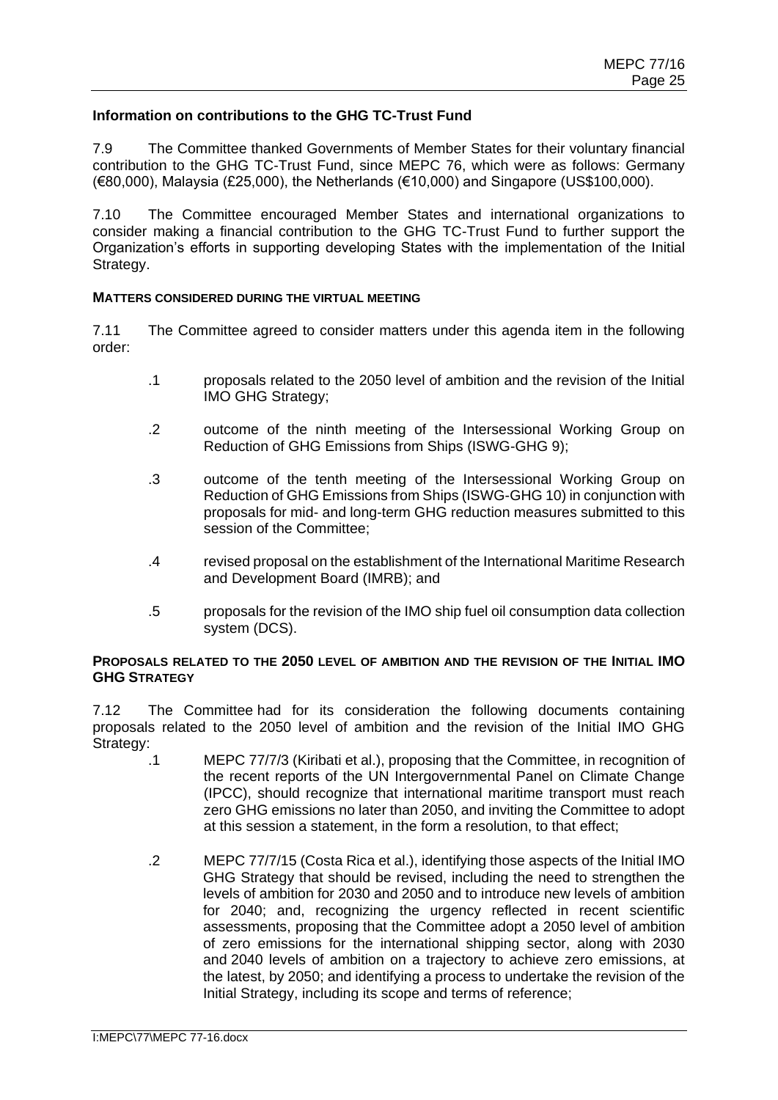### **Information on contributions to the GHG TC-Trust Fund**

7.9 The Committee thanked Governments of Member States for their voluntary financial contribution to the GHG TC-Trust Fund, since MEPC 76, which were as follows: Germany (€80,000), Malaysia (£25,000), the Netherlands (€10,000) and Singapore (US\$100,000).

7.10 The Committee encouraged Member States and international organizations to consider making a financial contribution to the GHG TC-Trust Fund to further support the Organization's efforts in supporting developing States with the implementation of the Initial Strategy.

### **MATTERS CONSIDERED DURING THE VIRTUAL MEETING**

7.11 The Committee agreed to consider matters under this agenda item in the following order:

- .1 proposals related to the 2050 level of ambition and the revision of the Initial IMO GHG Strategy;
- .2 outcome of the ninth meeting of the Intersessional Working Group on Reduction of GHG Emissions from Ships (ISWG-GHG 9);
- .3 outcome of the tenth meeting of the Intersessional Working Group on Reduction of GHG Emissions from Ships (ISWG-GHG 10) in conjunction with proposals for mid- and long-term GHG reduction measures submitted to this session of the Committee;
- .4 revised proposal on the establishment of the International Maritime Research and Development Board (IMRB); and
- .5 proposals for the revision of the IMO ship fuel oil consumption data collection system (DCS).

### **PROPOSALS RELATED TO THE 2050 LEVEL OF AMBITION AND THE REVISION OF THE INITIAL IMO GHG STRATEGY**

7.12 The Committee had for its consideration the following documents containing proposals related to the 2050 level of ambition and the revision of the Initial IMO GHG Strategy:

- .1 MEPC 77/7/3 (Kiribati et al.), proposing that the Committee, in recognition of the recent reports of the UN Intergovernmental Panel on Climate Change (IPCC), should recognize that international maritime transport must reach zero GHG emissions no later than 2050, and inviting the Committee to adopt at this session a statement, in the form a resolution, to that effect;
- .2 MEPC 77/7/15 (Costa Rica et al.), identifying those aspects of the Initial IMO GHG Strategy that should be revised, including the need to strengthen the levels of ambition for 2030 and 2050 and to introduce new levels of ambition for 2040; and, recognizing the urgency reflected in recent scientific assessments, proposing that the Committee adopt a 2050 level of ambition of zero emissions for the international shipping sector, along with 2030 and 2040 levels of ambition on a trajectory to achieve zero emissions, at the latest, by 2050; and identifying a process to undertake the revision of the Initial Strategy, including its scope and terms of reference;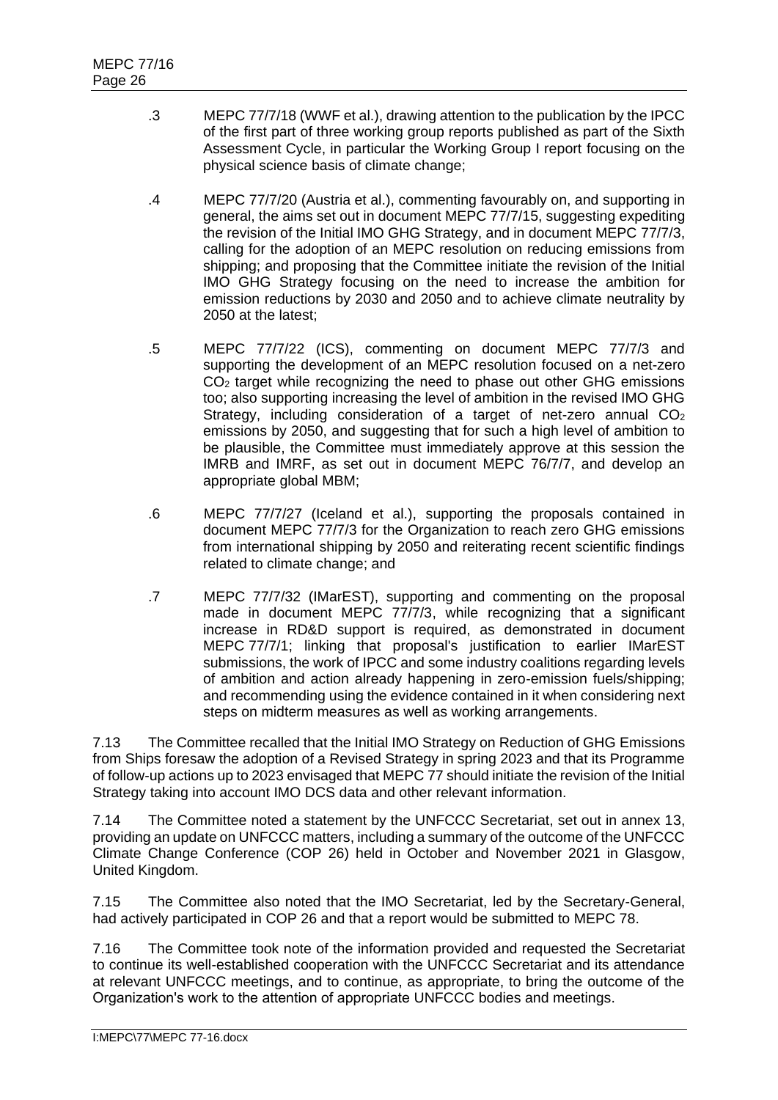- .3 MEPC 77/7/18 (WWF et al.), drawing attention to the publication by the IPCC of the first part of three working group reports published as part of the Sixth Assessment Cycle, in particular the Working Group I report focusing on the physical science basis of climate change;
- .4 MEPC 77/7/20 (Austria et al.), commenting favourably on, and supporting in general, the aims set out in document MEPC 77/7/15, suggesting expediting the revision of the Initial IMO GHG Strategy, and in document MEPC 77/7/3, calling for the adoption of an MEPC resolution on reducing emissions from shipping; and proposing that the Committee initiate the revision of the Initial IMO GHG Strategy focusing on the need to increase the ambition for emission reductions by 2030 and 2050 and to achieve climate neutrality by 2050 at the latest;
- .5 MEPC 77/7/22 (ICS), commenting on document MEPC 77/7/3 and supporting the development of an MEPC resolution focused on a net-zero  $CO<sub>2</sub>$  target while recognizing the need to phase out other GHG emissions too; also supporting increasing the level of ambition in the revised IMO GHG Strategy, including consideration of a target of net-zero annual  $CO<sub>2</sub>$ emissions by 2050, and suggesting that for such a high level of ambition to be plausible, the Committee must immediately approve at this session the IMRB and IMRF, as set out in document MEPC 76/7/7, and develop an appropriate global MBM;
- .6 MEPC 77/7/27 (Iceland et al.), supporting the proposals contained in document MEPC 77/7/3 for the Organization to reach zero GHG emissions from international shipping by 2050 and reiterating recent scientific findings related to climate change; and
- .7 MEPC 77/7/32 (IMarEST), supporting and commenting on the proposal made in document MEPC 77/7/3, while recognizing that a significant increase in RD&D support is required, as demonstrated in document MEPC 77/7/1; linking that proposal's justification to earlier IMarEST submissions, the work of IPCC and some industry coalitions regarding levels of ambition and action already happening in zero-emission fuels/shipping; and recommending using the evidence contained in it when considering next steps on midterm measures as well as working arrangements.

7.13 The Committee recalled that the Initial IMO Strategy on Reduction of GHG Emissions from Ships foresaw the adoption of a Revised Strategy in spring 2023 and that its Programme of follow-up actions up to 2023 envisaged that MEPC 77 should initiate the revision of the Initial Strategy taking into account IMO DCS data and other relevant information.

7.14 The Committee noted a statement by the UNFCCC Secretariat, set out in annex 13, providing an update on UNFCCC matters, including a summary of the outcome of the UNFCCC Climate Change Conference (COP 26) held in October and November 2021 in Glasgow, United Kingdom.

7.15 The Committee also noted that the IMO Secretariat, led by the Secretary-General, had actively participated in COP 26 and that a report would be submitted to MEPC 78.

7.16 The Committee took note of the information provided and requested the Secretariat to continue its well-established cooperation with the UNFCCC Secretariat and its attendance at relevant UNFCCC meetings, and to continue, as appropriate, to bring the outcome of the Organizationʹs work to the attention of appropriate UNFCCC bodies and meetings.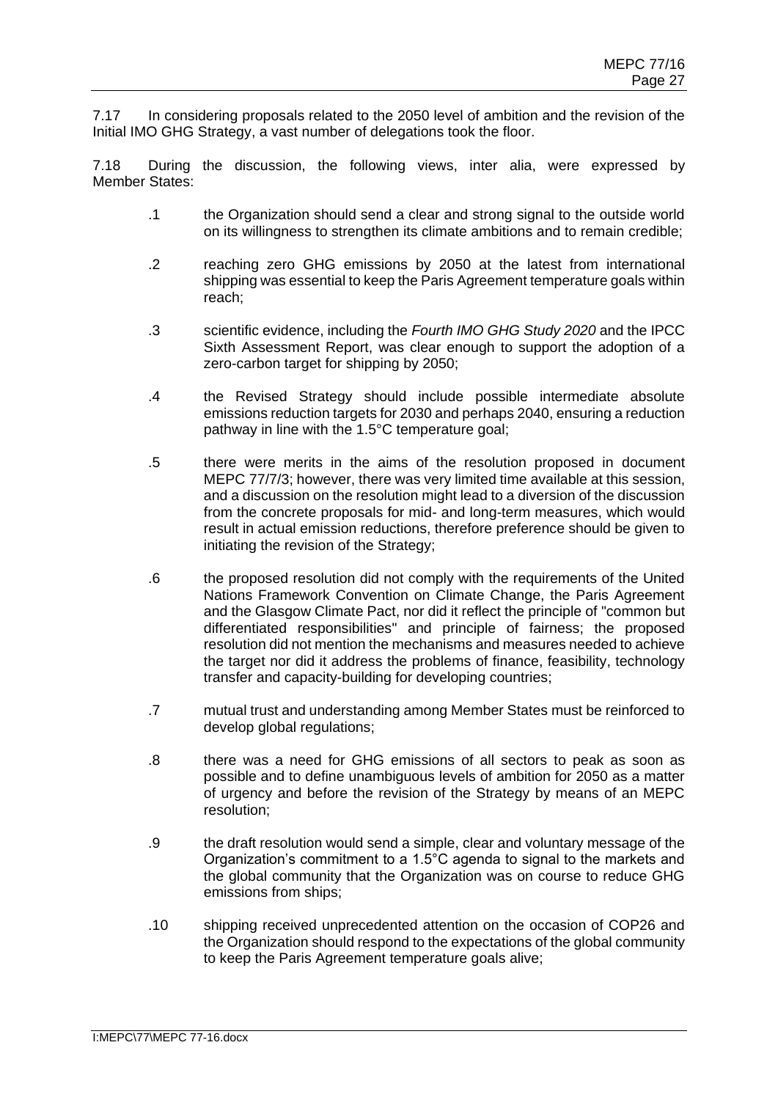7.17 In considering proposals related to the 2050 level of ambition and the revision of the Initial IMO GHG Strategy, a vast number of delegations took the floor.

7.18 During the discussion, the following views, inter alia, were expressed by Member States:

- .1 the Organization should send a clear and strong signal to the outside world on its willingness to strengthen its climate ambitions and to remain credible;
- .2 reaching zero GHG emissions by 2050 at the latest from international shipping was essential to keep the Paris Agreement temperature goals within reach;
- .3 scientific evidence, including the *Fourth IMO GHG Study 2020* and the IPCC Sixth Assessment Report, was clear enough to support the adoption of a zero-carbon target for shipping by 2050;
- .4 the Revised Strategy should include possible intermediate absolute emissions reduction targets for 2030 and perhaps 2040, ensuring a reduction pathway in line with the 1.5°C temperature goal;
- .5 there were merits in the aims of the resolution proposed in document MEPC 77/7/3; however, there was very limited time available at this session, and a discussion on the resolution might lead to a diversion of the discussion from the concrete proposals for mid- and long-term measures, which would result in actual emission reductions, therefore preference should be given to initiating the revision of the Strategy;
- .6 the proposed resolution did not comply with the requirements of the United Nations Framework Convention on Climate Change, the Paris Agreement and the Glasgow Climate Pact, nor did it reflect the principle of "common but differentiated responsibilities" and principle of fairness; the proposed resolution did not mention the mechanisms and measures needed to achieve the target nor did it address the problems of finance, feasibility, technology transfer and capacity-building for developing countries;
- .7 mutual trust and understanding among Member States must be reinforced to develop global regulations;
- .8 there was a need for GHG emissions of all sectors to peak as soon as possible and to define unambiguous levels of ambition for 2050 as a matter of urgency and before the revision of the Strategy by means of an MEPC resolution;
- .9 the draft resolution would send a simple, clear and voluntary message of the Organization's commitment to a 1.5°C agenda to signal to the markets and the global community that the Organization was on course to reduce GHG emissions from ships;
- .10 shipping received unprecedented attention on the occasion of COP26 and the Organization should respond to the expectations of the global community to keep the Paris Agreement temperature goals alive;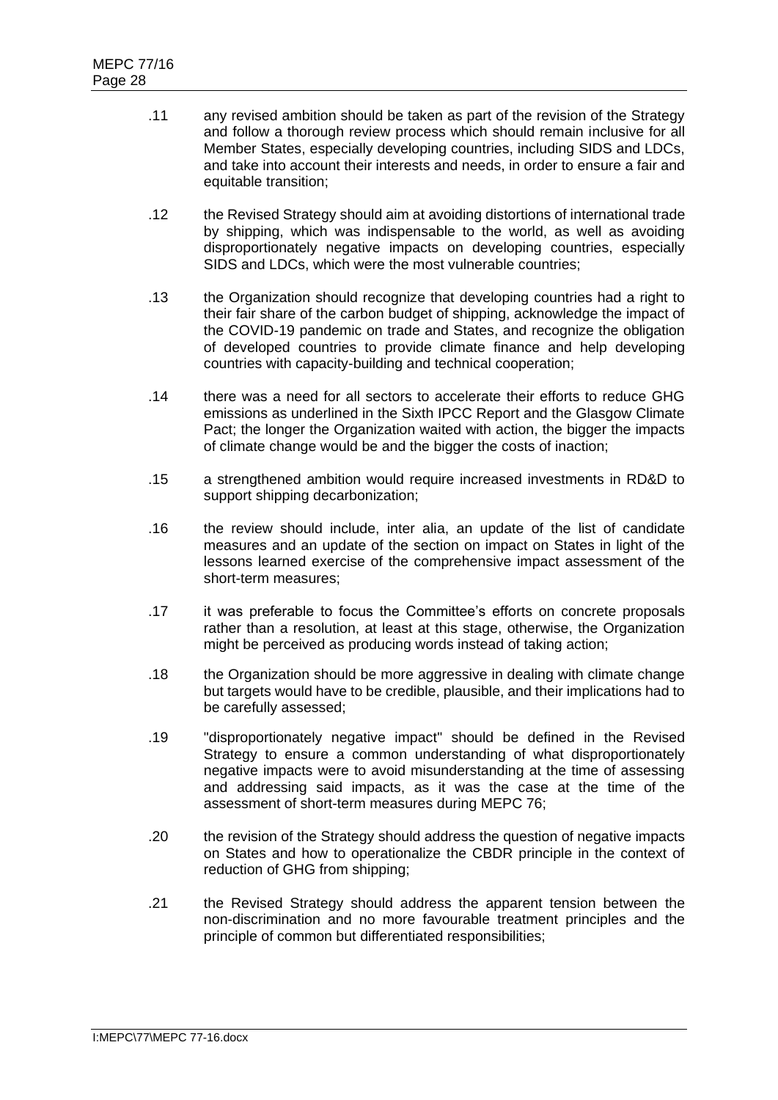- .11 any revised ambition should be taken as part of the revision of the Strategy and follow a thorough review process which should remain inclusive for all Member States, especially developing countries, including SIDS and LDCs, and take into account their interests and needs, in order to ensure a fair and equitable transition;
- .12 the Revised Strategy should aim at avoiding distortions of international trade by shipping, which was indispensable to the world, as well as avoiding disproportionately negative impacts on developing countries, especially SIDS and LDCs, which were the most vulnerable countries;
- .13 the Organization should recognize that developing countries had a right to their fair share of the carbon budget of shipping, acknowledge the impact of the COVID-19 pandemic on trade and States, and recognize the obligation of developed countries to provide climate finance and help developing countries with capacity-building and technical cooperation;
- .14 there was a need for all sectors to accelerate their efforts to reduce GHG emissions as underlined in the Sixth IPCC Report and the Glasgow Climate Pact; the longer the Organization waited with action, the bigger the impacts of climate change would be and the bigger the costs of inaction;
- .15 a strengthened ambition would require increased investments in RD&D to support shipping decarbonization;
- .16 the review should include, inter alia, an update of the list of candidate measures and an update of the section on impact on States in light of the lessons learned exercise of the comprehensive impact assessment of the short-term measures;
- .17 it was preferable to focus the Committee's efforts on concrete proposals rather than a resolution, at least at this stage, otherwise, the Organization might be perceived as producing words instead of taking action;
- .18 the Organization should be more aggressive in dealing with climate change but targets would have to be credible, plausible, and their implications had to be carefully assessed;
- .19 "disproportionately negative impact" should be defined in the Revised Strategy to ensure a common understanding of what disproportionately negative impacts were to avoid misunderstanding at the time of assessing and addressing said impacts, as it was the case at the time of the assessment of short-term measures during MEPC 76;
- .20 the revision of the Strategy should address the question of negative impacts on States and how to operationalize the CBDR principle in the context of reduction of GHG from shipping;
- .21 the Revised Strategy should address the apparent tension between the non-discrimination and no more favourable treatment principles and the principle of common but differentiated responsibilities;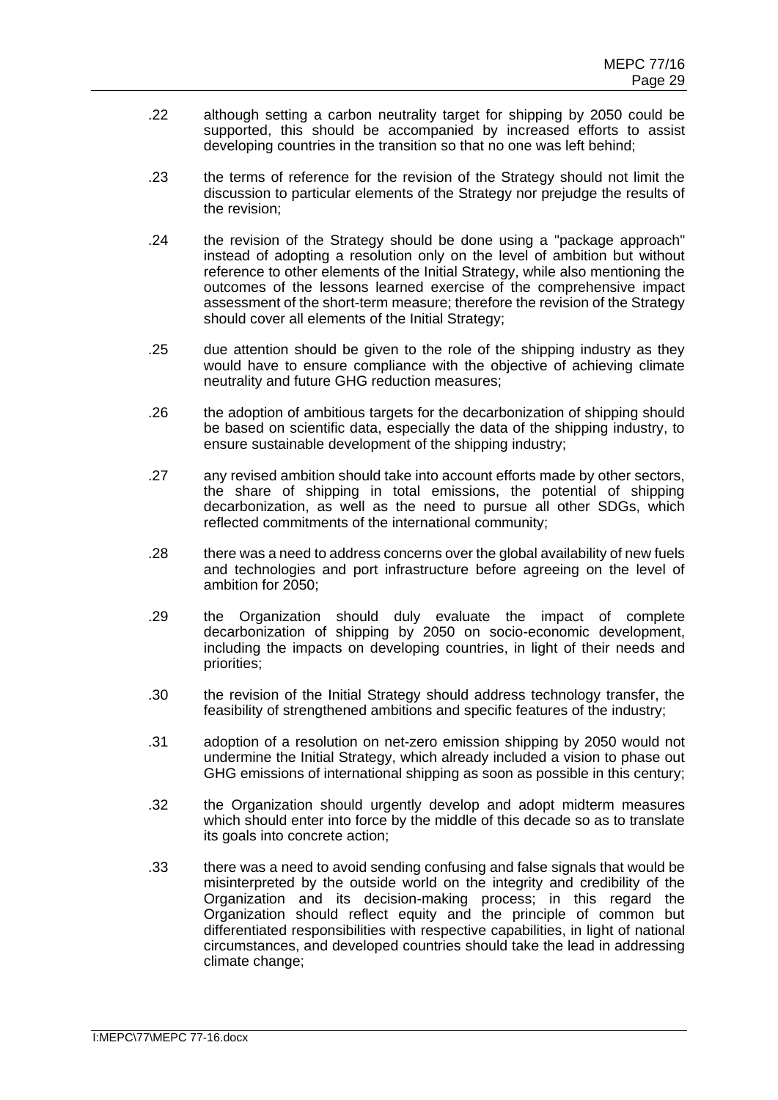- .22 although setting a carbon neutrality target for shipping by 2050 could be supported, this should be accompanied by increased efforts to assist developing countries in the transition so that no one was left behind;
- .23 the terms of reference for the revision of the Strategy should not limit the discussion to particular elements of the Strategy nor prejudge the results of the revision;
- .24 the revision of the Strategy should be done using a "package approach" instead of adopting a resolution only on the level of ambition but without reference to other elements of the Initial Strategy, while also mentioning the outcomes of the lessons learned exercise of the comprehensive impact assessment of the short-term measure; therefore the revision of the Strategy should cover all elements of the Initial Strategy;
- .25 due attention should be given to the role of the shipping industry as they would have to ensure compliance with the objective of achieving climate neutrality and future GHG reduction measures;
- .26 the adoption of ambitious targets for the decarbonization of shipping should be based on scientific data, especially the data of the shipping industry, to ensure sustainable development of the shipping industry;
- .27 any revised ambition should take into account efforts made by other sectors, the share of shipping in total emissions, the potential of shipping decarbonization, as well as the need to pursue all other SDGs, which reflected commitments of the international community;
- .28 there was a need to address concerns over the global availability of new fuels and technologies and port infrastructure before agreeing on the level of ambition for 2050;
- .29 the Organization should duly evaluate the impact of complete decarbonization of shipping by 2050 on socio-economic development, including the impacts on developing countries, in light of their needs and priorities;
- .30 the revision of the Initial Strategy should address technology transfer, the feasibility of strengthened ambitions and specific features of the industry;
- .31 adoption of a resolution on net-zero emission shipping by 2050 would not undermine the Initial Strategy, which already included a vision to phase out GHG emissions of international shipping as soon as possible in this century;
- .32 the Organization should urgently develop and adopt midterm measures which should enter into force by the middle of this decade so as to translate its goals into concrete action;
- .33 there was a need to avoid sending confusing and false signals that would be misinterpreted by the outside world on the integrity and credibility of the Organization and its decision-making process; in this regard the Organization should reflect equity and the principle of common but differentiated responsibilities with respective capabilities, in light of national circumstances, and developed countries should take the lead in addressing climate change;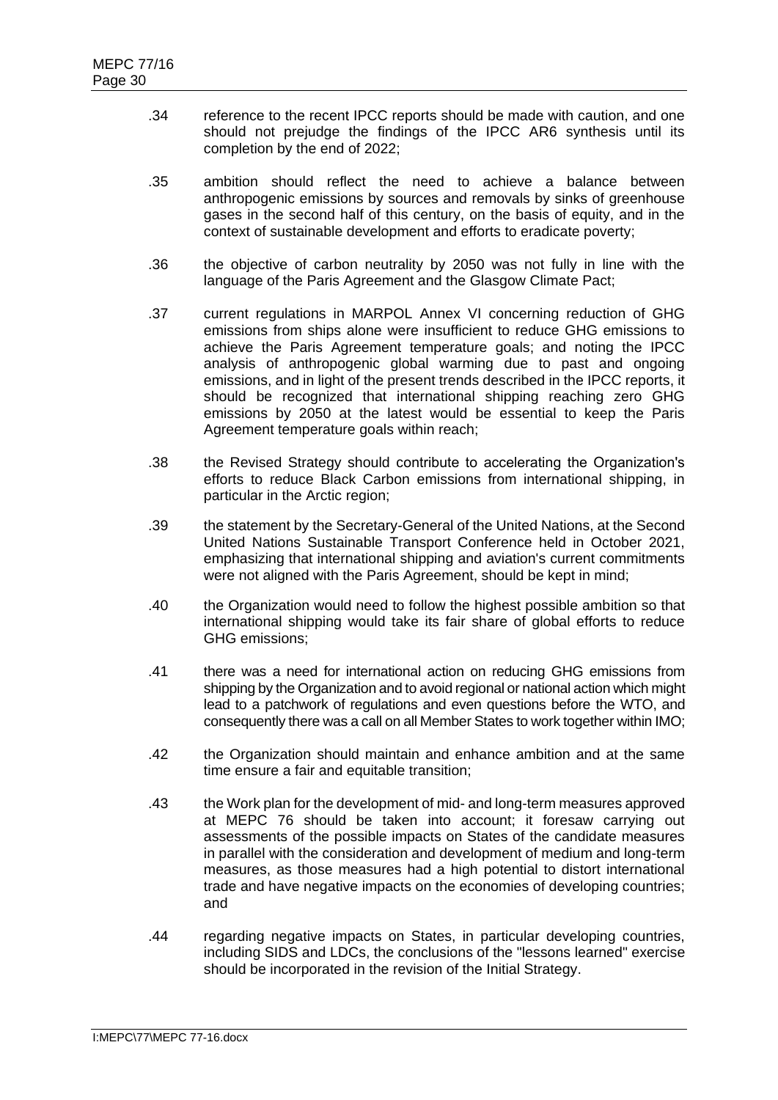- .34 reference to the recent IPCC reports should be made with caution, and one should not prejudge the findings of the IPCC AR6 synthesis until its completion by the end of 2022;
- .35 ambition should reflect the need to achieve a balance between anthropogenic emissions by sources and removals by sinks of greenhouse gases in the second half of this century, on the basis of equity, and in the context of sustainable development and efforts to eradicate poverty;
- .36 the objective of carbon neutrality by 2050 was not fully in line with the language of the Paris Agreement and the Glasgow Climate Pact;
- .37 current regulations in MARPOL Annex VI concerning reduction of GHG emissions from ships alone were insufficient to reduce GHG emissions to achieve the Paris Agreement temperature goals; and noting the IPCC analysis of anthropogenic global warming due to past and ongoing emissions, and in light of the present trends described in the IPCC reports, it should be recognized that international shipping reaching zero GHG emissions by 2050 at the latest would be essential to keep the Paris Agreement temperature goals within reach;
- .38 the Revised Strategy should contribute to accelerating the Organizationʹs efforts to reduce Black Carbon emissions from international shipping, in particular in the Arctic region;
- .39 the statement by the Secretary-General of the United Nations, at the Second United Nations Sustainable Transport Conference held in October 2021, emphasizing that international shipping and aviation's current commitments were not aligned with the Paris Agreement, should be kept in mind;
- .40 the Organization would need to follow the highest possible ambition so that international shipping would take its fair share of global efforts to reduce GHG emissions;
- .41 there was a need for international action on reducing GHG emissions from shipping by the Organization and to avoid regional or national action which might lead to a patchwork of regulations and even questions before the WTO, and consequently there was a call on all Member States to work together within IMO;
- .42 the Organization should maintain and enhance ambition and at the same time ensure a fair and equitable transition:
- .43 the Work plan for the development of mid- and long-term measures approved at MEPC 76 should be taken into account; it foresaw carrying out assessments of the possible impacts on States of the candidate measures in parallel with the consideration and development of medium and long-term measures, as those measures had a high potential to distort international trade and have negative impacts on the economies of developing countries; and
- .44 regarding negative impacts on States, in particular developing countries, including SIDS and LDCs, the conclusions of the "lessons learned" exercise should be incorporated in the revision of the Initial Strategy.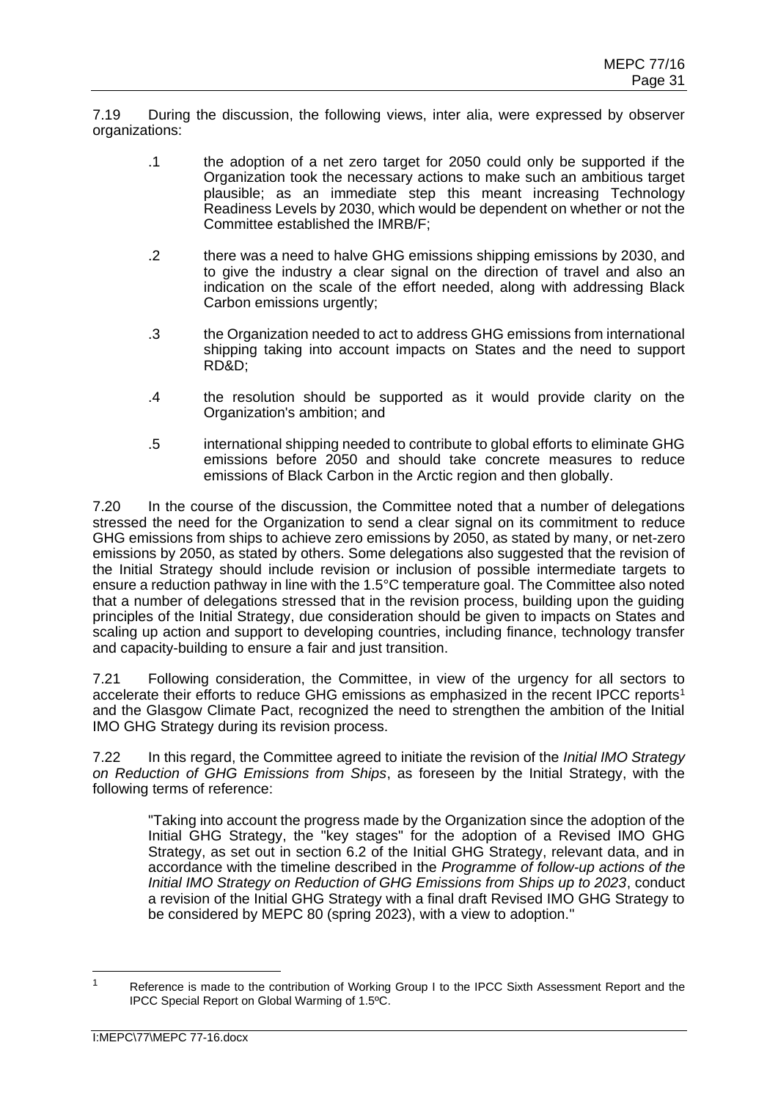7.19 During the discussion, the following views, inter alia, were expressed by observer organizations:

- .1 the adoption of a net zero target for 2050 could only be supported if the Organization took the necessary actions to make such an ambitious target plausible; as an immediate step this meant increasing Technology Readiness Levels by 2030, which would be dependent on whether or not the Committee established the IMRB/F;
- .2 there was a need to halve GHG emissions shipping emissions by 2030, and to give the industry a clear signal on the direction of travel and also an indication on the scale of the effort needed, along with addressing Black Carbon emissions urgently;
- .3 the Organization needed to act to address GHG emissions from international shipping taking into account impacts on States and the need to support RD&D;
- .4 the resolution should be supported as it would provide clarity on the Organization's ambition; and
- .5 international shipping needed to contribute to global efforts to eliminate GHG emissions before 2050 and should take concrete measures to reduce emissions of Black Carbon in the Arctic region and then globally.

7.20 In the course of the discussion, the Committee noted that a number of delegations stressed the need for the Organization to send a clear signal on its commitment to reduce GHG emissions from ships to achieve zero emissions by 2050, as stated by many, or net-zero emissions by 2050, as stated by others. Some delegations also suggested that the revision of the Initial Strategy should include revision or inclusion of possible intermediate targets to ensure a reduction pathway in line with the 1.5°C temperature goal. The Committee also noted that a number of delegations stressed that in the revision process, building upon the guiding principles of the Initial Strategy, due consideration should be given to impacts on States and scaling up action and support to developing countries, including finance, technology transfer and capacity-building to ensure a fair and just transition.

7.21 Following consideration, the Committee, in view of the urgency for all sectors to accelerate their efforts to reduce GHG emissions as emphasized in the recent IPCC reports<sup>1</sup> and the Glasgow Climate Pact, recognized the need to strengthen the ambition of the Initial IMO GHG Strategy during its revision process.

7.22 In this regard, the Committee agreed to initiate the revision of the *Initial IMO Strategy on Reduction of GHG Emissions from Ships*, as foreseen by the Initial Strategy, with the following terms of reference:

"Taking into account the progress made by the Organization since the adoption of the Initial GHG Strategy, the "key stages" for the adoption of a Revised IMO GHG Strategy, as set out in section 6.2 of the Initial GHG Strategy, relevant data, and in accordance with the timeline described in the *Programme of follow-up actions of the Initial IMO Strategy on Reduction of GHG Emissions from Ships up to 2023*, conduct a revision of the Initial GHG Strategy with a final draft Revised IMO GHG Strategy to be considered by MEPC 80 (spring 2023), with a view to adoption."

Reference is made to the contribution of Working Group I to the IPCC Sixth Assessment Report and the IPCC Special Report on Global Warming of 1.5ºC.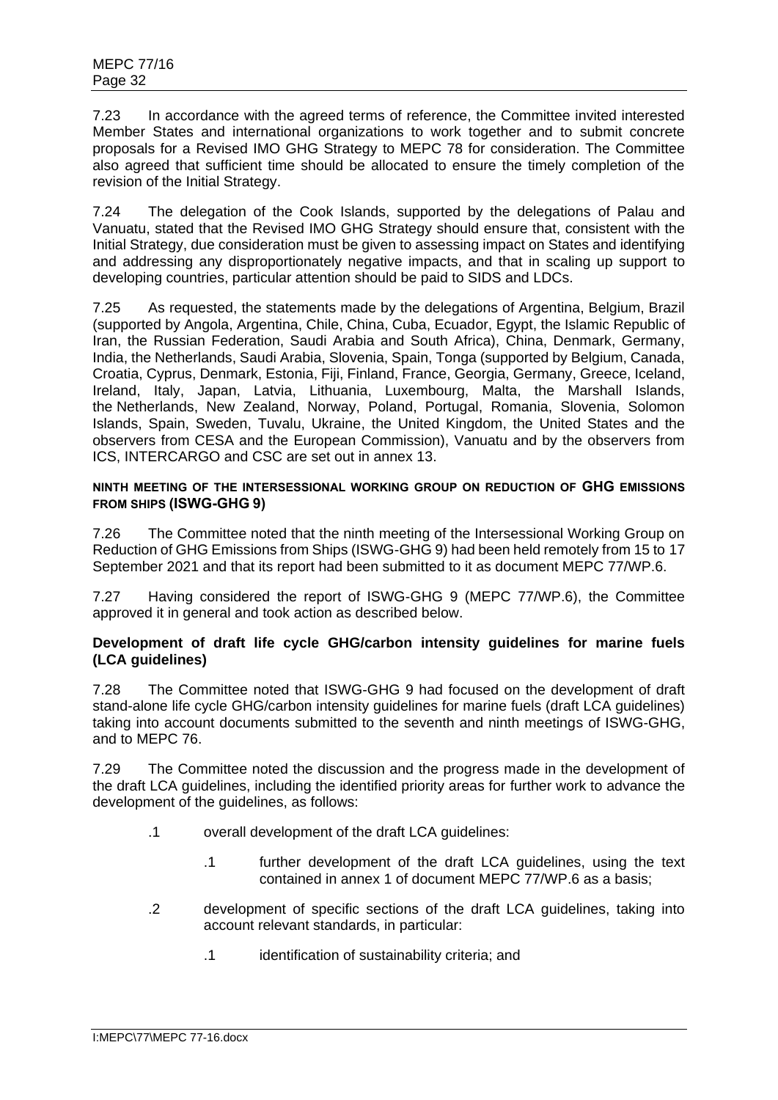7.23 In accordance with the agreed terms of reference, the Committee invited interested Member States and international organizations to work together and to submit concrete proposals for a Revised IMO GHG Strategy to MEPC 78 for consideration. The Committee also agreed that sufficient time should be allocated to ensure the timely completion of the revision of the Initial Strategy.

7.24 The delegation of the Cook Islands, supported by the delegations of Palau and Vanuatu, stated that the Revised IMO GHG Strategy should ensure that, consistent with the Initial Strategy, due consideration must be given to assessing impact on States and identifying and addressing any disproportionately negative impacts, and that in scaling up support to developing countries, particular attention should be paid to SIDS and LDCs.

7.25 As requested, the statements made by the delegations of Argentina, Belgium, Brazil (supported by Angola, Argentina, Chile, China, Cuba, Ecuador, Egypt, the Islamic Republic of Iran, the Russian Federation, Saudi Arabia and South Africa), China, Denmark, Germany, India, the Netherlands, Saudi Arabia, Slovenia, Spain, Tonga (supported by Belgium, Canada, Croatia, Cyprus, Denmark, Estonia, Fiji, Finland, France, Georgia, Germany, Greece, Iceland, Ireland, Italy, Japan, Latvia, Lithuania, Luxembourg, Malta, the Marshall Islands, the Netherlands, New Zealand, Norway, Poland, Portugal, Romania, Slovenia, Solomon Islands, Spain, Sweden, Tuvalu, Ukraine, the United Kingdom, the United States and the observers from CESA and the European Commission), Vanuatu and by the observers from ICS, INTERCARGO and CSC are set out in annex 13.

### **NINTH MEETING OF THE INTERSESSIONAL WORKING GROUP ON REDUCTION OF GHG EMISSIONS FROM SHIPS (ISWG-GHG 9)**

7.26 The Committee noted that the ninth meeting of the Intersessional Working Group on Reduction of GHG Emissions from Ships (ISWG-GHG 9) had been held remotely from 15 to 17 September 2021 and that its report had been submitted to it as document MEPC 77/WP.6.

7.27 Having considered the report of ISWG-GHG 9 (MEPC 77/WP.6), the Committee approved it in general and took action as described below.

# **Development of draft life cycle GHG/carbon intensity guidelines for marine fuels (LCA guidelines)**

7.28 The Committee noted that ISWG-GHG 9 had focused on the development of draft stand-alone life cycle GHG/carbon intensity guidelines for marine fuels (draft LCA guidelines) taking into account documents submitted to the seventh and ninth meetings of ISWG-GHG, and to MEPC 76.

7.29 The Committee noted the discussion and the progress made in the development of the draft LCA guidelines, including the identified priority areas for further work to advance the development of the guidelines, as follows:

- .1 overall development of the draft LCA guidelines:
	- .1 further development of the draft LCA guidelines, using the text contained in annex 1 of document MEPC 77/WP.6 as a basis;
- .2 development of specific sections of the draft LCA guidelines, taking into account relevant standards, in particular:
	- .1 identification of sustainability criteria; and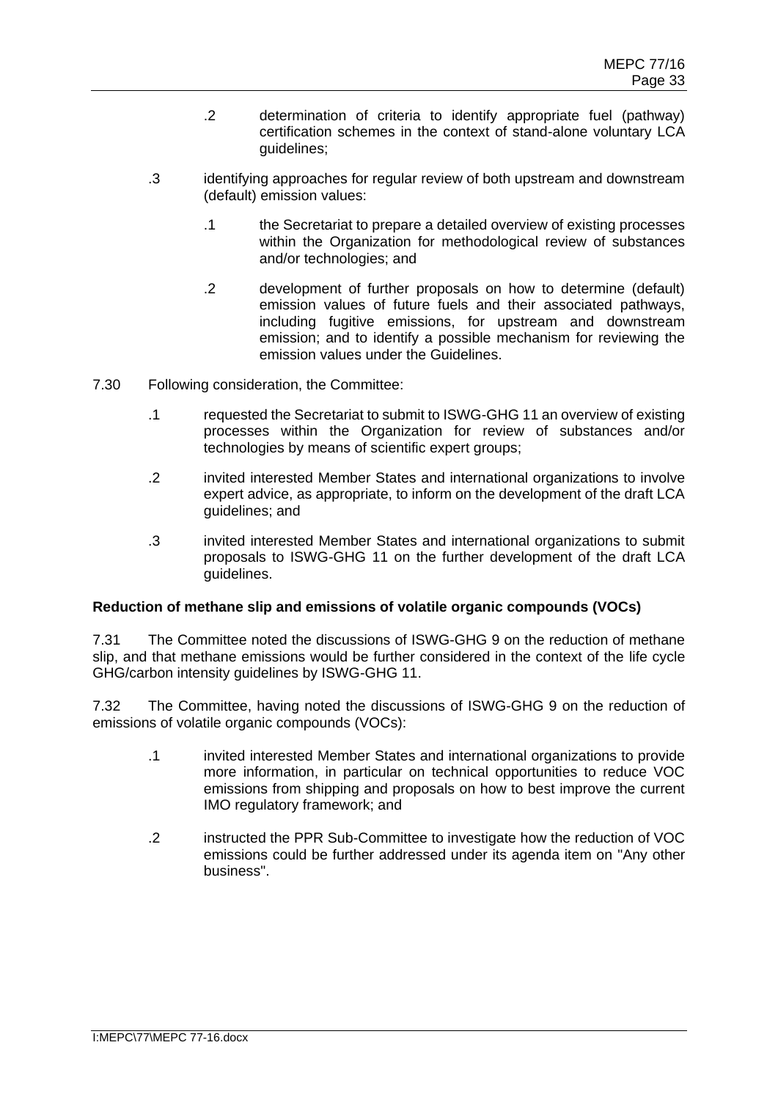- .2 determination of criteria to identify appropriate fuel (pathway) certification schemes in the context of stand-alone voluntary LCA guidelines;
- .3 identifying approaches for regular review of both upstream and downstream (default) emission values:
	- .1 the Secretariat to prepare a detailed overview of existing processes within the Organization for methodological review of substances and/or technologies; and
	- .2 development of further proposals on how to determine (default) emission values of future fuels and their associated pathways, including fugitive emissions, for upstream and downstream emission; and to identify a possible mechanism for reviewing the emission values under the Guidelines.
- 7.30 Following consideration, the Committee:
	- .1 requested the Secretariat to submit to ISWG-GHG 11 an overview of existing processes within the Organization for review of substances and/or technologies by means of scientific expert groups;
	- .2 invited interested Member States and international organizations to involve expert advice, as appropriate, to inform on the development of the draft LCA guidelines; and
	- .3 invited interested Member States and international organizations to submit proposals to ISWG-GHG 11 on the further development of the draft LCA guidelines.

# **Reduction of methane slip and emissions of volatile organic compounds (VOCs)**

7.31 The Committee noted the discussions of ISWG-GHG 9 on the reduction of methane slip, and that methane emissions would be further considered in the context of the life cycle GHG/carbon intensity guidelines by ISWG-GHG 11.

7.32 The Committee, having noted the discussions of ISWG-GHG 9 on the reduction of emissions of volatile organic compounds (VOCs):

- .1 invited interested Member States and international organizations to provide more information, in particular on technical opportunities to reduce VOC emissions from shipping and proposals on how to best improve the current IMO regulatory framework; and
- .2 instructed the PPR Sub-Committee to investigate how the reduction of VOC emissions could be further addressed under its agenda item on "Any other business".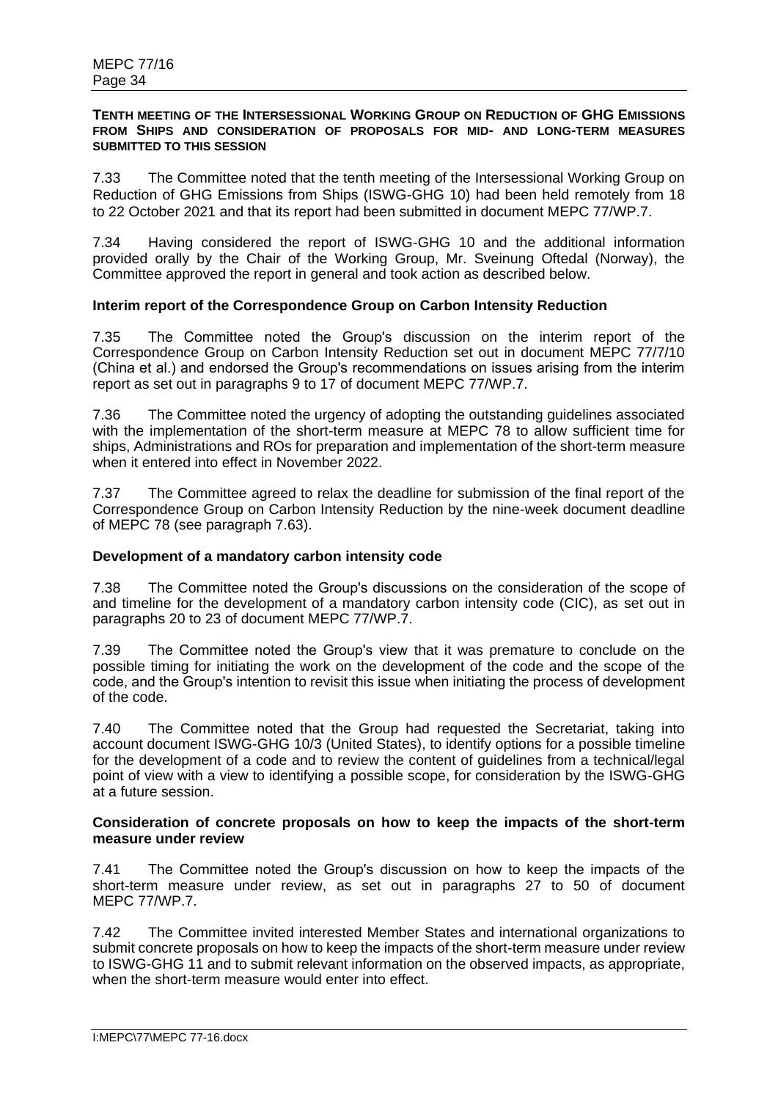#### **TENTH MEETING OF THE INTERSESSIONAL WORKING GROUP ON REDUCTION OF GHG EMISSIONS FROM SHIPS AND CONSIDERATION OF PROPOSALS FOR MID- AND LONG-TERM MEASURES SUBMITTED TO THIS SESSION**

7.33 The Committee noted that the tenth meeting of the Intersessional Working Group on Reduction of GHG Emissions from Ships (ISWG-GHG 10) had been held remotely from 18 to 22 October 2021 and that its report had been submitted in document MEPC 77/WP.7.

7.34 Having considered the report of ISWG-GHG 10 and the additional information provided orally by the Chair of the Working Group, Mr. Sveinung Oftedal (Norway), the Committee approved the report in general and took action as described below.

### **Interim report of the Correspondence Group on Carbon Intensity Reduction**

7.35 The Committee noted the Groupʹs discussion on the interim report of the Correspondence Group on Carbon Intensity Reduction set out in document MEPC 77/7/10 (China et al.) and endorsed the Groupʹs recommendations on issues arising from the interim report as set out in paragraphs 9 to 17 of document MEPC 77/WP.7.

7.36 The Committee noted the urgency of adopting the outstanding guidelines associated with the implementation of the short-term measure at MEPC 78 to allow sufficient time for ships, Administrations and ROs for preparation and implementation of the short-term measure when it entered into effect in November 2022.

7.37 The Committee agreed to relax the deadline for submission of the final report of the Correspondence Group on Carbon Intensity Reduction by the nine-week document deadline of MEPC 78 (see paragraph 7.63).

### **Development of a mandatory carbon intensity code**

7.38 The Committee noted the Groupʹs discussions on the consideration of the scope of and timeline for the development of a mandatory carbon intensity code (CIC), as set out in paragraphs 20 to 23 of document MEPC 77/WP.7.

7.39 The Committee noted the Groupʹs view that it was premature to conclude on the possible timing for initiating the work on the development of the code and the scope of the code, and the Groupʹs intention to revisit this issue when initiating the process of development of the code.

7.40 The Committee noted that the Group had requested the Secretariat, taking into account document ISWG-GHG 10/3 (United States), to identify options for a possible timeline for the development of a code and to review the content of guidelines from a technical/legal point of view with a view to identifying a possible scope, for consideration by the ISWG-GHG at a future session.

#### **Consideration of concrete proposals on how to keep the impacts of the short-term measure under review**

7.41 The Committee noted the Groupʹs discussion on how to keep the impacts of the short-term measure under review, as set out in paragraphs 27 to 50 of document MEPC 77/WP.7.

7.42 The Committee invited interested Member States and international organizations to submit concrete proposals on how to keep the impacts of the short-term measure under review to ISWG-GHG 11 and to submit relevant information on the observed impacts, as appropriate, when the short-term measure would enter into effect.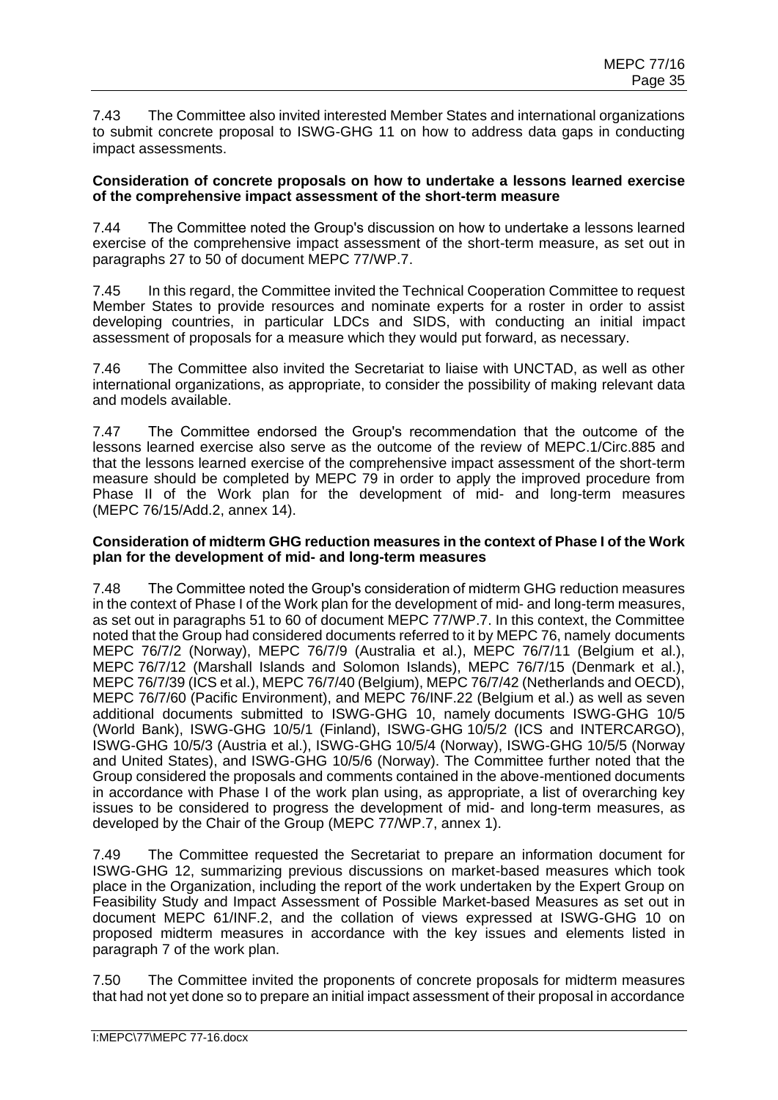7.43 The Committee also invited interested Member States and international organizations to submit concrete proposal to ISWG-GHG 11 on how to address data gaps in conducting impact assessments.

### **Consideration of concrete proposals on how to undertake a lessons learned exercise of the comprehensive impact assessment of the short-term measure**

7.44 The Committee noted the Groupʹs discussion on how to undertake a lessons learned exercise of the comprehensive impact assessment of the short-term measure, as set out in paragraphs 27 to 50 of document MEPC 77/WP.7.

7.45 In this regard, the Committee invited the Technical Cooperation Committee to request Member States to provide resources and nominate experts for a roster in order to assist developing countries, in particular LDCs and SIDS, with conducting an initial impact assessment of proposals for a measure which they would put forward, as necessary.

7.46 The Committee also invited the Secretariat to liaise with UNCTAD, as well as other international organizations, as appropriate, to consider the possibility of making relevant data and models available.

7.47 The Committee endorsed the Groupʹs recommendation that the outcome of the lessons learned exercise also serve as the outcome of the review of MEPC.1/Circ.885 and that the lessons learned exercise of the comprehensive impact assessment of the short-term measure should be completed by MEPC 79 in order to apply the improved procedure from Phase II of the Work plan for the development of mid- and long-term measures (MEPC 76/15/Add.2, annex 14).

### **Consideration of midterm GHG reduction measures in the context of Phase I of the Work plan for the development of mid- and long-term measures**

7.48 The Committee noted the Groupʹs consideration of midterm GHG reduction measures in the context of Phase I of the Work plan for the development of mid- and long-term measures, as set out in paragraphs 51 to 60 of document MEPC 77/WP.7. In this context, the Committee noted that the Group had considered documents referred to it by MEPC 76, namely documents MEPC 76/7/2 (Norway), MEPC 76/7/9 (Australia et al.), MEPC 76/7/11 (Belgium et al.), MEPC 76/7/12 (Marshall Islands and Solomon Islands), MEPC 76/7/15 (Denmark et al.), MEPC 76/7/39 (ICS et al.), MEPC 76/7/40 (Belgium), MEPC 76/7/42 (Netherlands and OECD), MEPC 76/7/60 (Pacific Environment), and MEPC 76/INF.22 (Belgium et al.) as well as seven additional documents submitted to ISWG-GHG 10, namely documents ISWG-GHG 10/5 (World Bank), ISWG-GHG 10/5/1 (Finland), ISWG-GHG 10/5/2 (ICS and INTERCARGO), ISWG-GHG 10/5/3 (Austria et al.), ISWG-GHG 10/5/4 (Norway), ISWG-GHG 10/5/5 (Norway and United States), and ISWG-GHG 10/5/6 (Norway). The Committee further noted that the Group considered the proposals and comments contained in the above-mentioned documents in accordance with Phase I of the work plan using, as appropriate, a list of overarching key issues to be considered to progress the development of mid- and long-term measures, as developed by the Chair of the Group (MEPC 77/WP.7, annex 1).

7.49 The Committee requested the Secretariat to prepare an information document for ISWG-GHG 12, summarizing previous discussions on market-based measures which took place in the Organization, including the report of the work undertaken by the Expert Group on Feasibility Study and Impact Assessment of Possible Market-based Measures as set out in document MEPC 61/INF.2, and the collation of views expressed at ISWG-GHG 10 on proposed midterm measures in accordance with the key issues and elements listed in paragraph 7 of the work plan.

7.50 The Committee invited the proponents of concrete proposals for midterm measures that had not yet done so to prepare an initial impact assessment of their proposal in accordance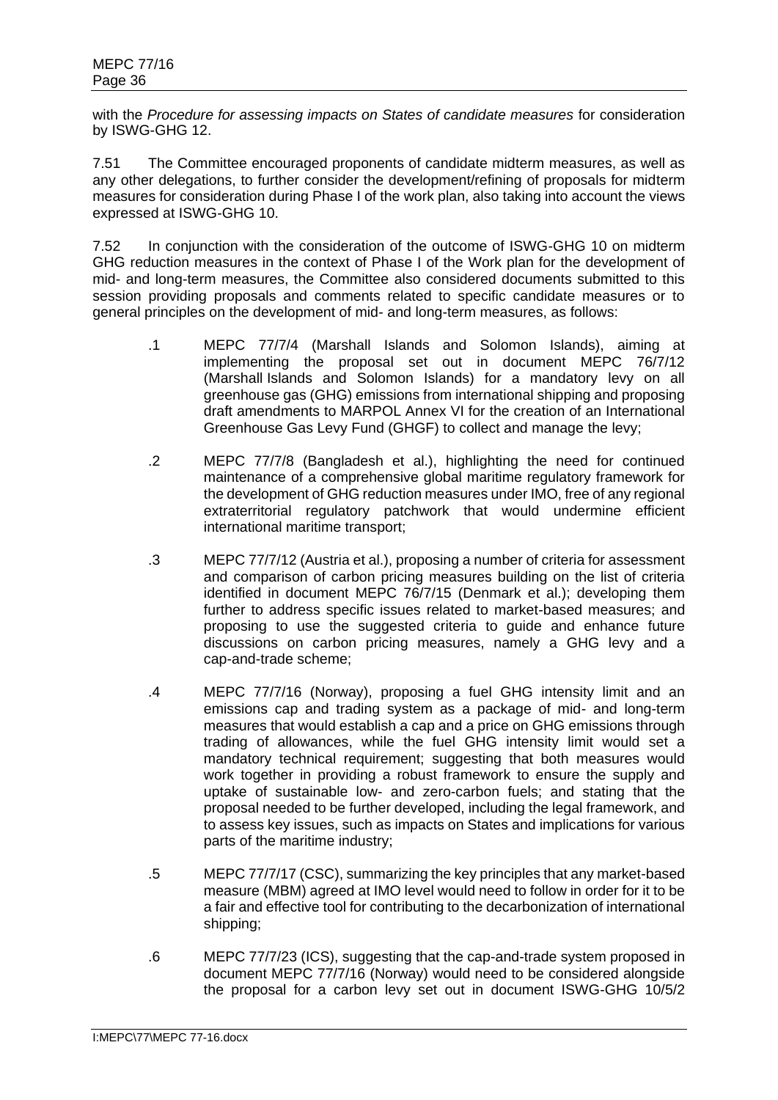with the *Procedure for assessing impacts on States of candidate measures* for consideration by ISWG-GHG 12.

7.51 The Committee encouraged proponents of candidate midterm measures, as well as any other delegations, to further consider the development/refining of proposals for midterm measures for consideration during Phase I of the work plan, also taking into account the views expressed at ISWG-GHG 10.

7.52 In conjunction with the consideration of the outcome of ISWG-GHG 10 on midterm GHG reduction measures in the context of Phase I of the Work plan for the development of mid- and long-term measures, the Committee also considered documents submitted to this session providing proposals and comments related to specific candidate measures or to general principles on the development of mid- and long-term measures, as follows:

- .1 MEPC 77/7/4 (Marshall Islands and Solomon Islands), aiming at implementing the proposal set out in document MEPC 76/7/12 (Marshall Islands and Solomon Islands) for a mandatory levy on all greenhouse gas (GHG) emissions from international shipping and proposing draft amendments to MARPOL Annex VI for the creation of an International Greenhouse Gas Levy Fund (GHGF) to collect and manage the levy;
- .2 MEPC 77/7/8 (Bangladesh et al.), highlighting the need for continued maintenance of a comprehensive global maritime regulatory framework for the development of GHG reduction measures under IMO, free of any regional extraterritorial regulatory patchwork that would undermine efficient international maritime transport;
- .3 MEPC 77/7/12 (Austria et al.), proposing a number of criteria for assessment and comparison of carbon pricing measures building on the list of criteria identified in document MEPC 76/7/15 (Denmark et al.); developing them further to address specific issues related to market-based measures; and proposing to use the suggested criteria to guide and enhance future discussions on carbon pricing measures, namely a GHG levy and a cap-and-trade scheme;
- .4 MEPC 77/7/16 (Norway), proposing a fuel GHG intensity limit and an emissions cap and trading system as a package of mid- and long-term measures that would establish a cap and a price on GHG emissions through trading of allowances, while the fuel GHG intensity limit would set a mandatory technical requirement; suggesting that both measures would work together in providing a robust framework to ensure the supply and uptake of sustainable low- and zero-carbon fuels; and stating that the proposal needed to be further developed, including the legal framework, and to assess key issues, such as impacts on States and implications for various parts of the maritime industry;
- .5 MEPC 77/7/17 (CSC), summarizing the key principles that any market-based measure (MBM) agreed at IMO level would need to follow in order for it to be a fair and effective tool for contributing to the decarbonization of international shipping;
- .6 MEPC 77/7/23 (ICS), suggesting that the cap-and-trade system proposed in document MEPC 77/7/16 (Norway) would need to be considered alongside the proposal for a carbon levy set out in document ISWG-GHG 10/5/2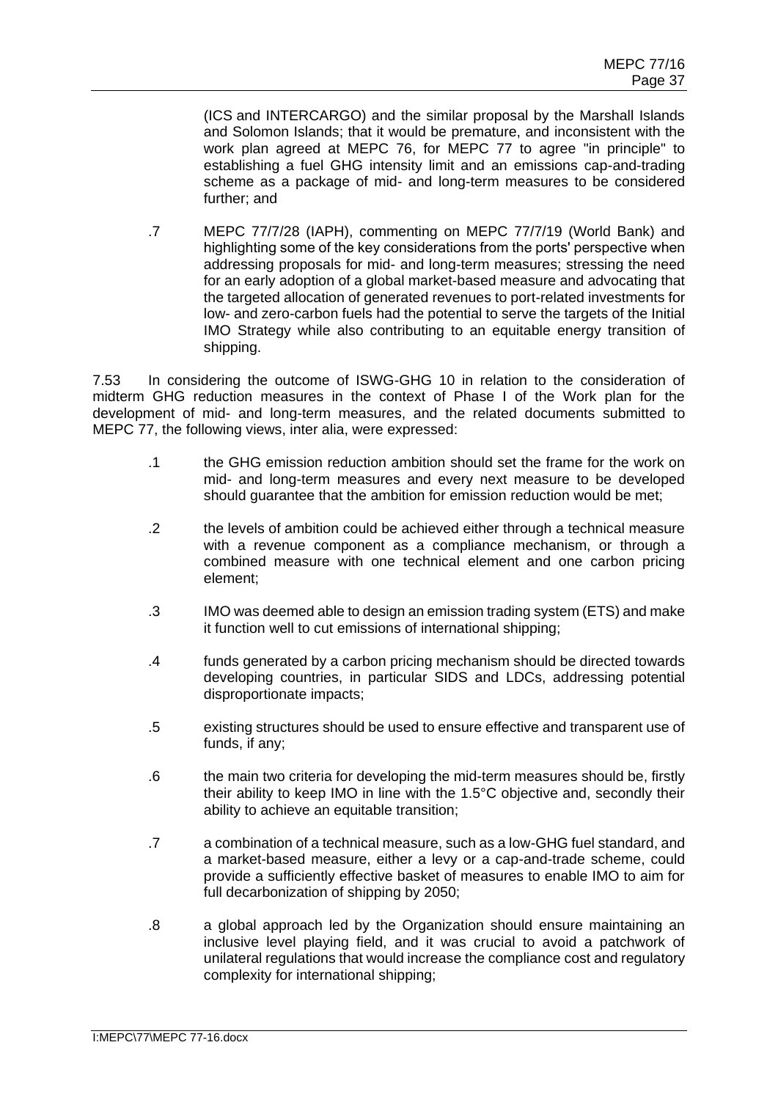(ICS and INTERCARGO) and the similar proposal by the Marshall Islands and Solomon Islands; that it would be premature, and inconsistent with the work plan agreed at MEPC 76, for MEPC 77 to agree "in principle" to establishing a fuel GHG intensity limit and an emissions cap-and-trading scheme as a package of mid- and long-term measures to be considered further; and

.7 MEPC 77/7/28 (IAPH), commenting on MEPC 77/7/19 (World Bank) and highlighting some of the key considerations from the ports' perspective when addressing proposals for mid- and long-term measures; stressing the need for an early adoption of a global market-based measure and advocating that the targeted allocation of generated revenues to port-related investments for low- and zero-carbon fuels had the potential to serve the targets of the Initial IMO Strategy while also contributing to an equitable energy transition of shipping.

7.53 In considering the outcome of ISWG-GHG 10 in relation to the consideration of midterm GHG reduction measures in the context of Phase I of the Work plan for the development of mid- and long-term measures, and the related documents submitted to MEPC 77, the following views, inter alia, were expressed:

- .1 the GHG emission reduction ambition should set the frame for the work on mid- and long-term measures and every next measure to be developed should guarantee that the ambition for emission reduction would be met;
- .2 the levels of ambition could be achieved either through a technical measure with a revenue component as a compliance mechanism, or through a combined measure with one technical element and one carbon pricing element;
- .3 IMO was deemed able to design an emission trading system (ETS) and make it function well to cut emissions of international shipping;
- .4 funds generated by a carbon pricing mechanism should be directed towards developing countries, in particular SIDS and LDCs, addressing potential disproportionate impacts;
- .5 existing structures should be used to ensure effective and transparent use of funds, if any;
- .6 the main two criteria for developing the mid-term measures should be, firstly their ability to keep IMO in line with the 1.5°C objective and, secondly their ability to achieve an equitable transition;
- .7 a combination of a technical measure, such as a low-GHG fuel standard, and a market-based measure, either a levy or a cap-and-trade scheme, could provide a sufficiently effective basket of measures to enable IMO to aim for full decarbonization of shipping by 2050;
- .8 a global approach led by the Organization should ensure maintaining an inclusive level playing field, and it was crucial to avoid a patchwork of unilateral regulations that would increase the compliance cost and regulatory complexity for international shipping;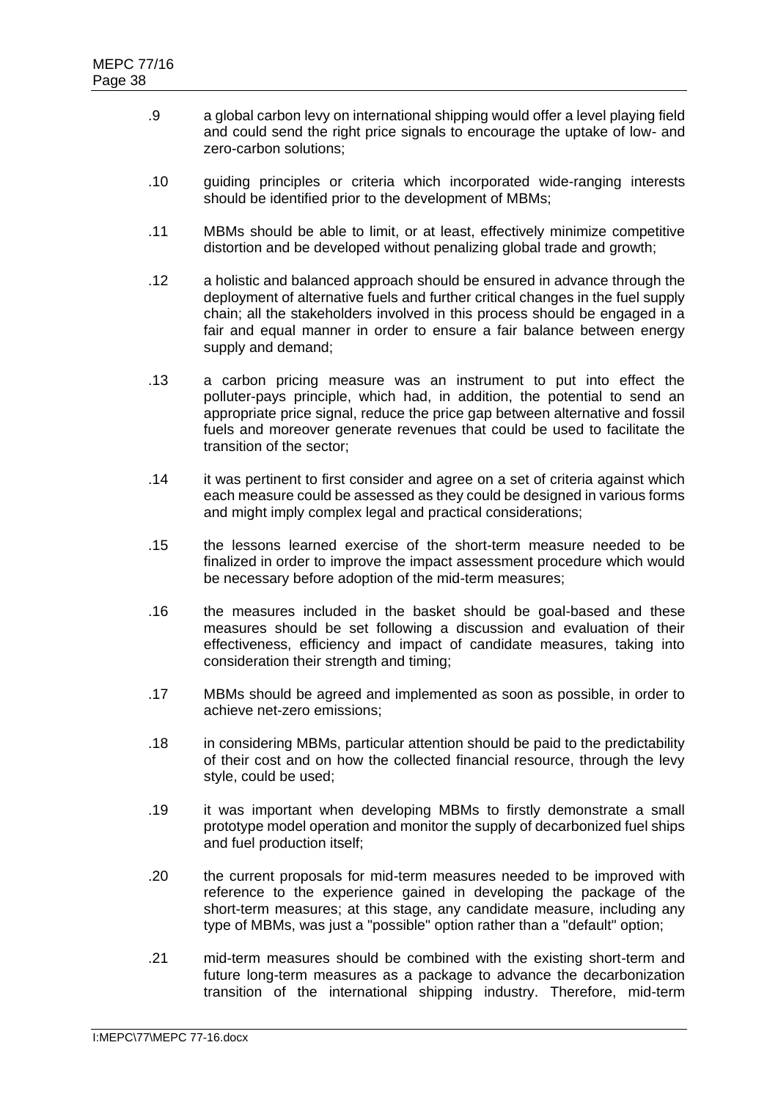- .9 a global carbon levy on international shipping would offer a level playing field and could send the right price signals to encourage the uptake of low- and zero-carbon solutions;
- .10 guiding principles or criteria which incorporated wide-ranging interests should be identified prior to the development of MBMs;
- .11 MBMs should be able to limit, or at least, effectively minimize competitive distortion and be developed without penalizing global trade and growth;
- .12 a holistic and balanced approach should be ensured in advance through the deployment of alternative fuels and further critical changes in the fuel supply chain; all the stakeholders involved in this process should be engaged in a fair and equal manner in order to ensure a fair balance between energy supply and demand;
- .13 a carbon pricing measure was an instrument to put into effect the polluter-pays principle, which had, in addition, the potential to send an appropriate price signal, reduce the price gap between alternative and fossil fuels and moreover generate revenues that could be used to facilitate the transition of the sector;
- .14 it was pertinent to first consider and agree on a set of criteria against which each measure could be assessed as they could be designed in various forms and might imply complex legal and practical considerations;
- .15 the lessons learned exercise of the short-term measure needed to be finalized in order to improve the impact assessment procedure which would be necessary before adoption of the mid-term measures;
- .16 the measures included in the basket should be goal-based and these measures should be set following a discussion and evaluation of their effectiveness, efficiency and impact of candidate measures, taking into consideration their strength and timing;
- .17 MBMs should be agreed and implemented as soon as possible, in order to achieve net-zero emissions;
- .18 in considering MBMs, particular attention should be paid to the predictability of their cost and on how the collected financial resource, through the levy style, could be used;
- .19 it was important when developing MBMs to firstly demonstrate a small prototype model operation and monitor the supply of decarbonized fuel ships and fuel production itself;
- .20 the current proposals for mid-term measures needed to be improved with reference to the experience gained in developing the package of the short-term measures; at this stage, any candidate measure, including any type of MBMs, was just a "possible" option rather than a "default" option;
- .21 mid-term measures should be combined with the existing short-term and future long-term measures as a package to advance the decarbonization transition of the international shipping industry. Therefore, mid-term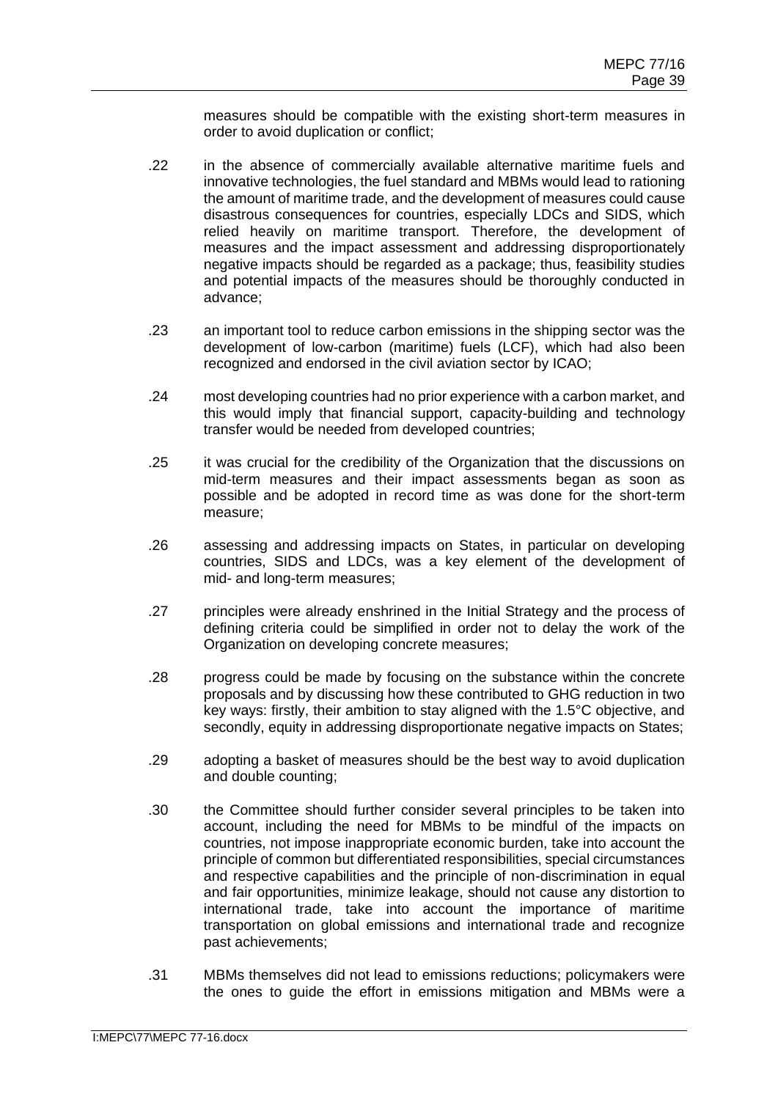measures should be compatible with the existing short-term measures in order to avoid duplication or conflict;

- .22 in the absence of commercially available alternative maritime fuels and innovative technologies, the fuel standard and MBMs would lead to rationing the amount of maritime trade, and the development of measures could cause disastrous consequences for countries, especially LDCs and SIDS, which relied heavily on maritime transport. Therefore, the development of measures and the impact assessment and addressing disproportionately negative impacts should be regarded as a package; thus, feasibility studies and potential impacts of the measures should be thoroughly conducted in advance;
- .23 an important tool to reduce carbon emissions in the shipping sector was the development of low-carbon (maritime) fuels (LCF), which had also been recognized and endorsed in the civil aviation sector by ICAO;
- .24 most developing countries had no prior experience with a carbon market, and this would imply that financial support, capacity-building and technology transfer would be needed from developed countries;
- .25 it was crucial for the credibility of the Organization that the discussions on mid-term measures and their impact assessments began as soon as possible and be adopted in record time as was done for the short-term measure;
- .26 assessing and addressing impacts on States, in particular on developing countries, SIDS and LDCs, was a key element of the development of mid- and long-term measures;
- .27 principles were already enshrined in the Initial Strategy and the process of defining criteria could be simplified in order not to delay the work of the Organization on developing concrete measures;
- .28 progress could be made by focusing on the substance within the concrete proposals and by discussing how these contributed to GHG reduction in two key ways: firstly, their ambition to stay aligned with the 1.5°C objective, and secondly, equity in addressing disproportionate negative impacts on States;
- .29 adopting a basket of measures should be the best way to avoid duplication and double counting;
- .30 the Committee should further consider several principles to be taken into account, including the need for MBMs to be mindful of the impacts on countries, not impose inappropriate economic burden, take into account the principle of common but differentiated responsibilities, special circumstances and respective capabilities and the principle of non-discrimination in equal and fair opportunities, minimize leakage, should not cause any distortion to international trade, take into account the importance of maritime transportation on global emissions and international trade and recognize past achievements;
- .31 MBMs themselves did not lead to emissions reductions; policymakers were the ones to guide the effort in emissions mitigation and MBMs were a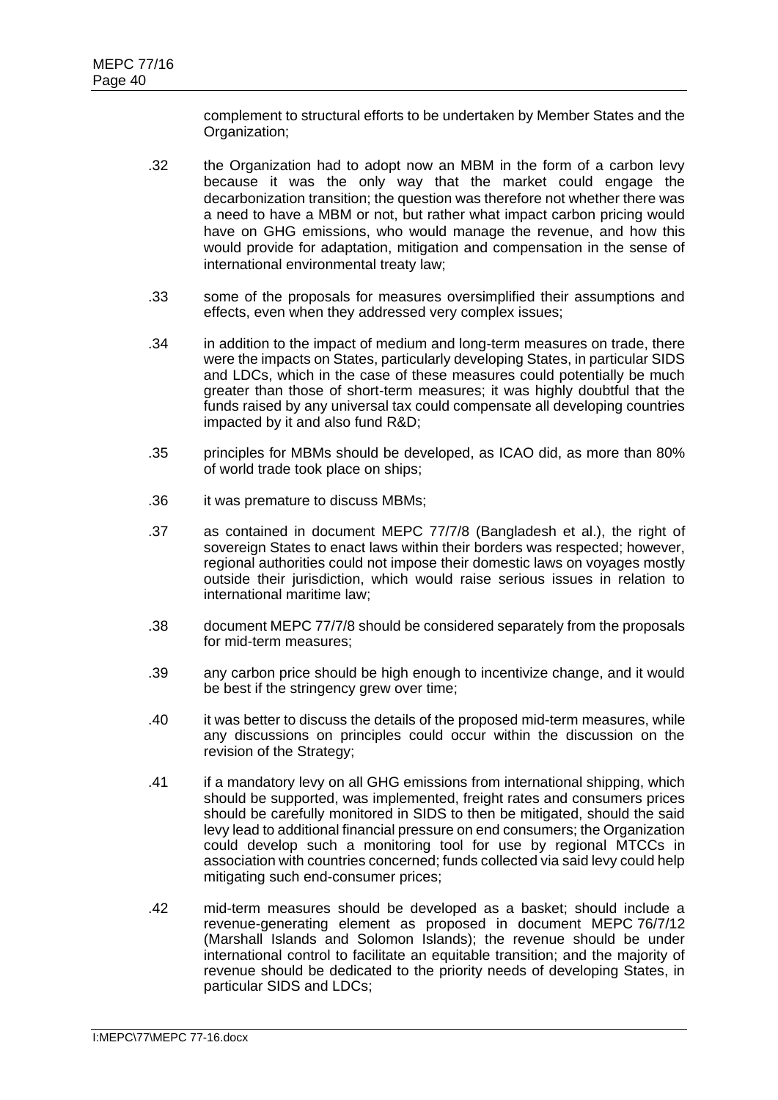complement to structural efforts to be undertaken by Member States and the Organization;

- .32 the Organization had to adopt now an MBM in the form of a carbon levy because it was the only way that the market could engage the decarbonization transition; the question was therefore not whether there was a need to have a MBM or not, but rather what impact carbon pricing would have on GHG emissions, who would manage the revenue, and how this would provide for adaptation, mitigation and compensation in the sense of international environmental treaty law;
- .33 some of the proposals for measures oversimplified their assumptions and effects, even when they addressed very complex issues;
- .34 in addition to the impact of medium and long-term measures on trade, there were the impacts on States, particularly developing States, in particular SIDS and LDCs, which in the case of these measures could potentially be much greater than those of short-term measures; it was highly doubtful that the funds raised by any universal tax could compensate all developing countries impacted by it and also fund R&D;
- .35 principles for MBMs should be developed, as ICAO did, as more than 80% of world trade took place on ships;
- .36 it was premature to discuss MBMs;
- .37 as contained in document MEPC 77/7/8 (Bangladesh et al.), the right of sovereign States to enact laws within their borders was respected; however, regional authorities could not impose their domestic laws on voyages mostly outside their jurisdiction, which would raise serious issues in relation to international maritime law;
- .38 document MEPC 77/7/8 should be considered separately from the proposals for mid-term measures;
- .39 any carbon price should be high enough to incentivize change, and it would be best if the stringency grew over time;
- .40 it was better to discuss the details of the proposed mid-term measures, while any discussions on principles could occur within the discussion on the revision of the Strategy;
- .41 if a mandatory levy on all GHG emissions from international shipping, which should be supported, was implemented, freight rates and consumers prices should be carefully monitored in SIDS to then be mitigated, should the said levy lead to additional financial pressure on end consumers; the Organization could develop such a monitoring tool for use by regional MTCCs in association with countries concerned; funds collected via said levy could help mitigating such end-consumer prices;
- .42 mid-term measures should be developed as a basket; should include a revenue-generating element as proposed in document MEPC 76/7/12 (Marshall Islands and Solomon Islands); the revenue should be under international control to facilitate an equitable transition; and the majority of revenue should be dedicated to the priority needs of developing States, in particular SIDS and LDCs;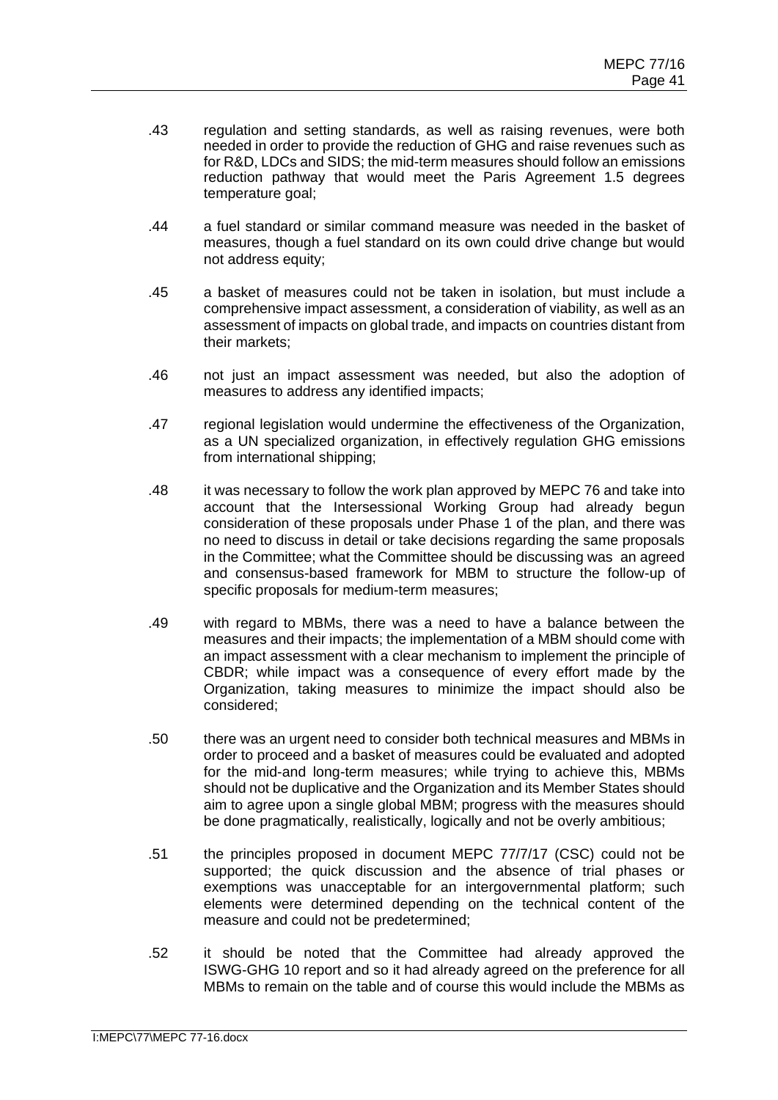- .43 regulation and setting standards, as well as raising revenues, were both needed in order to provide the reduction of GHG and raise revenues such as for R&D, LDCs and SIDS; the mid-term measures should follow an emissions reduction pathway that would meet the Paris Agreement 1.5 degrees temperature goal;
- .44 a fuel standard or similar command measure was needed in the basket of measures, though a fuel standard on its own could drive change but would not address equity;
- .45 a basket of measures could not be taken in isolation, but must include a comprehensive impact assessment, a consideration of viability, as well as an assessment of impacts on global trade, and impacts on countries distant from their markets;
- .46 not just an impact assessment was needed, but also the adoption of measures to address any identified impacts;
- .47 regional legislation would undermine the effectiveness of the Organization, as a UN specialized organization, in effectively regulation GHG emissions from international shipping;
- .48 it was necessary to follow the work plan approved by MEPC 76 and take into account that the Intersessional Working Group had already begun consideration of these proposals under Phase 1 of the plan, and there was no need to discuss in detail or take decisions regarding the same proposals in the Committee; what the Committee should be discussing was an agreed and consensus-based framework for MBM to structure the follow-up of specific proposals for medium-term measures;
- .49 with regard to MBMs, there was a need to have a balance between the measures and their impacts; the implementation of a MBM should come with an impact assessment with a clear mechanism to implement the principle of CBDR; while impact was a consequence of every effort made by the Organization, taking measures to minimize the impact should also be considered;
- .50 there was an urgent need to consider both technical measures and MBMs in order to proceed and a basket of measures could be evaluated and adopted for the mid-and long-term measures; while trying to achieve this, MBMs should not be duplicative and the Organization and its Member States should aim to agree upon a single global MBM; progress with the measures should be done pragmatically, realistically, logically and not be overly ambitious;
- .51 the principles proposed in document MEPC 77/7/17 (CSC) could not be supported; the quick discussion and the absence of trial phases or exemptions was unacceptable for an intergovernmental platform; such elements were determined depending on the technical content of the measure and could not be predetermined;
- .52 it should be noted that the Committee had already approved the ISWG-GHG 10 report and so it had already agreed on the preference for all MBMs to remain on the table and of course this would include the MBMs as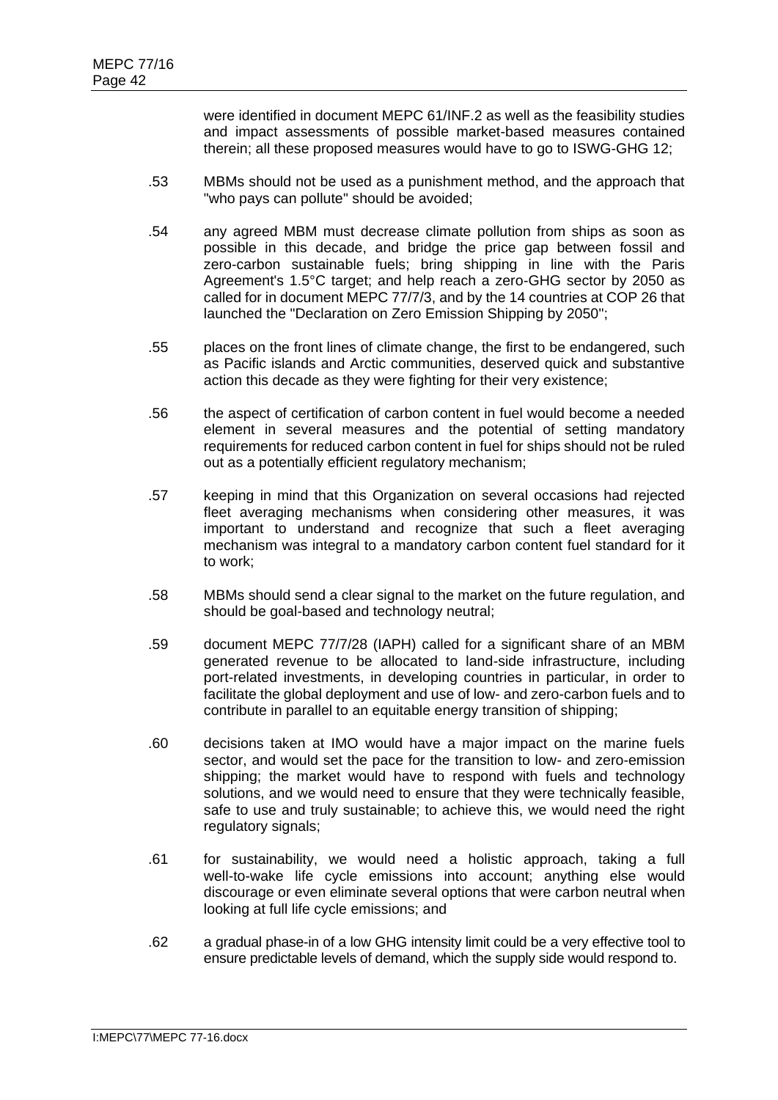were identified in document MEPC 61/INF.2 as well as the feasibility studies and impact assessments of possible market-based measures contained therein; all these proposed measures would have to go to ISWG-GHG 12;

- .53 MBMs should not be used as a punishment method, and the approach that "who pays can pollute" should be avoided;
- .54 any agreed MBM must decrease climate pollution from ships as soon as possible in this decade, and bridge the price gap between fossil and zero-carbon sustainable fuels; bring shipping in line with the Paris Agreement's 1.5°C target; and help reach a zero-GHG sector by 2050 as called for in document MEPC 77/7/3, and by the 14 countries at COP 26 that launched the "Declaration on Zero Emission Shipping by 2050";
- .55 places on the front lines of climate change, the first to be endangered, such as Pacific islands and Arctic communities, deserved quick and substantive action this decade as they were fighting for their very existence;
- .56 the aspect of certification of carbon content in fuel would become a needed element in several measures and the potential of setting mandatory requirements for reduced carbon content in fuel for ships should not be ruled out as a potentially efficient regulatory mechanism;
- .57 keeping in mind that this Organization on several occasions had rejected fleet averaging mechanisms when considering other measures, it was important to understand and recognize that such a fleet averaging mechanism was integral to a mandatory carbon content fuel standard for it to work;
- .58 MBMs should send a clear signal to the market on the future regulation, and should be goal-based and technology neutral;
- .59 document MEPC 77/7/28 (IAPH) called for a significant share of an MBM generated revenue to be allocated to land-side infrastructure, including port-related investments, in developing countries in particular, in order to facilitate the global deployment and use of low- and zero-carbon fuels and to contribute in parallel to an equitable energy transition of shipping;
- .60 decisions taken at IMO would have a major impact on the marine fuels sector, and would set the pace for the transition to low- and zero-emission shipping; the market would have to respond with fuels and technology solutions, and we would need to ensure that they were technically feasible, safe to use and truly sustainable; to achieve this, we would need the right regulatory signals;
- .61 for sustainability, we would need a holistic approach, taking a full well-to-wake life cycle emissions into account; anything else would discourage or even eliminate several options that were carbon neutral when looking at full life cycle emissions; and
- .62 a gradual phase-in of a low GHG intensity limit could be a very effective tool to ensure predictable levels of demand, which the supply side would respond to.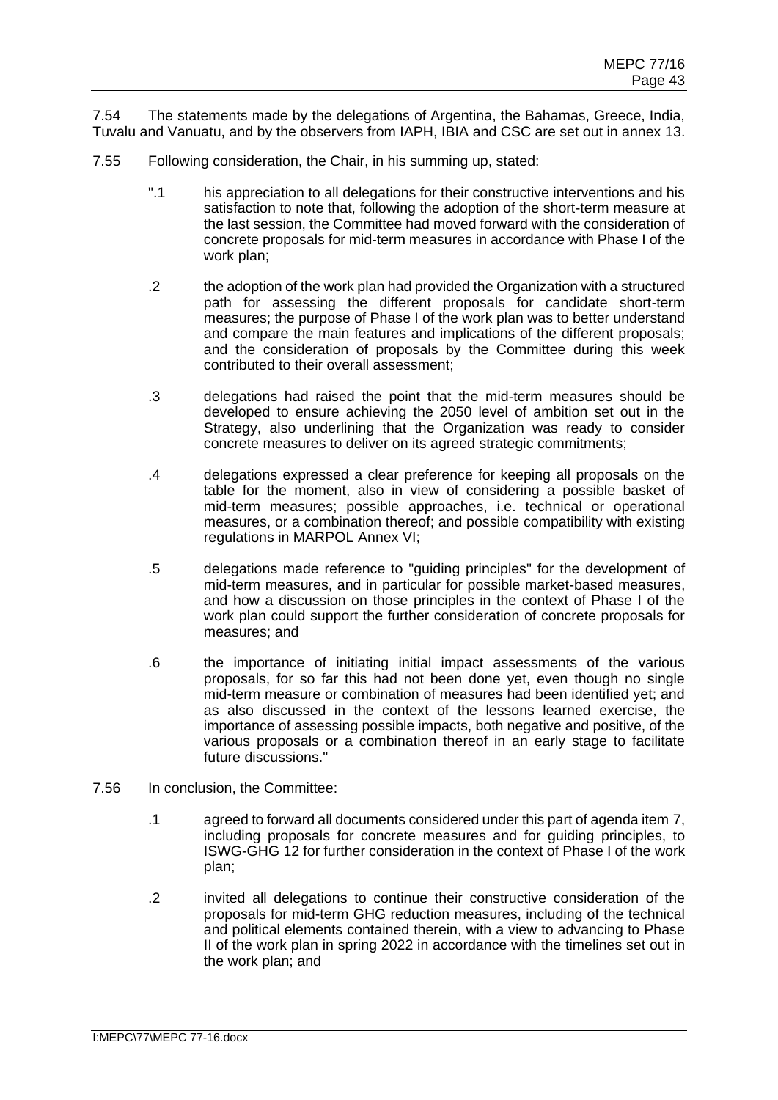7.54 The statements made by the delegations of Argentina, the Bahamas, Greece, India, Tuvalu and Vanuatu, and by the observers from IAPH, IBIA and CSC are set out in annex 13.

- 7.55 Following consideration, the Chair, in his summing up, stated:
	- ".1 his appreciation to all delegations for their constructive interventions and his satisfaction to note that, following the adoption of the short-term measure at the last session, the Committee had moved forward with the consideration of concrete proposals for mid-term measures in accordance with Phase I of the work plan;
	- .2 the adoption of the work plan had provided the Organization with a structured path for assessing the different proposals for candidate short-term measures; the purpose of Phase I of the work plan was to better understand and compare the main features and implications of the different proposals; and the consideration of proposals by the Committee during this week contributed to their overall assessment;
	- .3 delegations had raised the point that the mid-term measures should be developed to ensure achieving the 2050 level of ambition set out in the Strategy, also underlining that the Organization was ready to consider concrete measures to deliver on its agreed strategic commitments;
	- .4 delegations expressed a clear preference for keeping all proposals on the table for the moment, also in view of considering a possible basket of mid-term measures; possible approaches, i.e. technical or operational measures, or a combination thereof; and possible compatibility with existing regulations in MARPOL Annex VI;
	- .5 delegations made reference to "guiding principles" for the development of mid-term measures, and in particular for possible market-based measures, and how a discussion on those principles in the context of Phase I of the work plan could support the further consideration of concrete proposals for measures; and
	- .6 the importance of initiating initial impact assessments of the various proposals, for so far this had not been done yet, even though no single mid-term measure or combination of measures had been identified yet; and as also discussed in the context of the lessons learned exercise, the importance of assessing possible impacts, both negative and positive, of the various proposals or a combination thereof in an early stage to facilitate future discussions."
- 7.56 In conclusion, the Committee:
	- .1 agreed to forward all documents considered under this part of agenda item 7, including proposals for concrete measures and for guiding principles, to ISWG-GHG 12 for further consideration in the context of Phase I of the work plan;
	- .2 invited all delegations to continue their constructive consideration of the proposals for mid-term GHG reduction measures, including of the technical and political elements contained therein, with a view to advancing to Phase II of the work plan in spring 2022 in accordance with the timelines set out in the work plan; and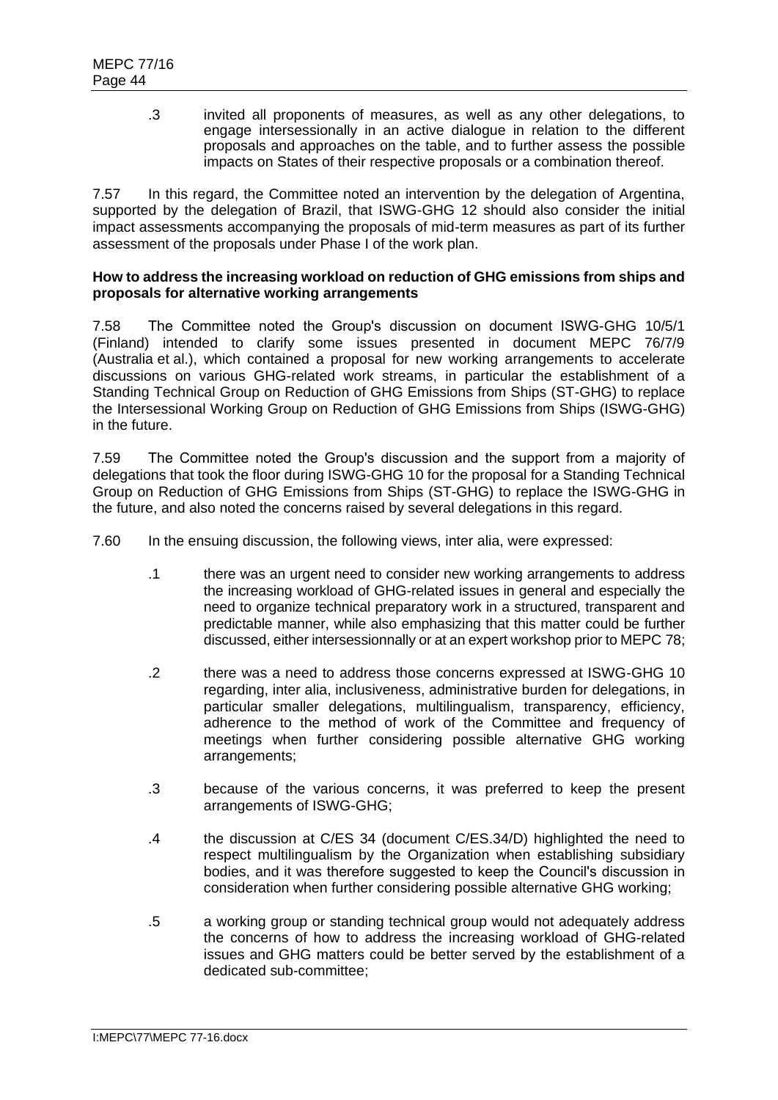.3 invited all proponents of measures, as well as any other delegations, to engage intersessionally in an active dialogue in relation to the different proposals and approaches on the table, and to further assess the possible impacts on States of their respective proposals or a combination thereof.

7.57 In this regard, the Committee noted an intervention by the delegation of Argentina, supported by the delegation of Brazil, that ISWG-GHG 12 should also consider the initial impact assessments accompanying the proposals of mid-term measures as part of its further assessment of the proposals under Phase I of the work plan.

### **How to address the increasing workload on reduction of GHG emissions from ships and proposals for alternative working arrangements**

7.58 The Committee noted the Groupʹs discussion on document ISWG-GHG 10/5/1 (Finland) intended to clarify some issues presented in document MEPC 76/7/9 (Australia et al.), which contained a proposal for new working arrangements to accelerate discussions on various GHG-related work streams, in particular the establishment of a Standing Technical Group on Reduction of GHG Emissions from Ships (ST-GHG) to replace the Intersessional Working Group on Reduction of GHG Emissions from Ships (ISWG-GHG) in the future.

7.59 The Committee noted the Groupʹs discussion and the support from a majority of delegations that took the floor during ISWG-GHG 10 for the proposal for a Standing Technical Group on Reduction of GHG Emissions from Ships (ST-GHG) to replace the ISWG-GHG in the future, and also noted the concerns raised by several delegations in this regard.

- 7.60 In the ensuing discussion, the following views, inter alia, were expressed:
	- .1 there was an urgent need to consider new working arrangements to address the increasing workload of GHG-related issues in general and especially the need to organize technical preparatory work in a structured, transparent and predictable manner, while also emphasizing that this matter could be further discussed, either intersessionnally or at an expert workshop prior to MEPC 78;
	- .2 there was a need to address those concerns expressed at ISWG-GHG 10 regarding, inter alia, inclusiveness, administrative burden for delegations, in particular smaller delegations, multilingualism, transparency, efficiency, adherence to the method of work of the Committee and frequency of meetings when further considering possible alternative GHG working arrangements;
	- .3 because of the various concerns, it was preferred to keep the present arrangements of ISWG-GHG;
	- .4 the discussion at C/ES 34 (document C/ES.34/D) highlighted the need to respect multilingualism by the Organization when establishing subsidiary bodies, and it was therefore suggested to keep the Councilʹs discussion in consideration when further considering possible alternative GHG working;
	- .5 a working group or standing technical group would not adequately address the concerns of how to address the increasing workload of GHG-related issues and GHG matters could be better served by the establishment of a dedicated sub-committee;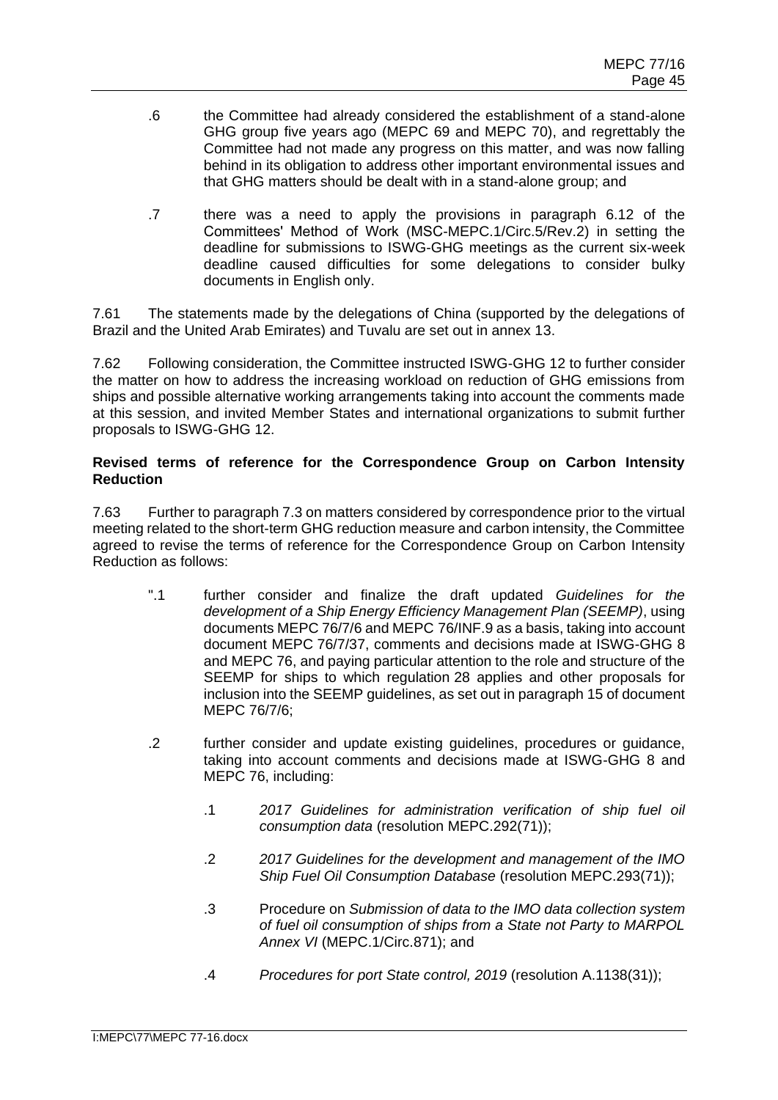- .6 the Committee had already considered the establishment of a stand-alone GHG group five years ago (MEPC 69 and MEPC 70), and regrettably the Committee had not made any progress on this matter, and was now falling behind in its obligation to address other important environmental issues and that GHG matters should be dealt with in a stand-alone group; and
- .7 there was a need to apply the provisions in paragraph 6.12 of the Committeesʹ Method of Work (MSC-MEPC.1/Circ.5/Rev.2) in setting the deadline for submissions to ISWG-GHG meetings as the current six-week deadline caused difficulties for some delegations to consider bulky documents in English only.

7.61 The statements made by the delegations of China (supported by the delegations of Brazil and the United Arab Emirates) and Tuvalu are set out in annex 13.

7.62 Following consideration, the Committee instructed ISWG-GHG 12 to further consider the matter on how to address the increasing workload on reduction of GHG emissions from ships and possible alternative working arrangements taking into account the comments made at this session, and invited Member States and international organizations to submit further proposals to ISWG-GHG 12.

# **Revised terms of reference for the Correspondence Group on Carbon Intensity Reduction**

7.63 Further to paragraph 7.3 on matters considered by correspondence prior to the virtual meeting related to the short-term GHG reduction measure and carbon intensity, the Committee agreed to revise the terms of reference for the Correspondence Group on Carbon Intensity Reduction as follows:

- ".1 further consider and finalize the draft updated *Guidelines for the development of a Ship Energy Efficiency Management Plan (SEEMP)*, using documents MEPC 76/7/6 and MEPC 76/INF.9 as a basis, taking into account document MEPC 76/7/37, comments and decisions made at ISWG-GHG 8 and MEPC 76, and paying particular attention to the role and structure of the SEEMP for ships to which regulation 28 applies and other proposals for inclusion into the SEEMP guidelines, as set out in paragraph 15 of document MEPC 76/7/6;
- .2 further consider and update existing guidelines, procedures or guidance, taking into account comments and decisions made at ISWG-GHG 8 and MEPC 76, including:
	- .1 *2017 Guidelines for administration verification of ship fuel oil consumption data* (resolution MEPC.292(71));
	- .2 *2017 Guidelines for the development and management of the IMO Ship Fuel Oil Consumption Database* (resolution MEPC.293(71));
	- .3 Procedure on *Submission of data to the IMO data collection system of fuel oil consumption of ships from a State not Party to MARPOL Annex VI* (MEPC.1/Circ.871); and
	- .4 *Procedures for port State control, 2019* (resolution A.1138(31));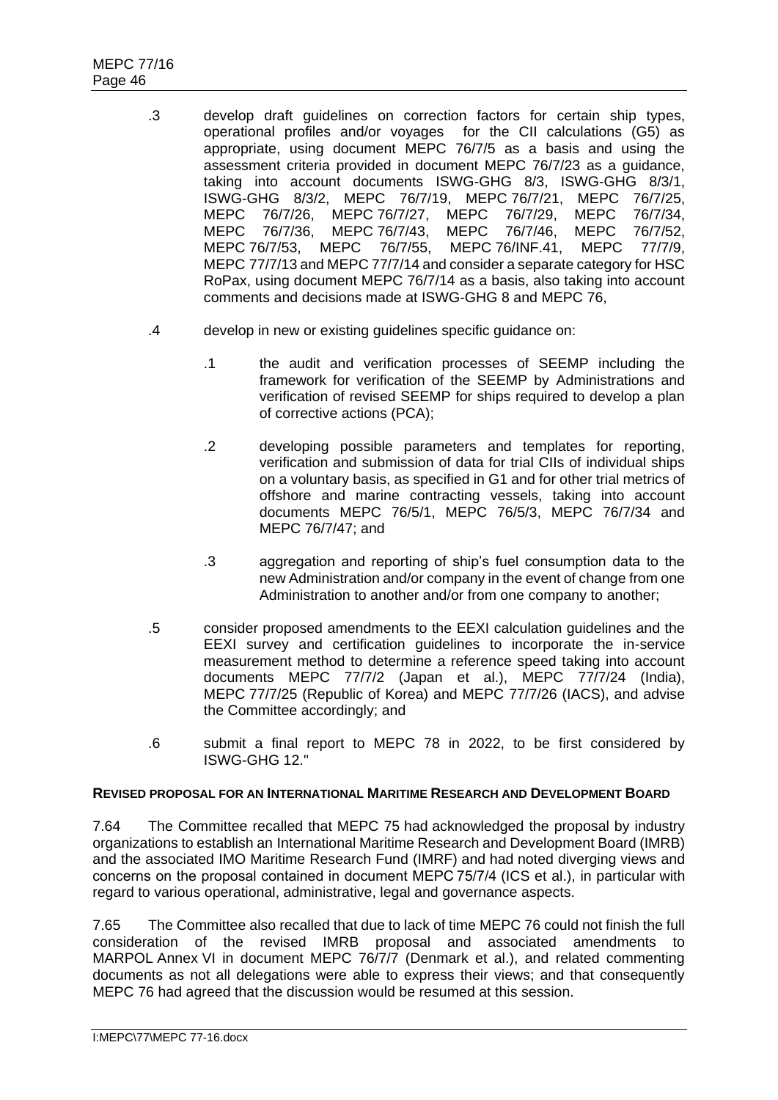- .3 develop draft guidelines on correction factors for certain ship types, operational profiles and/or voyages for the CII calculations (G5) as appropriate, using document MEPC 76/7/5 as a basis and using the assessment criteria provided in document MEPC 76/7/23 as a guidance, taking into account documents ISWG-GHG 8/3, ISWG-GHG 8/3/1, ISWG-GHG 8/3/2, MEPC 76/7/19, MEPC 76/7/21, MEPC 76/7/25, MEPC 76/7/26, MEPC 76/7/27, MEPC 76/7/29, MEPC 76/7/34, MEPC 76/7/36, MEPC 76/7/43, MEPC 76/7/46, MEPC 76/7/52, MEPC 76/7/53, MEPC 76/7/55, MEPC 76/INF.41, MEPC 77/7/9, MEPC 77/7/13 and MEPC 77/7/14 and consider a separate category for HSC RoPax, using document MEPC 76/7/14 as a basis, also taking into account comments and decisions made at ISWG-GHG 8 and MEPC 76,
- .4 develop in new or existing guidelines specific guidance on:
	- .1 the audit and verification processes of SEEMP including the framework for verification of the SEEMP by Administrations and verification of revised SEEMP for ships required to develop a plan of corrective actions (PCA);
	- .2 developing possible parameters and templates for reporting, verification and submission of data for trial CIIs of individual ships on a voluntary basis, as specified in G1 and for other trial metrics of offshore and marine contracting vessels, taking into account documents MEPC 76/5/1, MEPC 76/5/3, MEPC 76/7/34 and MEPC 76/7/47; and
	- .3 aggregation and reporting of ship's fuel consumption data to the new Administration and/or company in the event of change from one Administration to another and/or from one company to another;
- .5 consider proposed amendments to the EEXI calculation guidelines and the EEXI survey and certification guidelines to incorporate the in-service measurement method to determine a reference speed taking into account documents MEPC 77/7/2 (Japan et al.), MEPC 77/7/24 (India), MEPC 77/7/25 (Republic of Korea) and MEPC 77/7/26 (IACS), and advise the Committee accordingly; and
- .6 submit a final report to MEPC 78 in 2022, to be first considered by ISWG-GHG 12."

### **REVISED PROPOSAL FOR AN INTERNATIONAL MARITIME RESEARCH AND DEVELOPMENT BOARD**

7.64 The Committee recalled that MEPC 75 had acknowledged the proposal by industry organizations to establish an International Maritime Research and Development Board (IMRB) and the associated IMO Maritime Research Fund (IMRF) and had noted diverging views and concerns on the proposal contained in document MEPC 75/7/4 (ICS et al.), in particular with regard to various operational, administrative, legal and governance aspects.

7.65 The Committee also recalled that due to lack of time MEPC 76 could not finish the full consideration of the revised IMRB proposal and associated amendments to MARPOL Annex VI in document MEPC 76/7/7 (Denmark et al.), and related commenting documents as not all delegations were able to express their views; and that consequently MEPC 76 had agreed that the discussion would be resumed at this session.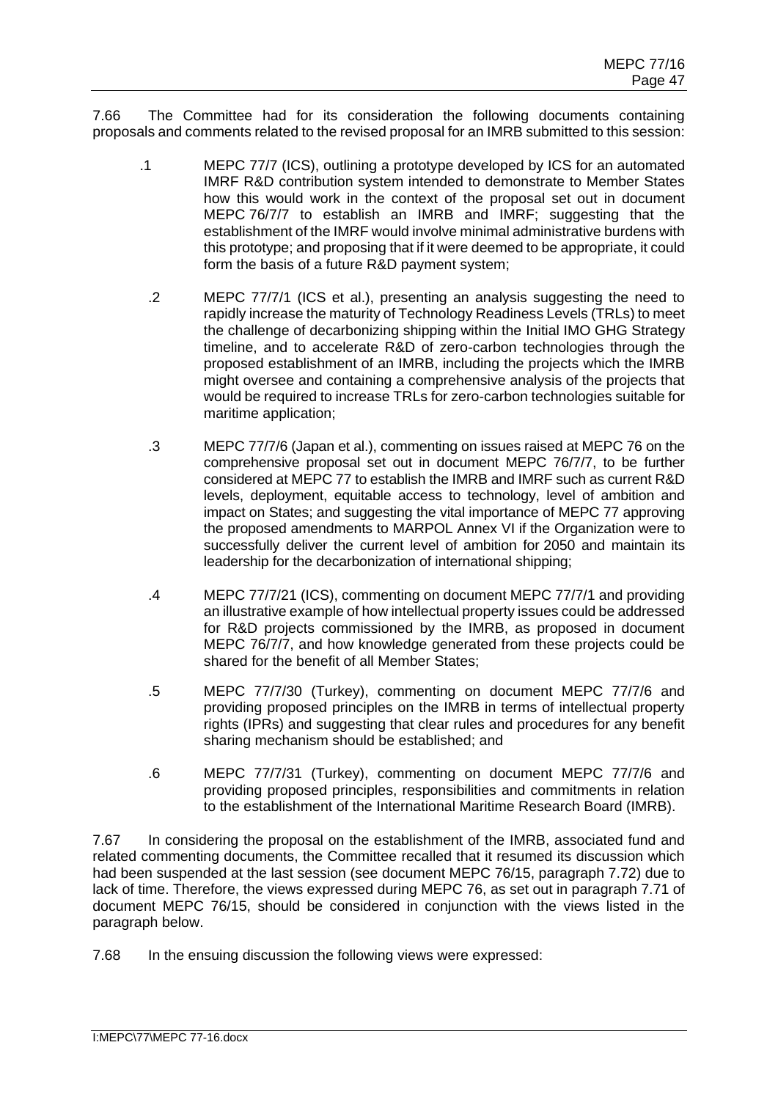7.66 The Committee had for its consideration the following documents containing proposals and comments related to the revised proposal for an IMRB submitted to this session:

- .1 MEPC 77/7 (ICS), outlining a prototype developed by ICS for an automated IMRF R&D contribution system intended to demonstrate to Member States how this would work in the context of the proposal set out in document MEPC 76/7/7 to establish an IMRB and IMRF; suggesting that the establishment of the IMRF would involve minimal administrative burdens with this prototype; and proposing that if it were deemed to be appropriate, it could form the basis of a future R&D payment system;
	- .2 MEPC 77/7/1 (ICS et al.), presenting an analysis suggesting the need to rapidly increase the maturity of Technology Readiness Levels (TRLs) to meet the challenge of decarbonizing shipping within the Initial IMO GHG Strategy timeline, and to accelerate R&D of zero-carbon technologies through the proposed establishment of an IMRB, including the projects which the IMRB might oversee and containing a comprehensive analysis of the projects that would be required to increase TRLs for zero-carbon technologies suitable for maritime application;
	- .3 MEPC 77/7/6 (Japan et al.), commenting on issues raised at MEPC 76 on the comprehensive proposal set out in document MEPC 76/7/7, to be further considered at MEPC 77 to establish the IMRB and IMRF such as current R&D levels, deployment, equitable access to technology, level of ambition and impact on States; and suggesting the vital importance of MEPC 77 approving the proposed amendments to MARPOL Annex VI if the Organization were to successfully deliver the current level of ambition for 2050 and maintain its leadership for the decarbonization of international shipping;
	- .4 MEPC 77/7/21 (ICS), commenting on document MEPC 77/7/1 and providing an illustrative example of how intellectual property issues could be addressed for R&D projects commissioned by the IMRB, as proposed in document MEPC 76/7/7, and how knowledge generated from these projects could be shared for the benefit of all Member States;
	- .5 MEPC 77/7/30 (Turkey), commenting on document MEPC 77/7/6 and providing proposed principles on the IMRB in terms of intellectual property rights (IPRs) and suggesting that clear rules and procedures for any benefit sharing mechanism should be established; and
	- .6 MEPC 77/7/31 (Turkey), commenting on document MEPC 77/7/6 and providing proposed principles, responsibilities and commitments in relation to the establishment of the International Maritime Research Board (IMRB).

7.67 In considering the proposal on the establishment of the IMRB, associated fund and related commenting documents, the Committee recalled that it resumed its discussion which had been suspended at the last session (see document MEPC 76/15, paragraph 7.72) due to lack of time. Therefore, the views expressed during MEPC 76, as set out in paragraph 7.71 of document MEPC 76/15, should be considered in conjunction with the views listed in the paragraph below.

7.68 In the ensuing discussion the following views were expressed: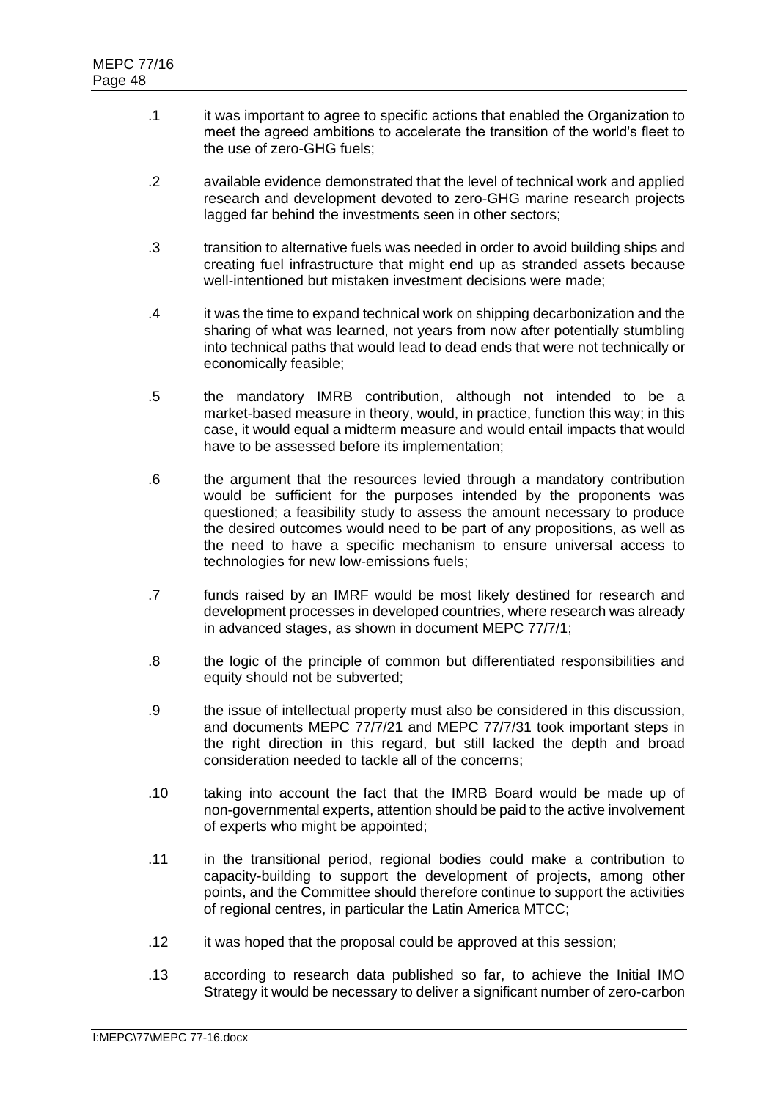- .1 it was important to agree to specific actions that enabled the Organization to meet the agreed ambitions to accelerate the transition of the worldʹs fleet to the use of zero-GHG fuels;
- .2 available evidence demonstrated that the level of technical work and applied research and development devoted to zero-GHG marine research projects lagged far behind the investments seen in other sectors;
- .3 transition to alternative fuels was needed in order to avoid building ships and creating fuel infrastructure that might end up as stranded assets because well-intentioned but mistaken investment decisions were made;
- .4 it was the time to expand technical work on shipping decarbonization and the sharing of what was learned, not years from now after potentially stumbling into technical paths that would lead to dead ends that were not technically or economically feasible;
- .5 the mandatory IMRB contribution, although not intended to be a market-based measure in theory, would, in practice, function this way; in this case, it would equal a midterm measure and would entail impacts that would have to be assessed before its implementation;
- .6 the argument that the resources levied through a mandatory contribution would be sufficient for the purposes intended by the proponents was questioned; a feasibility study to assess the amount necessary to produce the desired outcomes would need to be part of any propositions, as well as the need to have a specific mechanism to ensure universal access to technologies for new low-emissions fuels;
- .7 funds raised by an IMRF would be most likely destined for research and development processes in developed countries, where research was already in advanced stages, as shown in document MEPC 77/7/1;
- .8 the logic of the principle of common but differentiated responsibilities and equity should not be subverted;
- .9 the issue of intellectual property must also be considered in this discussion, and documents MEPC 77/7/21 and MEPC 77/7/31 took important steps in the right direction in this regard, but still lacked the depth and broad consideration needed to tackle all of the concerns;
- .10 taking into account the fact that the IMRB Board would be made up of non-governmental experts, attention should be paid to the active involvement of experts who might be appointed;
- .11 in the transitional period, regional bodies could make a contribution to capacity-building to support the development of projects, among other points, and the Committee should therefore continue to support the activities of regional centres, in particular the Latin America MTCC;
- .12 it was hoped that the proposal could be approved at this session;
- .13 according to research data published so far, to achieve the Initial IMO Strategy it would be necessary to deliver a significant number of zero-carbon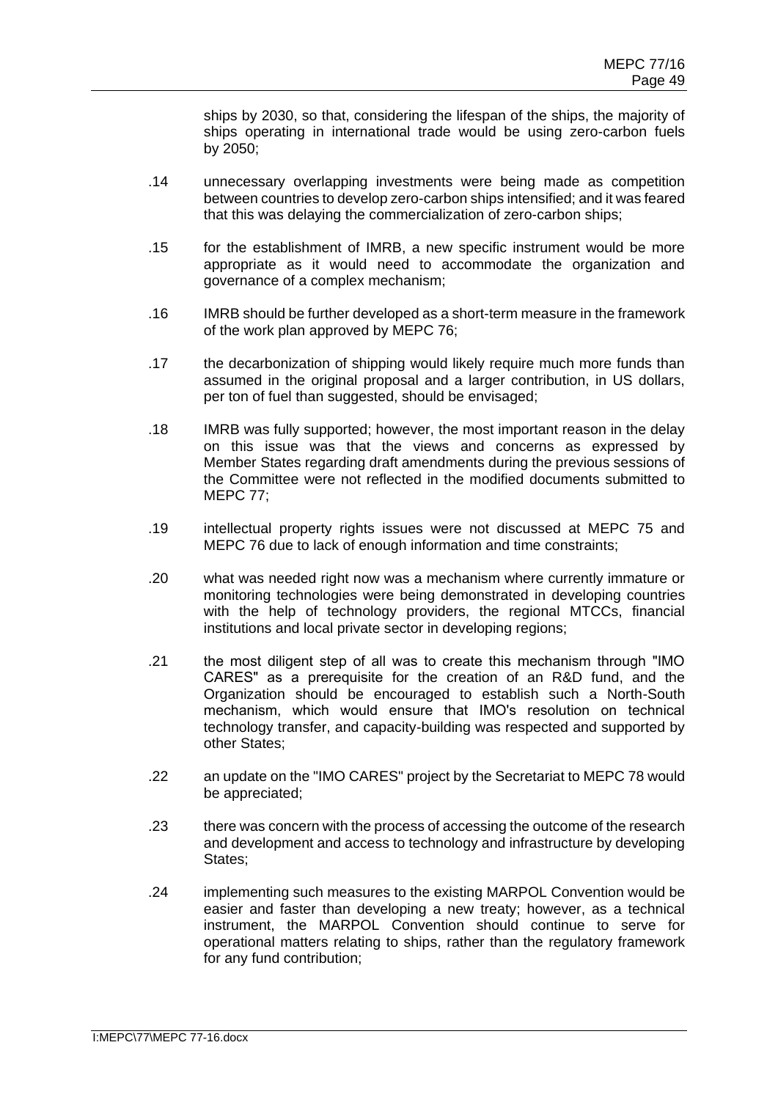ships by 2030, so that, considering the lifespan of the ships, the majority of ships operating in international trade would be using zero-carbon fuels by 2050;

- .14 unnecessary overlapping investments were being made as competition between countries to develop zero-carbon ships intensified; and it was feared that this was delaying the commercialization of zero-carbon ships;
- .15 for the establishment of IMRB, a new specific instrument would be more appropriate as it would need to accommodate the organization and governance of a complex mechanism;
- .16 IMRB should be further developed as a short-term measure in the framework of the work plan approved by MEPC 76;
- .17 the decarbonization of shipping would likely require much more funds than assumed in the original proposal and a larger contribution, in US dollars, per ton of fuel than suggested, should be envisaged;
- .18 IMRB was fully supported; however, the most important reason in the delay on this issue was that the views and concerns as expressed by Member States regarding draft amendments during the previous sessions of the Committee were not reflected in the modified documents submitted to MEPC 77;
- .19 intellectual property rights issues were not discussed at MEPC 75 and MEPC 76 due to lack of enough information and time constraints;
- .20 what was needed right now was a mechanism where currently immature or monitoring technologies were being demonstrated in developing countries with the help of technology providers, the regional MTCCs, financial institutions and local private sector in developing regions;
- .21 the most diligent step of all was to create this mechanism through "IMO CARESʺ as a prerequisite for the creation of an R&D fund, and the Organization should be encouraged to establish such a North-South mechanism, which would ensure that IMOʹs resolution on technical technology transfer, and capacity-building was respected and supported by other States;
- .22 an update on the "IMO CARES" project by the Secretariat to MEPC 78 would be appreciated;
- .23 there was concern with the process of accessing the outcome of the research and development and access to technology and infrastructure by developing States;
- .24 implementing such measures to the existing MARPOL Convention would be easier and faster than developing a new treaty; however, as a technical instrument, the MARPOL Convention should continue to serve for operational matters relating to ships, rather than the regulatory framework for any fund contribution;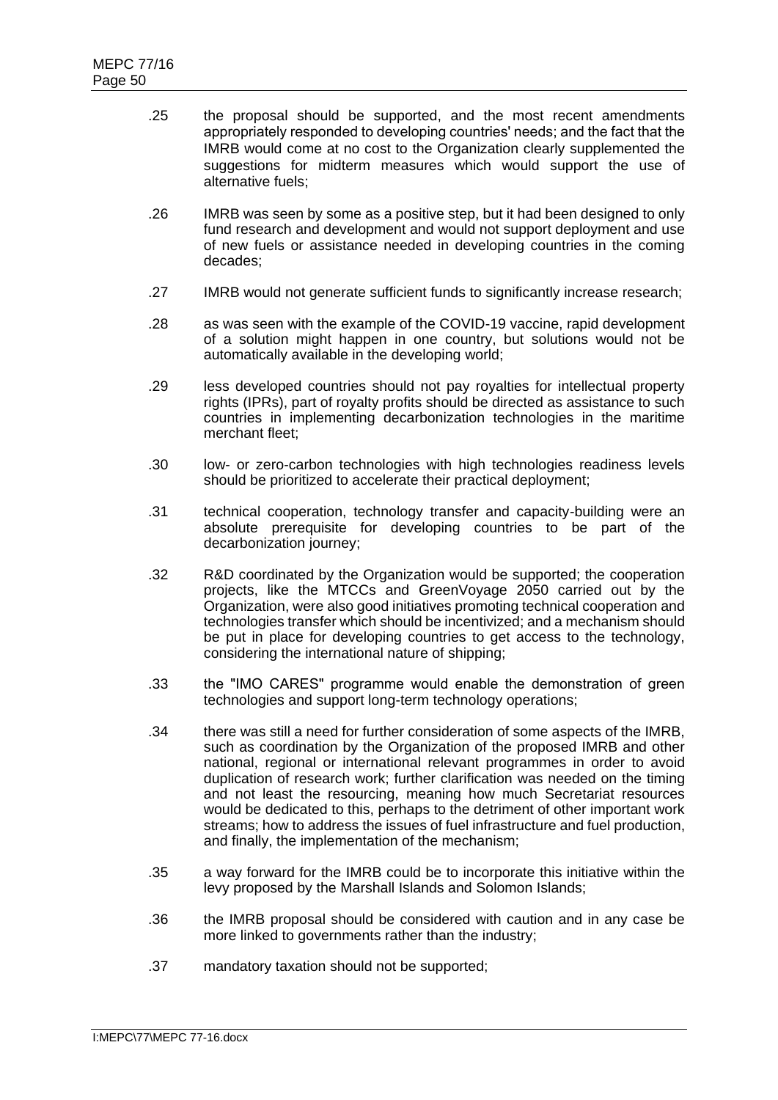- .25 the proposal should be supported, and the most recent amendments appropriately responded to developing countries' needs; and the fact that the IMRB would come at no cost to the Organization clearly supplemented the suggestions for midterm measures which would support the use of alternative fuels;
- .26 IMRB was seen by some as a positive step, but it had been designed to only fund research and development and would not support deployment and use of new fuels or assistance needed in developing countries in the coming decades;
- .27 IMRB would not generate sufficient funds to significantly increase research;
- .28 as was seen with the example of the COVID-19 vaccine, rapid development of a solution might happen in one country, but solutions would not be automatically available in the developing world;
- .29 less developed countries should not pay royalties for intellectual property rights (IPRs), part of royalty profits should be directed as assistance to such countries in implementing decarbonization technologies in the maritime merchant fleet;
- .30 low- or zero-carbon technologies with high technologies readiness levels should be prioritized to accelerate their practical deployment;
- .31 technical cooperation, technology transfer and capacity-building were an absolute prerequisite for developing countries to be part of the decarbonization journey;
- .32 R&D coordinated by the Organization would be supported; the cooperation projects, like the MTCCs and GreenVoyage 2050 carried out by the Organization, were also good initiatives promoting technical cooperation and technologies transfer which should be incentivized; and a mechanism should be put in place for developing countries to get access to the technology, considering the international nature of shipping;
- .33 the "IMO CARES" programme would enable the demonstration of green technologies and support long-term technology operations;
- .34 there was still a need for further consideration of some aspects of the IMRB, such as coordination by the Organization of the proposed IMRB and other national, regional or international relevant programmes in order to avoid duplication of research work; further clarification was needed on the timing and not least the resourcing, meaning how much Secretariat resources would be dedicated to this, perhaps to the detriment of other important work streams; how to address the issues of fuel infrastructure and fuel production, and finally, the implementation of the mechanism;
- .35 a way forward for the IMRB could be to incorporate this initiative within the levy proposed by the Marshall Islands and Solomon Islands;
- .36 the IMRB proposal should be considered with caution and in any case be more linked to governments rather than the industry;
- .37 mandatory taxation should not be supported;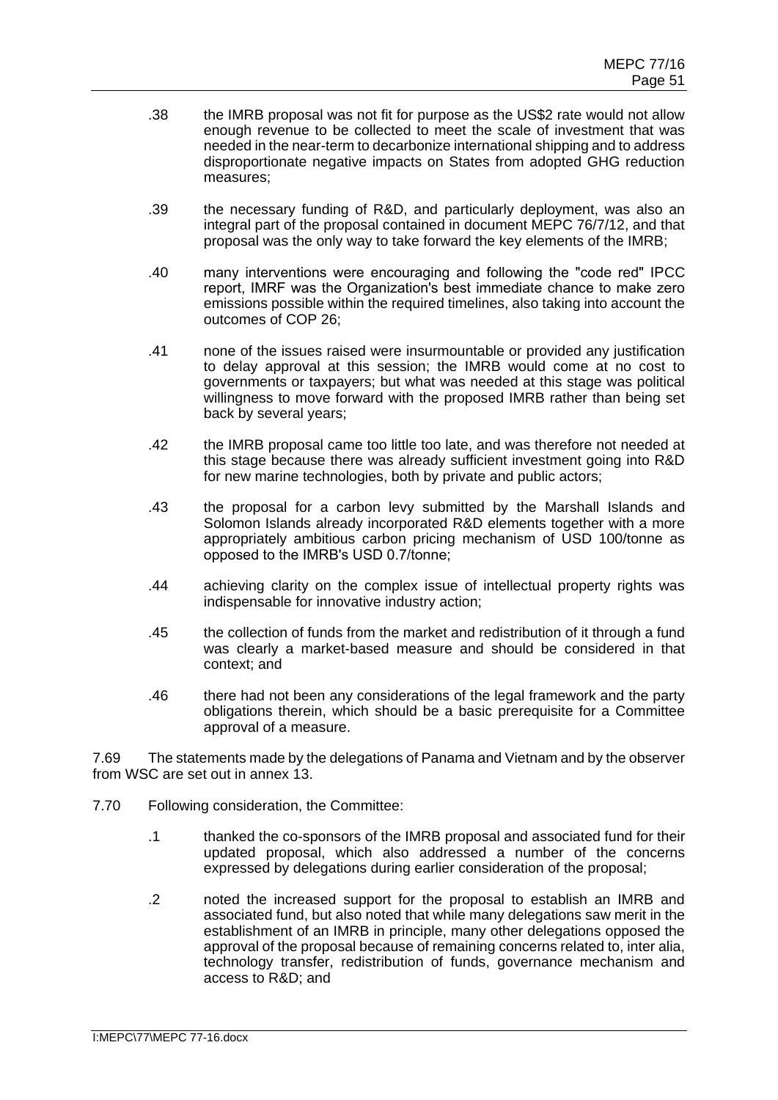- .38 the IMRB proposal was not fit for purpose as the US\$2 rate would not allow enough revenue to be collected to meet the scale of investment that was needed in the near-term to decarbonize international shipping and to address disproportionate negative impacts on States from adopted GHG reduction measures;
- .39 the necessary funding of R&D, and particularly deployment, was also an integral part of the proposal contained in document MEPC 76/7/12, and that proposal was the only way to take forward the key elements of the IMRB;
- .40 many interventions were encouraging and following the "code red" IPCC report, IMRF was the Organizationʹs best immediate chance to make zero emissions possible within the required timelines, also taking into account the outcomes of COP 26;
- .41 none of the issues raised were insurmountable or provided any justification to delay approval at this session; the IMRB would come at no cost to governments or taxpayers; but what was needed at this stage was political willingness to move forward with the proposed IMRB rather than being set back by several years;
- .42 the IMRB proposal came too little too late, and was therefore not needed at this stage because there was already sufficient investment going into R&D for new marine technologies, both by private and public actors;
- .43 the proposal for a carbon levy submitted by the Marshall Islands and Solomon Islands already incorporated R&D elements together with a more appropriately ambitious carbon pricing mechanism of USD 100/tonne as opposed to the IMRBʹs USD 0.7/tonne;
- .44 achieving clarity on the complex issue of intellectual property rights was indispensable for innovative industry action;
- .45 the collection of funds from the market and redistribution of it through a fund was clearly a market-based measure and should be considered in that context; and
- .46 there had not been any considerations of the legal framework and the party obligations therein, which should be a basic prerequisite for a Committee approval of a measure.

7.69 The statements made by the delegations of Panama and Vietnam and by the observer from WSC are set out in annex 13.

- 7.70 Following consideration, the Committee:
	- .1 thanked the co-sponsors of the IMRB proposal and associated fund for their updated proposal, which also addressed a number of the concerns expressed by delegations during earlier consideration of the proposal;
	- .2 noted the increased support for the proposal to establish an IMRB and associated fund, but also noted that while many delegations saw merit in the establishment of an IMRB in principle, many other delegations opposed the approval of the proposal because of remaining concerns related to, inter alia, technology transfer, redistribution of funds, governance mechanism and access to R&D; and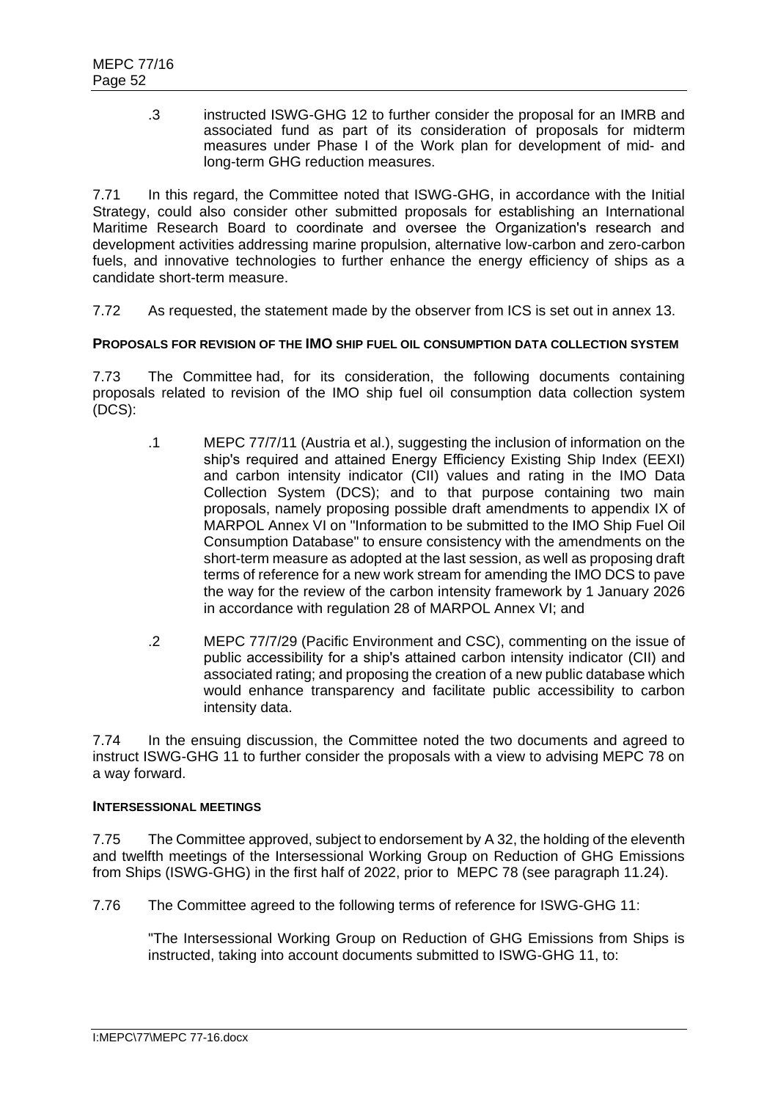.3 instructed ISWG-GHG 12 to further consider the proposal for an IMRB and associated fund as part of its consideration of proposals for midterm measures under Phase I of the Work plan for development of mid- and long-term GHG reduction measures.

7.71 In this regard, the Committee noted that ISWG-GHG, in accordance with the Initial Strategy, could also consider other submitted proposals for establishing an International Maritime Research Board to coordinate and oversee the Organizationʹs research and development activities addressing marine propulsion, alternative low-carbon and zero-carbon fuels, and innovative technologies to further enhance the energy efficiency of ships as a candidate short-term measure.

7.72 As requested, the statement made by the observer from ICS is set out in annex 13.

### **PROPOSALS FOR REVISION OF THE IMO SHIP FUEL OIL CONSUMPTION DATA COLLECTION SYSTEM**

7.73 The Committee had, for its consideration, the following documents containing proposals related to revision of the IMO ship fuel oil consumption data collection system (DCS):

- .1 MEPC 77/7/11 (Austria et al.), suggesting the inclusion of information on the ship's required and attained Energy Efficiency Existing Ship Index (EEXI) and carbon intensity indicator (CII) values and rating in the IMO Data Collection System (DCS); and to that purpose containing two main proposals, namely proposing possible draft amendments to appendix IX of MARPOL Annex VI on "Information to be submitted to the IMO Ship Fuel Oil Consumption Database" to ensure consistency with the amendments on the short-term measure as adopted at the last session, as well as proposing draft terms of reference for a new work stream for amending the IMO DCS to pave the way for the review of the carbon intensity framework by 1 January 2026 in accordance with regulation 28 of MARPOL Annex VI; and
- .2 MEPC 77/7/29 (Pacific Environment and CSC), commenting on the issue of public accessibility for a shipʹs attained carbon intensity indicator (CII) and associated rating; and proposing the creation of a new public database which would enhance transparency and facilitate public accessibility to carbon intensity data.

7.74 In the ensuing discussion, the Committee noted the two documents and agreed to instruct ISWG-GHG 11 to further consider the proposals with a view to advising MEPC 78 on a way forward.

#### **INTERSESSIONAL MEETINGS**

7.75 The Committee approved, subject to endorsement by A 32, the holding of the eleventh and twelfth meetings of the Intersessional Working Group on Reduction of GHG Emissions from Ships (ISWG-GHG) in the first half of 2022, prior to MEPC 78 (see paragraph 11.24).

7.76 The Committee agreed to the following terms of reference for ISWG-GHG 11:

"The Intersessional Working Group on Reduction of GHG Emissions from Ships is instructed, taking into account documents submitted to ISWG-GHG 11, to: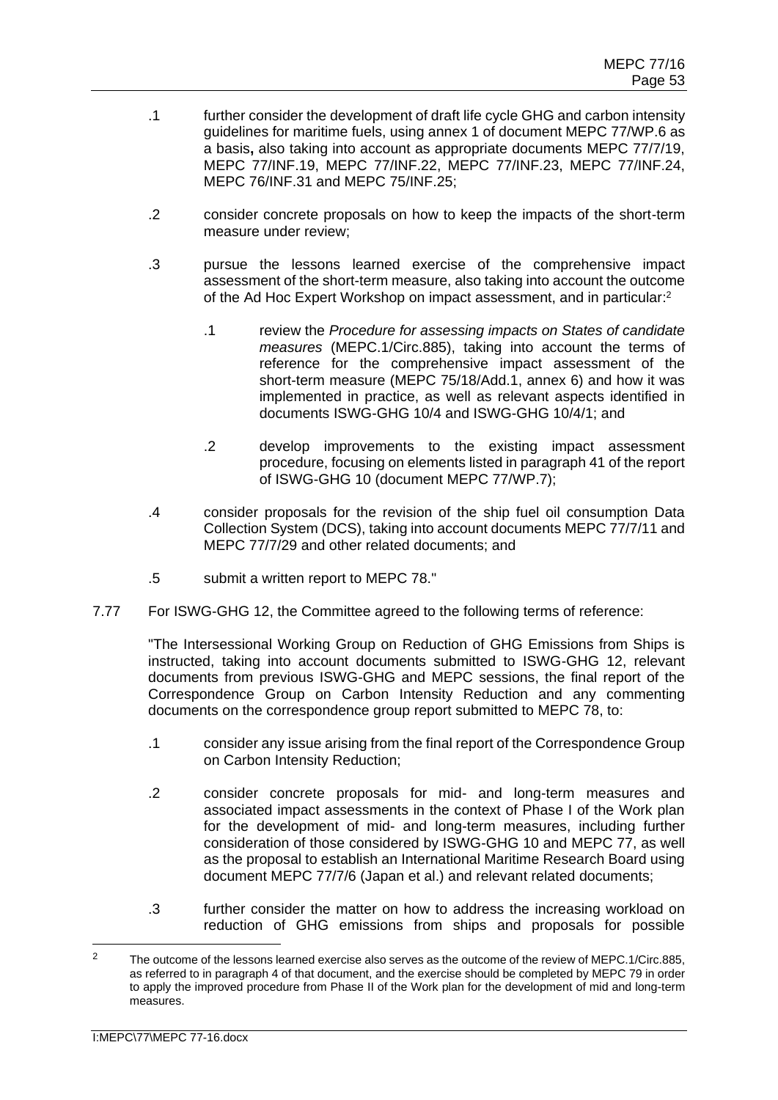- .1 further consider the development of draft life cycle GHG and carbon intensity guidelines for maritime fuels, using annex 1 of document MEPC 77/WP.6 as a basis**,** also taking into account as appropriate documents MEPC 77/7/19, MEPC 77/INF.19, MEPC 77/INF.22, MEPC 77/INF.23, MEPC 77/INF.24, MEPC 76/INF.31 and MEPC 75/INF.25;
- .2 consider concrete proposals on how to keep the impacts of the short-term measure under review;
- .3 pursue the lessons learned exercise of the comprehensive impact assessment of the short-term measure, also taking into account the outcome of the Ad Hoc Expert Workshop on impact assessment, and in particular:<sup>2</sup>
	- .1 review the *Procedure for assessing impacts on States of candidate measures* (MEPC.1/Circ.885), taking into account the terms of reference for the comprehensive impact assessment of the short-term measure (MEPC 75/18/Add.1, annex 6) and how it was implemented in practice, as well as relevant aspects identified in documents ISWG-GHG 10/4 and ISWG-GHG 10/4/1; and
	- .2 develop improvements to the existing impact assessment procedure, focusing on elements listed in paragraph 41 of the report of ISWG-GHG 10 (document MEPC 77/WP.7);
- .4 consider proposals for the revision of the ship fuel oil consumption Data Collection System (DCS), taking into account documents MEPC 77/7/11 and MEPC 77/7/29 and other related documents; and
- .5 submit a written report to MEPC 78."
- 7.77 For ISWG-GHG 12, the Committee agreed to the following terms of reference:

"The Intersessional Working Group on Reduction of GHG Emissions from Ships is instructed, taking into account documents submitted to ISWG-GHG 12, relevant documents from previous ISWG-GHG and MEPC sessions, the final report of the Correspondence Group on Carbon Intensity Reduction and any commenting documents on the correspondence group report submitted to MEPC 78, to:

- .1 consider any issue arising from the final report of the Correspondence Group on Carbon Intensity Reduction;
- .2 consider concrete proposals for mid- and long-term measures and associated impact assessments in the context of Phase I of the Work plan for the development of mid- and long-term measures, including further consideration of those considered by ISWG-GHG 10 and MEPC 77, as well as the proposal to establish an International Maritime Research Board using document MEPC 77/7/6 (Japan et al.) and relevant related documents;
- .3 further consider the matter on how to address the increasing workload on reduction of GHG emissions from ships and proposals for possible

<sup>&</sup>lt;sup>2</sup> The outcome of the lessons learned exercise also serves as the outcome of the review of MEPC.1/Circ.885, as referred to in paragraph 4 of that document, and the exercise should be completed by MEPC 79 in order to apply the improved procedure from Phase II of the Work plan for the development of mid and long-term measures.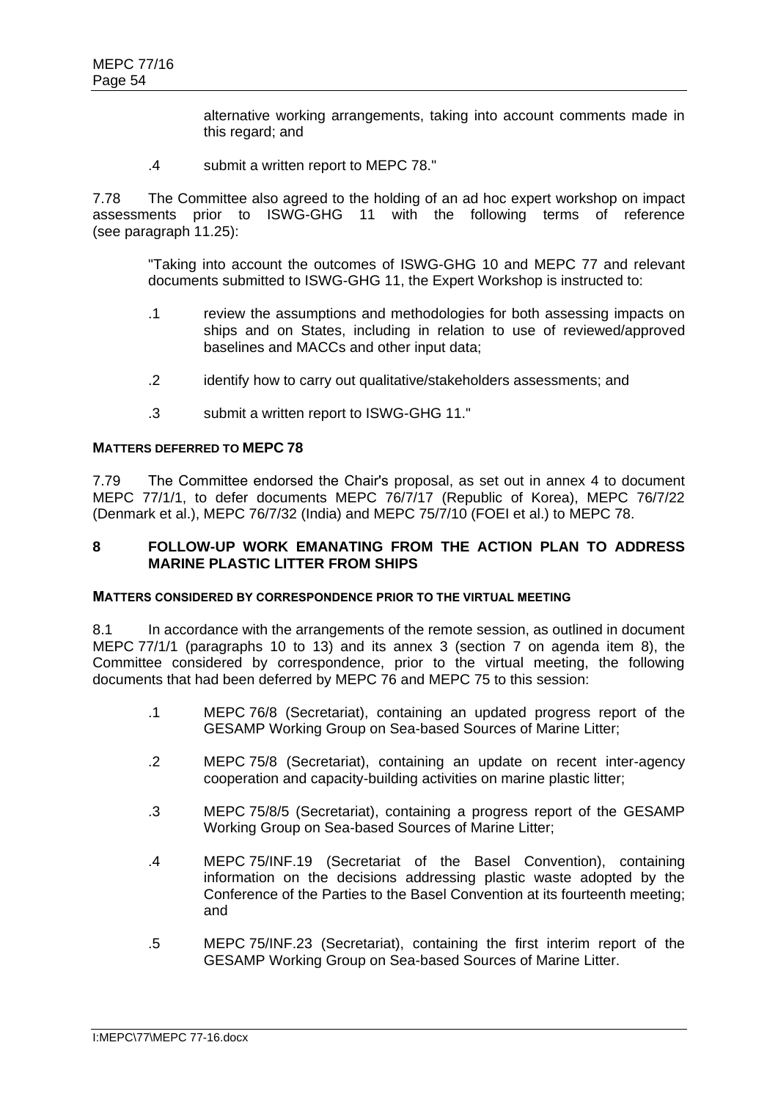alternative working arrangements, taking into account comments made in this regard; and

.4 submit a written report to MEPC 78."

7.78 The Committee also agreed to the holding of an ad hoc expert workshop on impact assessments prior to ISWG-GHG 11 with the following terms of reference (see paragraph 11.25):

"Taking into account the outcomes of ISWG-GHG 10 and MEPC 77 and relevant documents submitted to ISWG-GHG 11, the Expert Workshop is instructed to:

- .1 review the assumptions and methodologies for both assessing impacts on ships and on States, including in relation to use of reviewed/approved baselines and MACCs and other input data;
- .2 identify how to carry out qualitative/stakeholders assessments; and
- .3 submit a written report to ISWG-GHG 11."

#### **MATTERS DEFERRED TO MEPC 78**

7.79 The Committee endorsed the Chairʹs proposal, as set out in annex 4 to document MEPC 77/1/1, to defer documents MEPC 76/7/17 (Republic of Korea), MEPC 76/7/22 (Denmark et al.), MEPC 76/7/32 (India) and MEPC 75/7/10 (FOEI et al.) to MEPC 78.

### **8 FOLLOW-UP WORK EMANATING FROM THE ACTION PLAN TO ADDRESS MARINE PLASTIC LITTER FROM SHIPS**

#### **MATTERS CONSIDERED BY CORRESPONDENCE PRIOR TO THE VIRTUAL MEETING**

8.1 In accordance with the arrangements of the remote session, as outlined in document MEPC 77/1/1 (paragraphs 10 to 13) and its annex 3 (section 7 on agenda item 8), the Committee considered by correspondence, prior to the virtual meeting, the following documents that had been deferred by MEPC 76 and MEPC 75 to this session:

- .1 MEPC 76/8 (Secretariat), containing an updated progress report of the GESAMP Working Group on Sea-based Sources of Marine Litter;
- .2 MEPC 75/8 (Secretariat), containing an update on recent inter-agency cooperation and capacity-building activities on marine plastic litter;
- .3 MEPC 75/8/5 (Secretariat), containing a progress report of the GESAMP Working Group on Sea-based Sources of Marine Litter;
- .4 MEPC 75/INF.19 (Secretariat of the Basel Convention), containing information on the decisions addressing plastic waste adopted by the Conference of the Parties to the Basel Convention at its fourteenth meeting; and
- .5 MEPC 75/INF.23 (Secretariat), containing the first interim report of the GESAMP Working Group on Sea-based Sources of Marine Litter.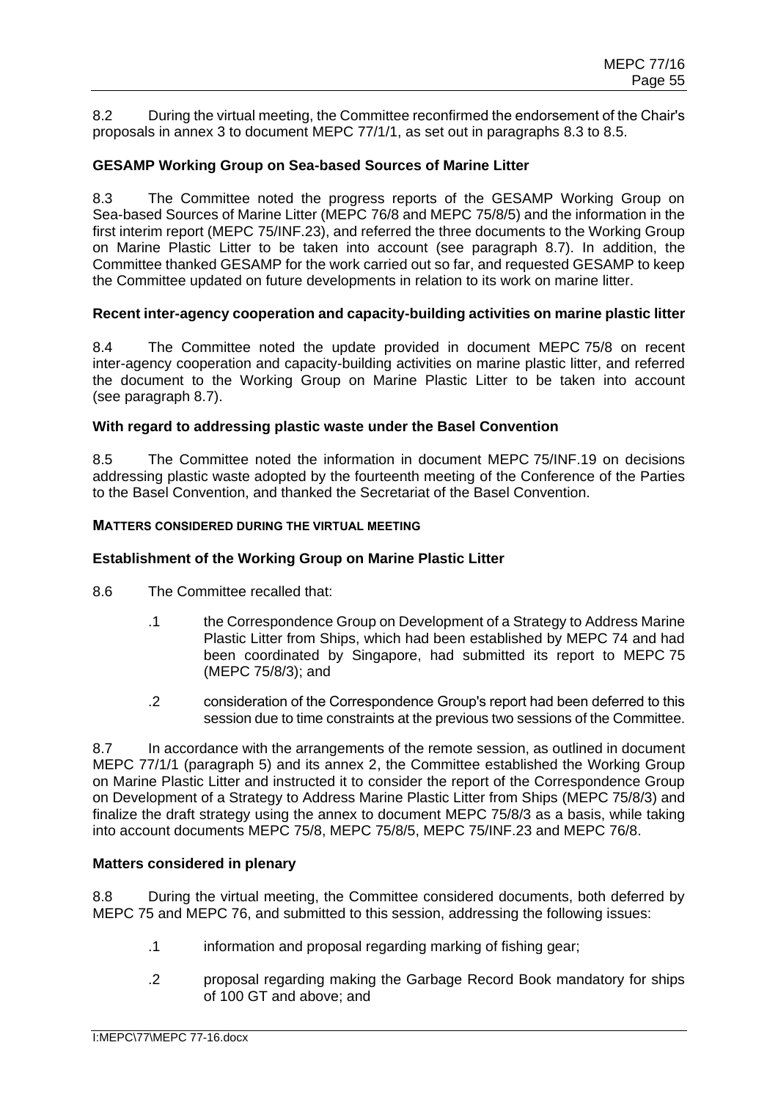8.2 During the virtual meeting, the Committee reconfirmed the endorsement of the Chair's proposals in annex 3 to document MEPC 77/1/1, as set out in paragraphs 8.3 to 8.5.

### **GESAMP Working Group on Sea-based Sources of Marine Litter**

8.3 The Committee noted the progress reports of the GESAMP Working Group on Sea-based Sources of Marine Litter (MEPC 76/8 and MEPC 75/8/5) and the information in the first interim report (MEPC 75/INF.23), and referred the three documents to the Working Group on Marine Plastic Litter to be taken into account (see paragraph 8.7). In addition, the Committee thanked GESAMP for the work carried out so far, and requested GESAMP to keep the Committee updated on future developments in relation to its work on marine litter.

### **Recent inter-agency cooperation and capacity-building activities on marine plastic litter**

8.4 The Committee noted the update provided in document MEPC 75/8 on recent inter-agency cooperation and capacity-building activities on marine plastic litter, and referred the document to the Working Group on Marine Plastic Litter to be taken into account (see paragraph 8.7).

### **With regard to addressing plastic waste under the Basel Convention**

8.5 The Committee noted the information in document MEPC 75/INF.19 on decisions addressing plastic waste adopted by the fourteenth meeting of the Conference of the Parties to the Basel Convention, and thanked the Secretariat of the Basel Convention.

#### **MATTERS CONSIDERED DURING THE VIRTUAL MEETING**

#### **Establishment of the Working Group on Marine Plastic Litter**

- 8.6 The Committee recalled that:
	- .1 the Correspondence Group on Development of a Strategy to Address Marine Plastic Litter from Ships, which had been established by MEPC 74 and had been coordinated by Singapore, had submitted its report to MEPC 75 (MEPC 75/8/3); and
	- .2 consideration of the Correspondence Groupʹs report had been deferred to this session due to time constraints at the previous two sessions of the Committee.

8.7 In accordance with the arrangements of the remote session, as outlined in document MEPC 77/1/1 (paragraph 5) and its annex 2, the Committee established the Working Group on Marine Plastic Litter and instructed it to consider the report of the Correspondence Group on Development of a Strategy to Address Marine Plastic Litter from Ships (MEPC 75/8/3) and finalize the draft strategy using the annex to document MEPC 75/8/3 as a basis, while taking into account documents MEPC 75/8, MEPC 75/8/5, MEPC 75/INF.23 and MEPC 76/8.

#### **Matters considered in plenary**

8.8 During the virtual meeting, the Committee considered documents, both deferred by MEPC 75 and MEPC 76, and submitted to this session, addressing the following issues:

- .1 information and proposal regarding marking of fishing gear;
- .2 proposal regarding making the Garbage Record Book mandatory for ships of 100 GT and above; and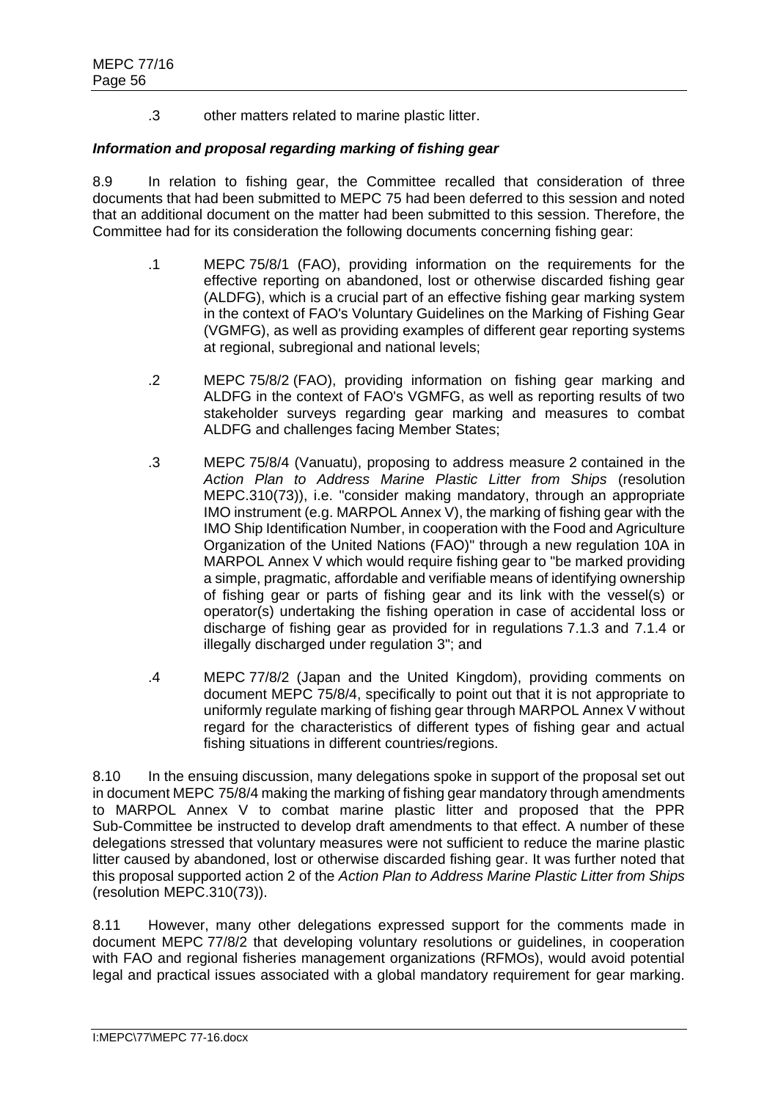.3 other matters related to marine plastic litter.

# *Information and proposal regarding marking of fishing gear*

8.9 In relation to fishing gear, the Committee recalled that consideration of three documents that had been submitted to MEPC 75 had been deferred to this session and noted that an additional document on the matter had been submitted to this session. Therefore, the Committee had for its consideration the following documents concerning fishing gear:

- .1 MEPC 75/8/1 (FAO), providing information on the requirements for the effective reporting on abandoned, lost or otherwise discarded fishing gear (ALDFG), which is a crucial part of an effective fishing gear marking system in the context of FAO's Voluntary Guidelines on the Marking of Fishing Gear (VGMFG), as well as providing examples of different gear reporting systems at regional, subregional and national levels;
- .2 MEPC 75/8/2 (FAO), providing information on fishing gear marking and ALDFG in the context of FAO's VGMFG, as well as reporting results of two stakeholder surveys regarding gear marking and measures to combat ALDFG and challenges facing Member States;
- .3 MEPC 75/8/4 (Vanuatu), proposing to address measure 2 contained in the *Action Plan to Address Marine Plastic Litter from Ships* (resolution MEPC.310(73)), i.e. "consider making mandatory, through an appropriate IMO instrument (e.g. MARPOL Annex V), the marking of fishing gear with the IMO Ship Identification Number, in cooperation with the Food and Agriculture Organization of the United Nations (FAO)" through a new regulation 10A in MARPOL Annex V which would require fishing gear to "be marked providing a simple, pragmatic, affordable and verifiable means of identifying ownership of fishing gear or parts of fishing gear and its link with the vessel(s) or operator(s) undertaking the fishing operation in case of accidental loss or discharge of fishing gear as provided for in regulations 7.1.3 and 7.1.4 or illegally discharged under regulation 3"; and
- .4 MEPC 77/8/2 (Japan and the United Kingdom), providing comments on document MEPC 75/8/4, specifically to point out that it is not appropriate to uniformly regulate marking of fishing gear through MARPOL Annex V without regard for the characteristics of different types of fishing gear and actual fishing situations in different countries/regions.

8.10 In the ensuing discussion, many delegations spoke in support of the proposal set out in document MEPC 75/8/4 making the marking of fishing gear mandatory through amendments to MARPOL Annex V to combat marine plastic litter and proposed that the PPR Sub-Committee be instructed to develop draft amendments to that effect. A number of these delegations stressed that voluntary measures were not sufficient to reduce the marine plastic litter caused by abandoned, lost or otherwise discarded fishing gear. It was further noted that this proposal supported action 2 of the *Action Plan to Address Marine Plastic Litter from Ships* (resolution MEPC.310(73)).

8.11 However, many other delegations expressed support for the comments made in document MEPC 77/8/2 that developing voluntary resolutions or guidelines, in cooperation with FAO and regional fisheries management organizations (RFMOs), would avoid potential legal and practical issues associated with a global mandatory requirement for gear marking.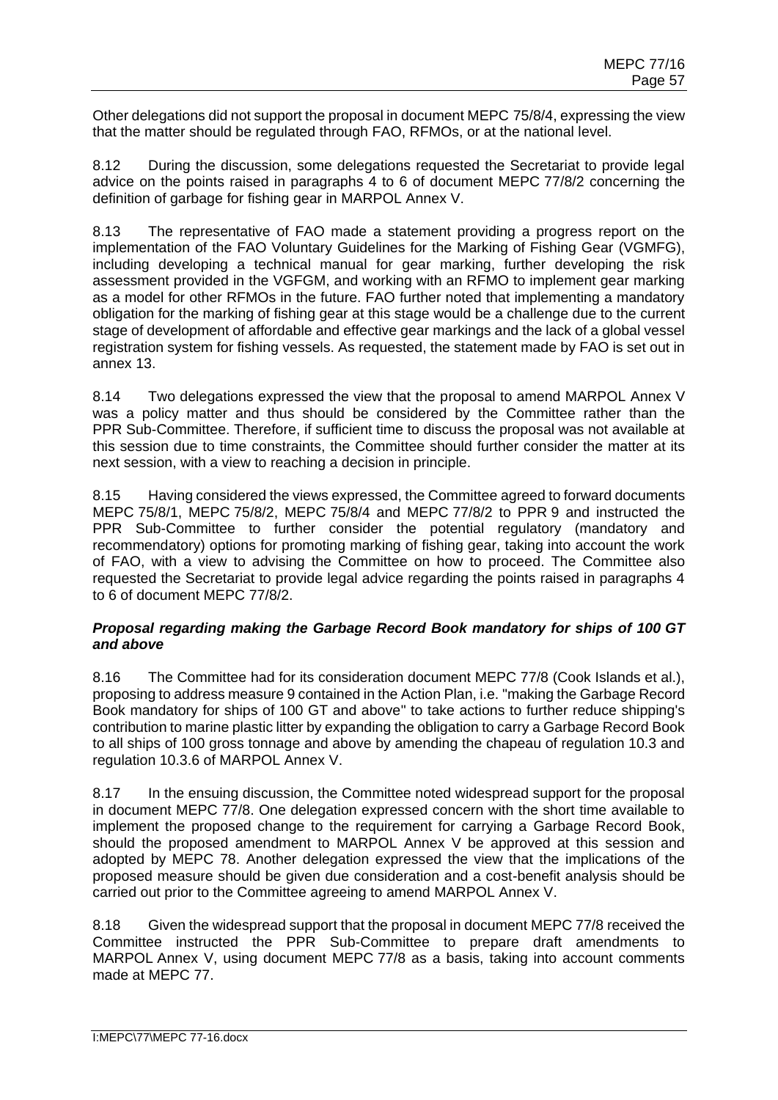Other delegations did not support the proposal in document MEPC 75/8/4, expressing the view that the matter should be regulated through FAO, RFMOs, or at the national level.

8.12 During the discussion, some delegations requested the Secretariat to provide legal advice on the points raised in paragraphs 4 to 6 of document MEPC 77/8/2 concerning the definition of garbage for fishing gear in MARPOL Annex V.

8.13 The representative of FAO made a statement providing a progress report on the implementation of the FAO Voluntary Guidelines for the Marking of Fishing Gear (VGMFG), including developing a technical manual for gear marking, further developing the risk assessment provided in the VGFGM, and working with an RFMO to implement gear marking as a model for other RFMOs in the future. FAO further noted that implementing a mandatory obligation for the marking of fishing gear at this stage would be a challenge due to the current stage of development of affordable and effective gear markings and the lack of a global vessel registration system for fishing vessels. As requested, the statement made by FAO is set out in annex 13.

8.14 Two delegations expressed the view that the proposal to amend MARPOL Annex V was a policy matter and thus should be considered by the Committee rather than the PPR Sub-Committee. Therefore, if sufficient time to discuss the proposal was not available at this session due to time constraints, the Committee should further consider the matter at its next session, with a view to reaching a decision in principle.

8.15 Having considered the views expressed, the Committee agreed to forward documents MEPC 75/8/1, MEPC 75/8/2, MEPC 75/8/4 and MEPC 77/8/2 to PPR 9 and instructed the PPR Sub-Committee to further consider the potential regulatory (mandatory and recommendatory) options for promoting marking of fishing gear, taking into account the work of FAO, with a view to advising the Committee on how to proceed. The Committee also requested the Secretariat to provide legal advice regarding the points raised in paragraphs 4 to 6 of document MEPC 77/8/2.

## *Proposal regarding making the Garbage Record Book mandatory for ships of 100 GT and above*

8.16 The Committee had for its consideration document MEPC 77/8 (Cook Islands et al.), proposing to address measure 9 contained in the Action Plan, i.e. "making the Garbage Record Book mandatory for ships of 100 GT and above" to take actions to further reduce shipping's contribution to marine plastic litter by expanding the obligation to carry a Garbage Record Book to all ships of 100 gross tonnage and above by amending the chapeau of regulation 10.3 and regulation 10.3.6 of MARPOL Annex V.

8.17 In the ensuing discussion, the Committee noted widespread support for the proposal in document MEPC 77/8. One delegation expressed concern with the short time available to implement the proposed change to the requirement for carrying a Garbage Record Book, should the proposed amendment to MARPOL Annex V be approved at this session and adopted by MEPC 78. Another delegation expressed the view that the implications of the proposed measure should be given due consideration and a cost-benefit analysis should be carried out prior to the Committee agreeing to amend MARPOL Annex V.

8.18 Given the widespread support that the proposal in document MEPC 77/8 received the Committee instructed the PPR Sub-Committee to prepare draft amendments to MARPOL Annex V, using document MEPC 77/8 as a basis, taking into account comments made at MEPC 77.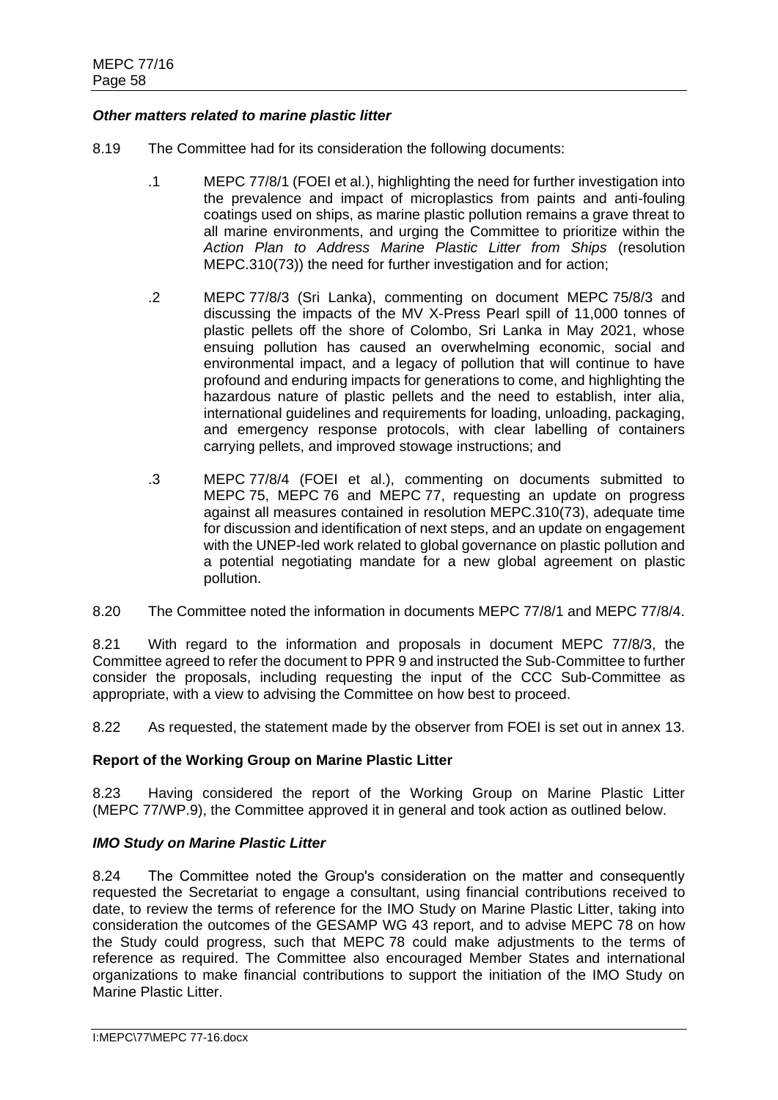### *Other matters related to marine plastic litter*

- 8.19 The Committee had for its consideration the following documents:
	- .1 MEPC 77/8/1 (FOEI et al.), highlighting the need for further investigation into the prevalence and impact of microplastics from paints and anti-fouling coatings used on ships, as marine plastic pollution remains a grave threat to all marine environments, and urging the Committee to prioritize within the *Action Plan to Address Marine Plastic Litter from Ships* (resolution MEPC.310(73)) the need for further investigation and for action;
	- .2 MEPC 77/8/3 (Sri Lanka), commenting on document MEPC 75/8/3 and discussing the impacts of the MV X-Press Pearl spill of 11,000 tonnes of plastic pellets off the shore of Colombo, Sri Lanka in May 2021, whose ensuing pollution has caused an overwhelming economic, social and environmental impact, and a legacy of pollution that will continue to have profound and enduring impacts for generations to come, and highlighting the hazardous nature of plastic pellets and the need to establish, inter alia, international guidelines and requirements for loading, unloading, packaging, and emergency response protocols, with clear labelling of containers carrying pellets, and improved stowage instructions; and
	- .3 MEPC 77/8/4 (FOEI et al.), commenting on documents submitted to MEPC 75, MEPC 76 and MEPC 77, requesting an update on progress against all measures contained in resolution MEPC.310(73), adequate time for discussion and identification of next steps, and an update on engagement with the UNEP-led work related to global governance on plastic pollution and a potential negotiating mandate for a new global agreement on plastic pollution.
- 8.20 The Committee noted the information in documents MEPC 77/8/1 and MEPC 77/8/4.

8.21 With regard to the information and proposals in document MEPC 77/8/3, the Committee agreed to refer the document to PPR 9 and instructed the Sub-Committee to further consider the proposals, including requesting the input of the CCC Sub-Committee as appropriate, with a view to advising the Committee on how best to proceed.

8.22 As requested, the statement made by the observer from FOEI is set out in annex 13.

#### **Report of the Working Group on Marine Plastic Litter**

8.23 Having considered the report of the Working Group on Marine Plastic Litter (MEPC 77/WP.9), the Committee approved it in general and took action as outlined below.

#### *IMO Study on Marine Plastic Litter*

8.24 The Committee noted the Groupʹs consideration on the matter and consequently requested the Secretariat to engage a consultant, using financial contributions received to date, to review the terms of reference for the IMO Study on Marine Plastic Litter, taking into consideration the outcomes of the GESAMP WG 43 report, and to advise MEPC 78 on how the Study could progress, such that MEPC 78 could make adjustments to the terms of reference as required. The Committee also encouraged Member States and international organizations to make financial contributions to support the initiation of the IMO Study on Marine Plastic Litter.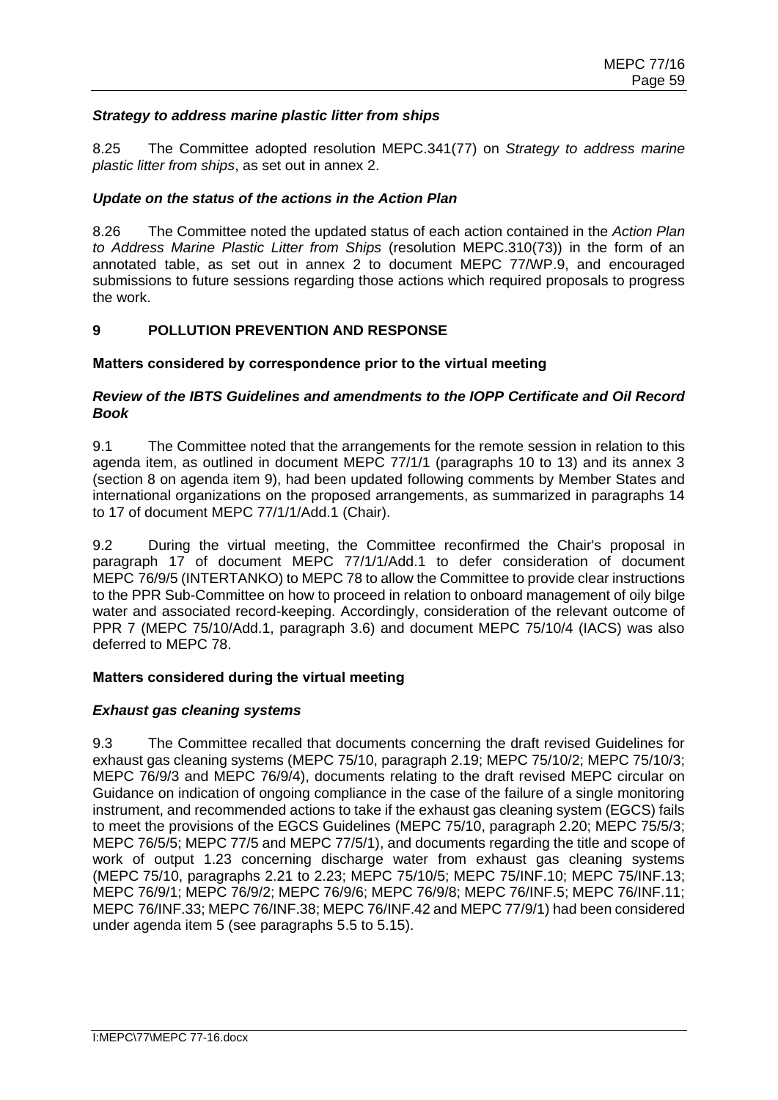### *Strategy to address marine plastic litter from ships*

8.25 The Committee adopted resolution MEPC.341(77) on *Strategy to address marine plastic litter from ships*, as set out in annex 2.

#### *Update on the status of the actions in the Action Plan*

8.26 The Committee noted the updated status of each action contained in the *Action Plan to Address Marine Plastic Litter from Ships* (resolution MEPC.310(73)) in the form of an annotated table, as set out in annex 2 to document MEPC 77/WP.9, and encouraged submissions to future sessions regarding those actions which required proposals to progress the work.

### **9 POLLUTION PREVENTION AND RESPONSE**

#### **Matters considered by correspondence prior to the virtual meeting**

### *Review of the IBTS Guidelines and amendments to the IOPP Certificate and Oil Record Book*

9.1 The Committee noted that the arrangements for the remote session in relation to this agenda item, as outlined in document MEPC 77/1/1 (paragraphs 10 to 13) and its annex 3 (section 8 on agenda item 9), had been updated following comments by Member States and international organizations on the proposed arrangements, as summarized in paragraphs 14 to 17 of document MEPC 77/1/1/Add.1 (Chair).

9.2 During the virtual meeting, the Committee reconfirmed the Chair's proposal in paragraph 17 of document MEPC 77/1/1/Add.1 to defer consideration of document MEPC 76/9/5 (INTERTANKO) to MEPC 78 to allow the Committee to provide clear instructions to the PPR Sub-Committee on how to proceed in relation to onboard management of oily bilge water and associated record-keeping. Accordingly, consideration of the relevant outcome of PPR 7 (MEPC 75/10/Add.1, paragraph 3.6) and document MEPC 75/10/4 (IACS) was also deferred to MEPC 78.

#### **Matters considered during the virtual meeting**

#### *Exhaust gas cleaning systems*

9.3 The Committee recalled that documents concerning the draft revised Guidelines for exhaust gas cleaning systems (MEPC 75/10, paragraph 2.19; MEPC 75/10/2; MEPC 75/10/3; MEPC 76/9/3 and MEPC 76/9/4), documents relating to the draft revised MEPC circular on Guidance on indication of ongoing compliance in the case of the failure of a single monitoring instrument, and recommended actions to take if the exhaust gas cleaning system (EGCS) fails to meet the provisions of the EGCS Guidelines (MEPC 75/10, paragraph 2.20; MEPC 75/5/3; MEPC 76/5/5; MEPC 77/5 and MEPC 77/5/1), and documents regarding the title and scope of work of output 1.23 concerning discharge water from exhaust gas cleaning systems (MEPC 75/10, paragraphs 2.21 to 2.23; MEPC 75/10/5; MEPC 75/INF.10; MEPC 75/INF.13; MEPC 76/9/1; MEPC 76/9/2; MEPC 76/9/6; MEPC 76/9/8; MEPC 76/INF.5; MEPC 76/INF.11; MEPC 76/INF.33; MEPC 76/INF.38; MEPC 76/INF.42 and MEPC 77/9/1) had been considered under agenda item 5 (see paragraphs 5.5 to 5.15).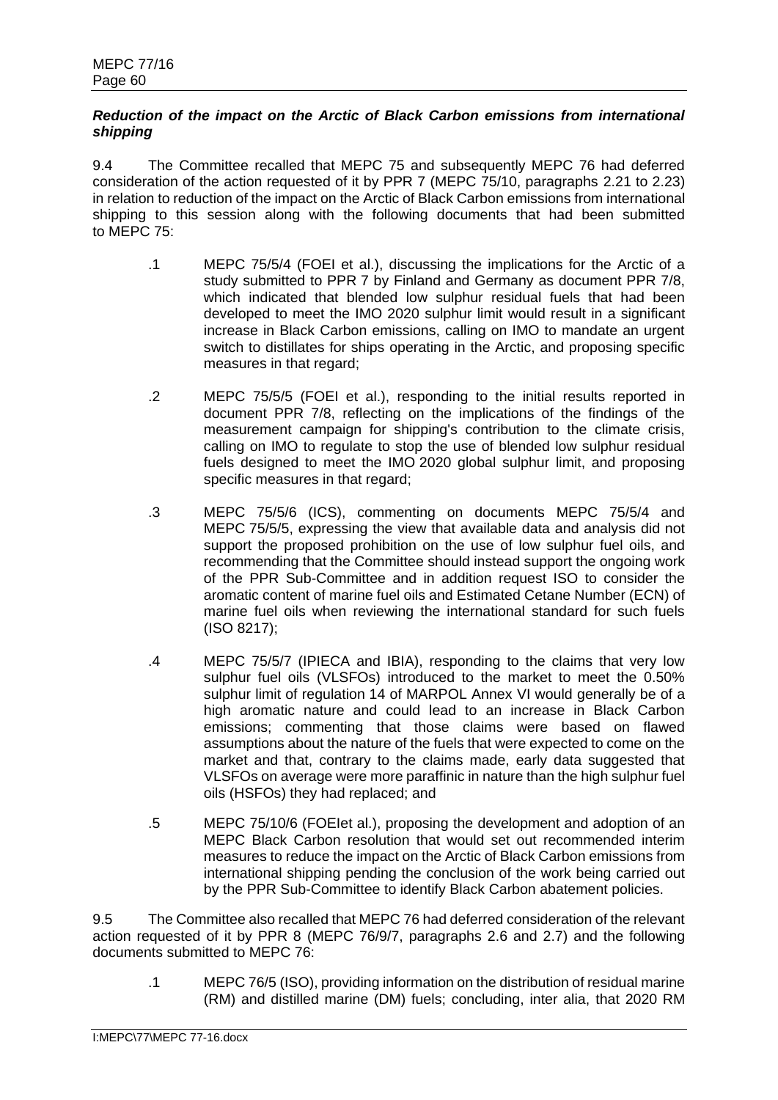### *Reduction of the impact on the Arctic of Black Carbon emissions from international shipping*

9.4 The Committee recalled that MEPC 75 and subsequently MEPC 76 had deferred consideration of the action requested of it by PPR 7 (MEPC 75/10, paragraphs 2.21 to 2.23) in relation to reduction of the impact on the Arctic of Black Carbon emissions from international shipping to this session along with the following documents that had been submitted to MEPC 75:

- .1 MEPC 75/5/4 (FOEI et al.), discussing the implications for the Arctic of a study submitted to PPR 7 by Finland and Germany as document PPR 7/8, which indicated that blended low sulphur residual fuels that had been developed to meet the IMO 2020 sulphur limit would result in a significant increase in Black Carbon emissions, calling on IMO to mandate an urgent switch to distillates for ships operating in the Arctic, and proposing specific measures in that regard:
- .2 MEPC 75/5/5 (FOEI et al.), responding to the initial results reported in document PPR 7/8, reflecting on the implications of the findings of the measurement campaign for shipping's contribution to the climate crisis, calling on IMO to regulate to stop the use of blended low sulphur residual fuels designed to meet the IMO 2020 global sulphur limit, and proposing specific measures in that regard:
- .3 MEPC 75/5/6 (ICS), commenting on documents MEPC 75/5/4 and MEPC 75/5/5, expressing the view that available data and analysis did not support the proposed prohibition on the use of low sulphur fuel oils, and recommending that the Committee should instead support the ongoing work of the PPR Sub-Committee and in addition request ISO to consider the aromatic content of marine fuel oils and Estimated Cetane Number (ECN) of marine fuel oils when reviewing the international standard for such fuels (ISO 8217);
- .4 MEPC 75/5/7 (IPIECA and IBIA), responding to the claims that very low sulphur fuel oils (VLSFOs) introduced to the market to meet the 0.50% sulphur limit of regulation 14 of MARPOL Annex VI would generally be of a high aromatic nature and could lead to an increase in Black Carbon emissions; commenting that those claims were based on flawed assumptions about the nature of the fuels that were expected to come on the market and that, contrary to the claims made, early data suggested that VLSFOs on average were more paraffinic in nature than the high sulphur fuel oils (HSFOs) they had replaced; and
- .5 MEPC 75/10/6 (FOEIet al.), proposing the development and adoption of an MEPC Black Carbon resolution that would set out recommended interim measures to reduce the impact on the Arctic of Black Carbon emissions from international shipping pending the conclusion of the work being carried out by the PPR Sub-Committee to identify Black Carbon abatement policies.

9.5 The Committee also recalled that MEPC 76 had deferred consideration of the relevant action requested of it by PPR 8 (MEPC 76/9/7, paragraphs 2.6 and 2.7) and the following documents submitted to MEPC 76:

.1 MEPC 76/5 (ISO), providing information on the distribution of residual marine (RM) and distilled marine (DM) fuels; concluding, inter alia, that 2020 RM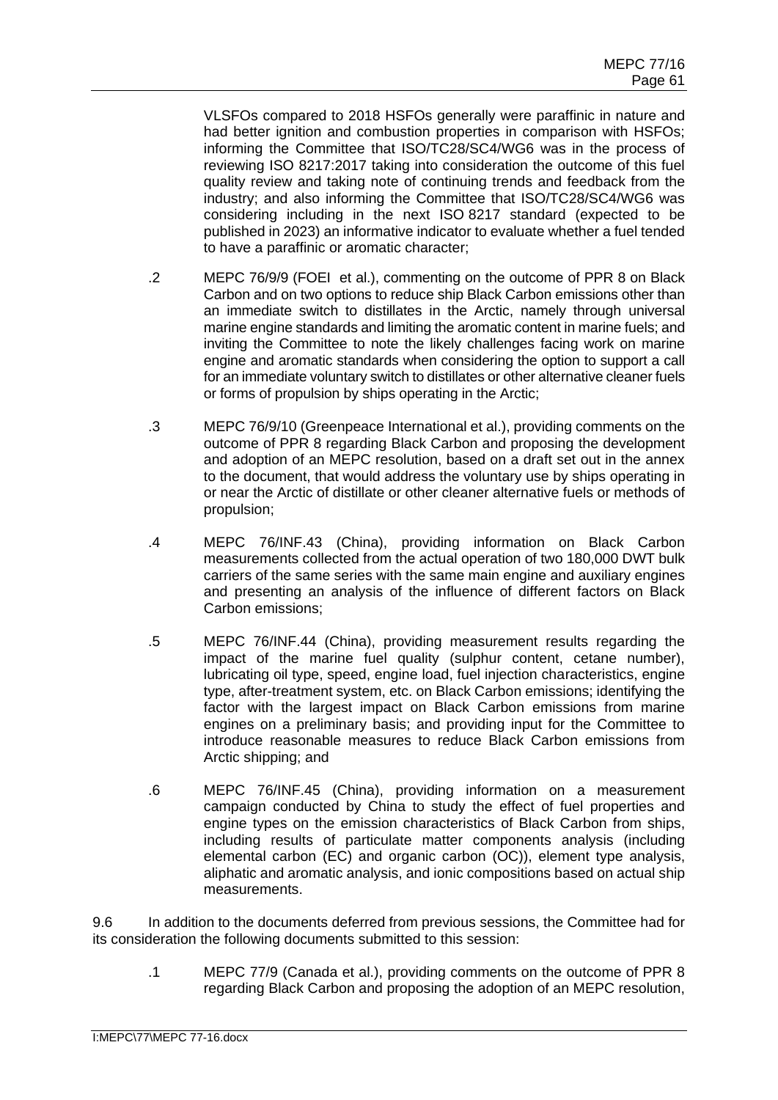VLSFOs compared to 2018 HSFOs generally were paraffinic in nature and had better ignition and combustion properties in comparison with HSFOs; informing the Committee that ISO/TC28/SC4/WG6 was in the process of reviewing ISO 8217:2017 taking into consideration the outcome of this fuel quality review and taking note of continuing trends and feedback from the industry; and also informing the Committee that ISO/TC28/SC4/WG6 was considering including in the next ISO 8217 standard (expected to be published in 2023) an informative indicator to evaluate whether a fuel tended to have a paraffinic or aromatic character;

- .2 MEPC 76/9/9 (FOEI et al.), commenting on the outcome of PPR 8 on Black Carbon and on two options to reduce ship Black Carbon emissions other than an immediate switch to distillates in the Arctic, namely through universal marine engine standards and limiting the aromatic content in marine fuels; and inviting the Committee to note the likely challenges facing work on marine engine and aromatic standards when considering the option to support a call for an immediate voluntary switch to distillates or other alternative cleaner fuels or forms of propulsion by ships operating in the Arctic;
- .3 MEPC 76/9/10 (Greenpeace International et al.), providing comments on the outcome of PPR 8 regarding Black Carbon and proposing the development and adoption of an MEPC resolution, based on a draft set out in the annex to the document, that would address the voluntary use by ships operating in or near the Arctic of distillate or other cleaner alternative fuels or methods of propulsion;
- .4 MEPC 76/INF.43 (China), providing information on Black Carbon measurements collected from the actual operation of two 180,000 DWT bulk carriers of the same series with the same main engine and auxiliary engines and presenting an analysis of the influence of different factors on Black Carbon emissions;
- .5 MEPC 76/INF.44 (China), providing measurement results regarding the impact of the marine fuel quality (sulphur content, cetane number), lubricating oil type, speed, engine load, fuel injection characteristics, engine type, after-treatment system, etc. on Black Carbon emissions; identifying the factor with the largest impact on Black Carbon emissions from marine engines on a preliminary basis; and providing input for the Committee to introduce reasonable measures to reduce Black Carbon emissions from Arctic shipping; and
- .6 MEPC 76/INF.45 (China), providing information on a measurement campaign conducted by China to study the effect of fuel properties and engine types on the emission characteristics of Black Carbon from ships, including results of particulate matter components analysis (including elemental carbon (EC) and organic carbon (OC)), element type analysis, aliphatic and aromatic analysis, and ionic compositions based on actual ship measurements.

9.6 In addition to the documents deferred from previous sessions, the Committee had for its consideration the following documents submitted to this session:

.1 MEPC 77/9 (Canada et al.), providing comments on the outcome of PPR 8 regarding Black Carbon and proposing the adoption of an MEPC resolution,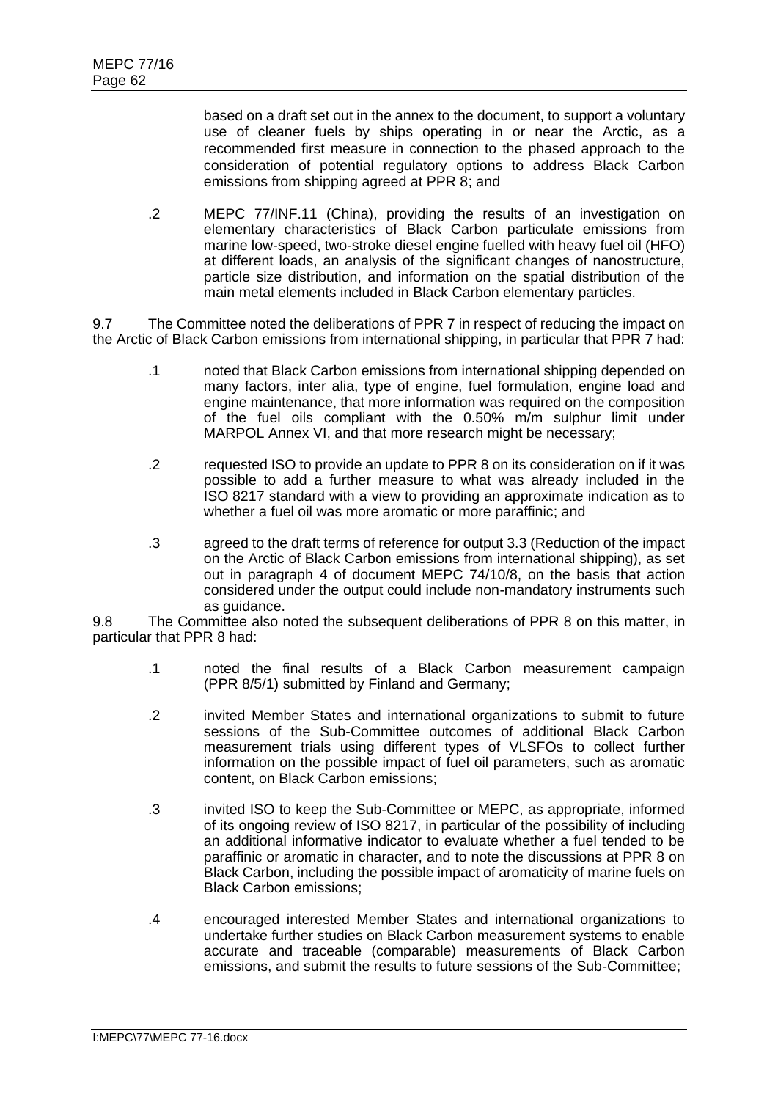based on a draft set out in the annex to the document, to support a voluntary use of cleaner fuels by ships operating in or near the Arctic, as a recommended first measure in connection to the phased approach to the consideration of potential regulatory options to address Black Carbon emissions from shipping agreed at PPR 8; and

.2 MEPC 77/INF.11 (China), providing the results of an investigation on elementary characteristics of Black Carbon particulate emissions from marine low-speed, two-stroke diesel engine fuelled with heavy fuel oil (HFO) at different loads, an analysis of the significant changes of nanostructure, particle size distribution, and information on the spatial distribution of the main metal elements included in Black Carbon elementary particles.

9.7 The Committee noted the deliberations of PPR 7 in respect of reducing the impact on the Arctic of Black Carbon emissions from international shipping, in particular that PPR 7 had:

- .1 noted that Black Carbon emissions from international shipping depended on many factors, inter alia, type of engine, fuel formulation, engine load and engine maintenance, that more information was required on the composition of the fuel oils compliant with the 0.50% m/m sulphur limit under MARPOL Annex VI, and that more research might be necessary;
- .2 requested ISO to provide an update to PPR 8 on its consideration on if it was possible to add a further measure to what was already included in the ISO 8217 standard with a view to providing an approximate indication as to whether a fuel oil was more aromatic or more paraffinic; and
- .3 agreed to the draft terms of reference for output 3.3 (Reduction of the impact on the Arctic of Black Carbon emissions from international shipping), as set out in paragraph 4 of document MEPC 74/10/8, on the basis that action considered under the output could include non-mandatory instruments such as guidance.

9.8 The Committee also noted the subsequent deliberations of PPR 8 on this matter, in particular that PPR 8 had:

- .1 noted the final results of a Black Carbon measurement campaign (PPR 8/5/1) submitted by Finland and Germany;
- .2 invited Member States and international organizations to submit to future sessions of the Sub-Committee outcomes of additional Black Carbon measurement trials using different types of VLSFOs to collect further information on the possible impact of fuel oil parameters, such as aromatic content, on Black Carbon emissions;
- .3 invited ISO to keep the Sub-Committee or MEPC, as appropriate, informed of its ongoing review of ISO 8217, in particular of the possibility of including an additional informative indicator to evaluate whether a fuel tended to be paraffinic or aromatic in character, and to note the discussions at PPR 8 on Black Carbon, including the possible impact of aromaticity of marine fuels on Black Carbon emissions;
- .4 encouraged interested Member States and international organizations to undertake further studies on Black Carbon measurement systems to enable accurate and traceable (comparable) measurements of Black Carbon emissions, and submit the results to future sessions of the Sub-Committee;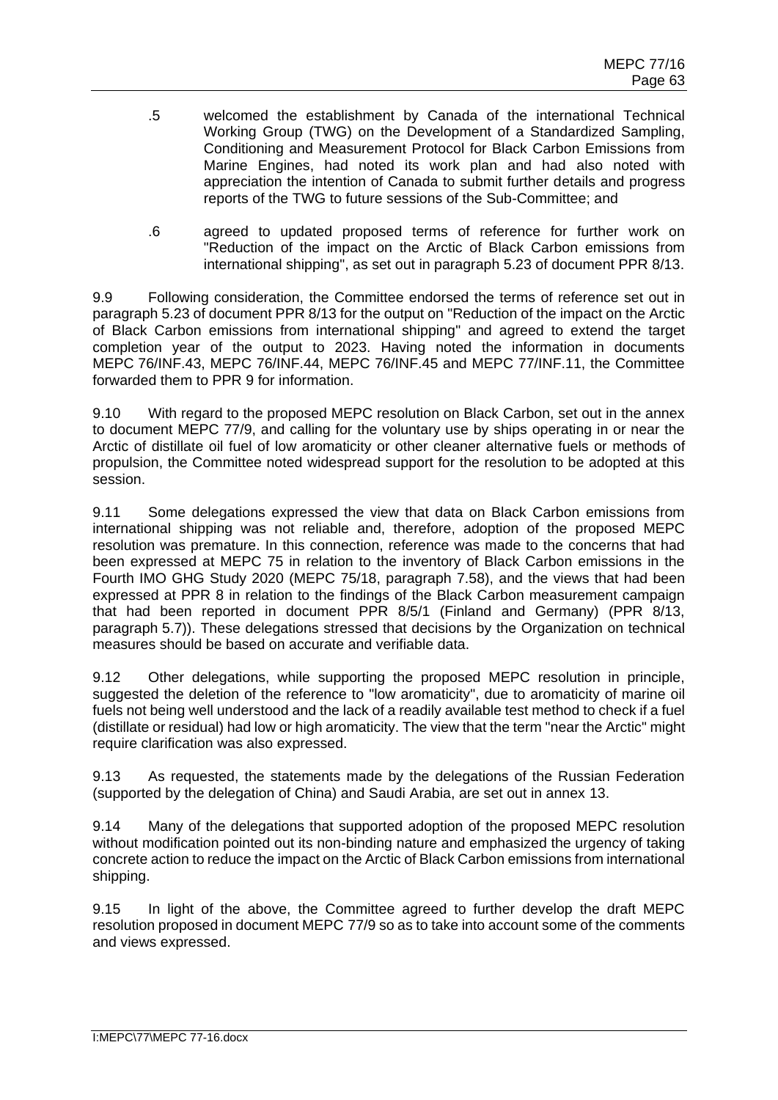- .5 welcomed the establishment by Canada of the international Technical Working Group (TWG) on the Development of a Standardized Sampling, Conditioning and Measurement Protocol for Black Carbon Emissions from Marine Engines, had noted its work plan and had also noted with appreciation the intention of Canada to submit further details and progress reports of the TWG to future sessions of the Sub-Committee; and
- .6 agreed to updated proposed terms of reference for further work on "Reduction of the impact on the Arctic of Black Carbon emissions from international shipping", as set out in paragraph 5.23 of document PPR 8/13.

9.9 Following consideration, the Committee endorsed the terms of reference set out in paragraph 5.23 of document PPR 8/13 for the output on "Reduction of the impact on the Arctic of Black Carbon emissions from international shipping" and agreed to extend the target completion year of the output to 2023. Having noted the information in documents MEPC 76/INF.43, MEPC 76/INF.44, MEPC 76/INF.45 and MEPC 77/INF.11, the Committee forwarded them to PPR 9 for information.

9.10 With regard to the proposed MEPC resolution on Black Carbon, set out in the annex to document MEPC 77/9, and calling for the voluntary use by ships operating in or near the Arctic of distillate oil fuel of low aromaticity or other cleaner alternative fuels or methods of propulsion, the Committee noted widespread support for the resolution to be adopted at this session.

9.11 Some delegations expressed the view that data on Black Carbon emissions from international shipping was not reliable and, therefore, adoption of the proposed MEPC resolution was premature. In this connection, reference was made to the concerns that had been expressed at MEPC 75 in relation to the inventory of Black Carbon emissions in the Fourth IMO GHG Study 2020 (MEPC 75/18, paragraph 7.58), and the views that had been expressed at PPR 8 in relation to the findings of the Black Carbon measurement campaign that had been reported in document PPR 8/5/1 (Finland and Germany) (PPR 8/13, paragraph 5.7)). These delegations stressed that decisions by the Organization on technical measures should be based on accurate and verifiable data.

9.12 Other delegations, while supporting the proposed MEPC resolution in principle, suggested the deletion of the reference to "low aromaticity", due to aromaticity of marine oil fuels not being well understood and the lack of a readily available test method to check if a fuel (distillate or residual) had low or high aromaticity. The view that the term "near the Arctic" might require clarification was also expressed.

9.13 As requested, the statements made by the delegations of the Russian Federation (supported by the delegation of China) and Saudi Arabia, are set out in annex 13.

9.14 Many of the delegations that supported adoption of the proposed MEPC resolution without modification pointed out its non-binding nature and emphasized the urgency of taking concrete action to reduce the impact on the Arctic of Black Carbon emissions from international shipping.

9.15 In light of the above, the Committee agreed to further develop the draft MEPC resolution proposed in document MEPC 77/9 so as to take into account some of the comments and views expressed.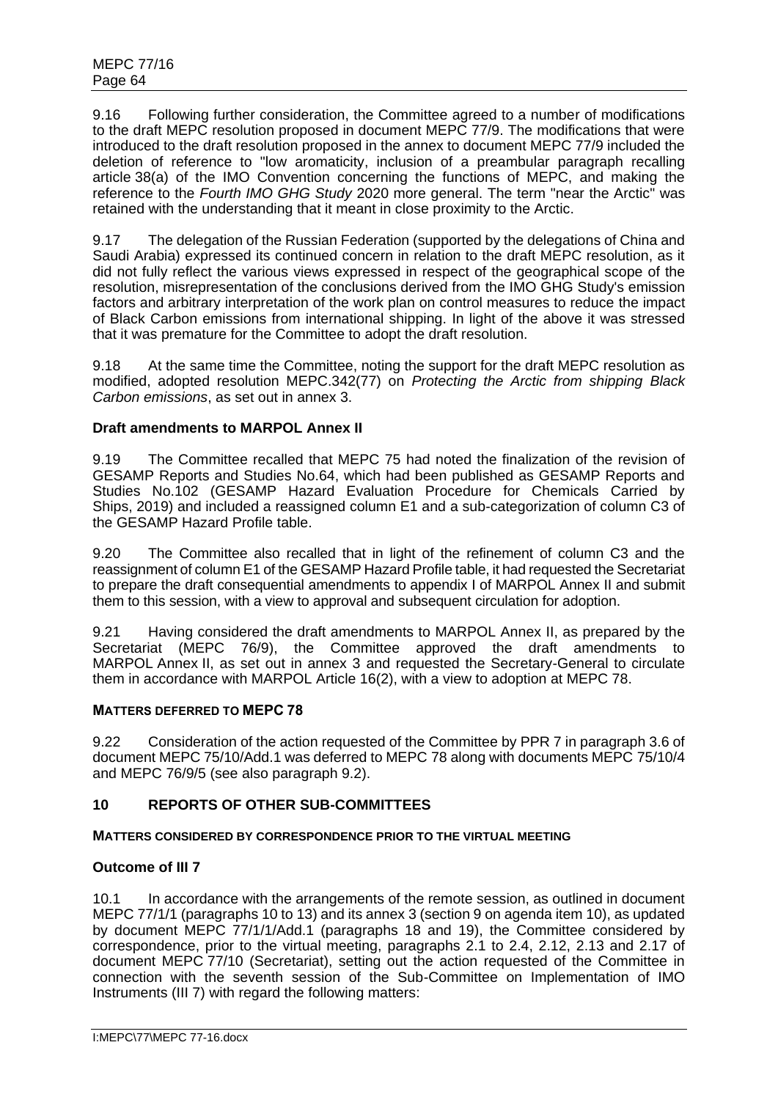9.16 Following further consideration, the Committee agreed to a number of modifications to the draft MEPC resolution proposed in document MEPC 77/9. The modifications that were introduced to the draft resolution proposed in the annex to document MEPC 77/9 included the deletion of reference to "low aromaticity, inclusion of a preambular paragraph recalling article 38(a) of the IMO Convention concerning the functions of MEPC, and making the reference to the *Fourth IMO GHG Study* 2020 more general. The term "near the Arctic" was retained with the understanding that it meant in close proximity to the Arctic.

9.17 The delegation of the Russian Federation (supported by the delegations of China and Saudi Arabia) expressed its continued concern in relation to the draft MEPC resolution, as it did not fully reflect the various views expressed in respect of the geographical scope of the resolution, misrepresentation of the conclusions derived from the IMO GHG Study's emission factors and arbitrary interpretation of the work plan on control measures to reduce the impact of Black Carbon emissions from international shipping. In light of the above it was stressed that it was premature for the Committee to adopt the draft resolution.

9.18 At the same time the Committee, noting the support for the draft MEPC resolution as modified, adopted resolution MEPC.342(77) on *Protecting the Arctic from shipping Black Carbon emissions*, as set out in annex 3.

## **Draft amendments to MARPOL Annex II**

9.19 The Committee recalled that MEPC 75 had noted the finalization of the revision of GESAMP Reports and Studies No.64, which had been published as GESAMP Reports and Studies No.102 (GESAMP Hazard Evaluation Procedure for Chemicals Carried by Ships, 2019) and included a reassigned column E1 and a sub-categorization of column C3 of the GESAMP Hazard Profile table.

9.20 The Committee also recalled that in light of the refinement of column C3 and the reassignment of column E1 of the GESAMP Hazard Profile table, it had requested the Secretariat to prepare the draft consequential amendments to appendix I of MARPOL Annex II and submit them to this session, with a view to approval and subsequent circulation for adoption.

9.21 Having considered the draft amendments to MARPOL Annex II, as prepared by the Secretariat (MEPC 76/9), the Committee approved the draft amendments to MARPOL Annex II, as set out in annex 3 and requested the Secretary-General to circulate them in accordance with MARPOL Article 16(2), with a view to adoption at MEPC 78.

#### **MATTERS DEFERRED TO MEPC 78**

9.22 Consideration of the action requested of the Committee by PPR 7 in paragraph 3.6 of document MEPC 75/10/Add.1 was deferred to MEPC 78 along with documents MEPC 75/10/4 and MEPC 76/9/5 (see also paragraph 9.2).

## **10 REPORTS OF OTHER SUB-COMMITTEES**

#### **MATTERS CONSIDERED BY CORRESPONDENCE PRIOR TO THE VIRTUAL MEETING**

## **Outcome of III 7**

10.1 In accordance with the arrangements of the remote session, as outlined in document MEPC 77/1/1 (paragraphs 10 to 13) and its annex 3 (section 9 on agenda item 10), as updated by document MEPC 77/1/1/Add.1 (paragraphs 18 and 19), the Committee considered by correspondence, prior to the virtual meeting, paragraphs 2.1 to 2.4, 2.12, 2.13 and 2.17 of document MEPC 77/10 (Secretariat), setting out the action requested of the Committee in connection with the seventh session of the Sub-Committee on Implementation of IMO Instruments (III 7) with regard the following matters: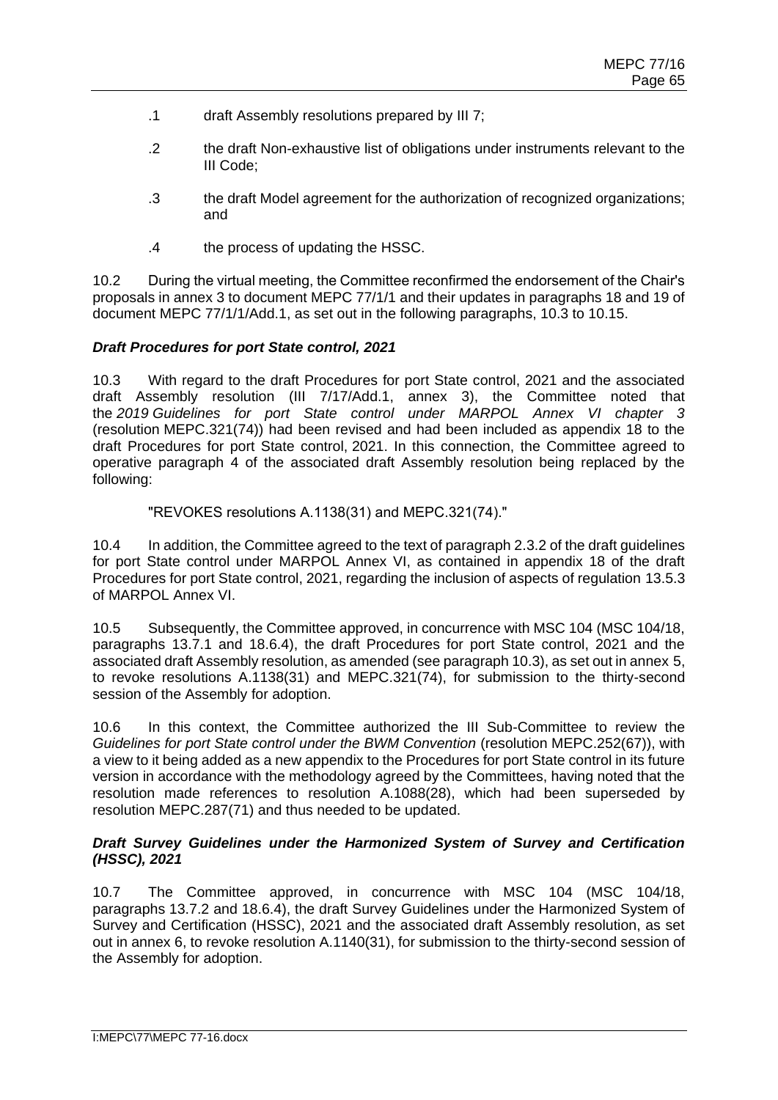- .1 draft Assembly resolutions prepared by III 7;
- .2 the draft Non-exhaustive list of obligations under instruments relevant to the III Code;
- .3 the draft Model agreement for the authorization of recognized organizations; and
- .4 the process of updating the HSSC.

10.2 During the virtual meeting, the Committee reconfirmed the endorsement of the Chairʹs proposals in annex 3 to document MEPC 77/1/1 and their updates in paragraphs 18 and 19 of document MEPC 77/1/1/Add.1, as set out in the following paragraphs, 10.3 to 10.15.

# *Draft Procedures for port State control, 2021*

10.3 With regard to the draft Procedures for port State control, 2021 and the associated draft Assembly resolution (III 7/17/Add.1, annex 3), the Committee noted that the *2019 Guidelines for port State control under MARPOL Annex VI chapter 3* (resolution MEPC.321(74)) had been revised and had been included as appendix 18 to the draft Procedures for port State control, 2021. In this connection, the Committee agreed to operative paragraph 4 of the associated draft Assembly resolution being replaced by the following:

## "REVOKES resolutions A.1138(31) and MEPC.321(74)."

10.4 In addition, the Committee agreed to the text of paragraph 2.3.2 of the draft guidelines for port State control under MARPOL Annex VI, as contained in appendix 18 of the draft Procedures for port State control, 2021, regarding the inclusion of aspects of regulation 13.5.3 of MARPOL Annex VI.

10.5 Subsequently, the Committee approved, in concurrence with MSC 104 (MSC 104/18, paragraphs 13.7.1 and 18.6.4), the draft Procedures for port State control, 2021 and the associated draft Assembly resolution, as amended (see paragraph 10.3), as set out in annex 5, to revoke resolutions A.1138(31) and MEPC.321(74), for submission to the thirty-second session of the Assembly for adoption.

10.6 In this context, the Committee authorized the III Sub-Committee to review the *Guidelines for port State control under the BWM Convention* (resolution MEPC.252(67)), with a view to it being added as a new appendix to the Procedures for port State control in its future version in accordance with the methodology agreed by the Committees, having noted that the resolution made references to resolution A.1088(28), which had been superseded by resolution MEPC.287(71) and thus needed to be updated.

### *Draft Survey Guidelines under the Harmonized System of Survey and Certification (HSSC), 2021*

10.7 The Committee approved, in concurrence with MSC 104 (MSC 104/18, paragraphs 13.7.2 and 18.6.4), the draft Survey Guidelines under the Harmonized System of Survey and Certification (HSSC), 2021 and the associated draft Assembly resolution, as set out in annex 6, to revoke resolution A.1140(31), for submission to the thirty-second session of the Assembly for adoption.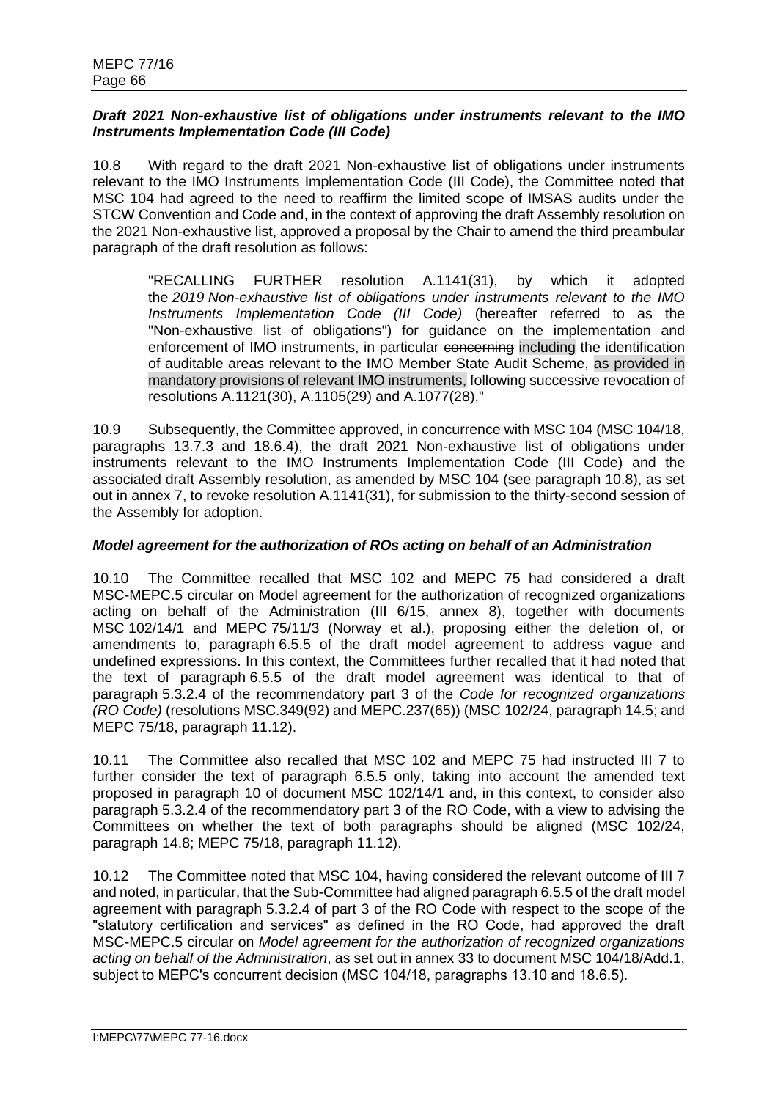## *Draft 2021 Non-exhaustive list of obligations under instruments relevant to the IMO Instruments Implementation Code (III Code)*

10.8 With regard to the draft 2021 Non-exhaustive list of obligations under instruments relevant to the IMO Instruments Implementation Code (III Code), the Committee noted that MSC 104 had agreed to the need to reaffirm the limited scope of IMSAS audits under the STCW Convention and Code and, in the context of approving the draft Assembly resolution on the 2021 Non-exhaustive list, approved a proposal by the Chair to amend the third preambular paragraph of the draft resolution as follows:

"RECALLING FURTHER resolution A.1141(31), by which it adopted the *2019 Non-exhaustive list of obligations under instruments relevant to the IMO Instruments Implementation Code (III Code)* (hereafter referred to as the "Non-exhaustive list of obligations") for guidance on the implementation and enforcement of IMO instruments, in particular concerning including the identification of auditable areas relevant to the IMO Member State Audit Scheme, as provided in mandatory provisions of relevant IMO instruments, following successive revocation of resolutions A.1121(30), A.1105(29) and A.1077(28),"

10.9 Subsequently, the Committee approved, in concurrence with MSC 104 (MSC 104/18, paragraphs 13.7.3 and 18.6.4), the draft 2021 Non-exhaustive list of obligations under instruments relevant to the IMO Instruments Implementation Code (III Code) and the associated draft Assembly resolution, as amended by MSC 104 (see paragraph 10.8), as set out in annex 7, to revoke resolution A.1141(31), for submission to the thirty-second session of the Assembly for adoption.

### *Model agreement for the authorization of ROs acting on behalf of an Administration*

10.10 The Committee recalled that MSC 102 and MEPC 75 had considered a draft MSC-MEPC.5 circular on Model agreement for the authorization of recognized organizations acting on behalf of the Administration (III 6/15, annex 8), together with documents MSC 102/14/1 and MEPC 75/11/3 (Norway et al.), proposing either the deletion of, or amendments to, paragraph 6.5.5 of the draft model agreement to address vague and undefined expressions. In this context, the Committees further recalled that it had noted that the text of paragraph 6.5.5 of the draft model agreement was identical to that of paragraph 5.3.2.4 of the recommendatory part 3 of the *Code for recognized organizations (RO Code)* (resolutions MSC.349(92) and MEPC.237(65)) (MSC 102/24, paragraph 14.5; and MEPC 75/18, paragraph 11.12).

10.11 The Committee also recalled that MSC 102 and MEPC 75 had instructed III 7 to further consider the text of paragraph 6.5.5 only, taking into account the amended text proposed in paragraph 10 of document MSC 102/14/1 and, in this context, to consider also paragraph 5.3.2.4 of the recommendatory part 3 of the RO Code, with a view to advising the Committees on whether the text of both paragraphs should be aligned (MSC 102/24, paragraph 14.8; MEPC 75/18, paragraph 11.12).

10.12 The Committee noted that MSC 104, having considered the relevant outcome of III 7 and noted, in particular, that the Sub-Committee had aligned paragraph 6.5.5 of the draft model agreement with paragraph 5.3.2.4 of part 3 of the RO Code with respect to the scope of the "statutory certification and services" as defined in the RO Code, had approved the draft MSC-MEPC.5 circular on *Model agreement for the authorization of recognized organizations acting on behalf of the Administration*, as set out in annex 33 to document MSC 104/18/Add.1, subject to MEPC's concurrent decision (MSC 104/18, paragraphs 13.10 and 18.6.5).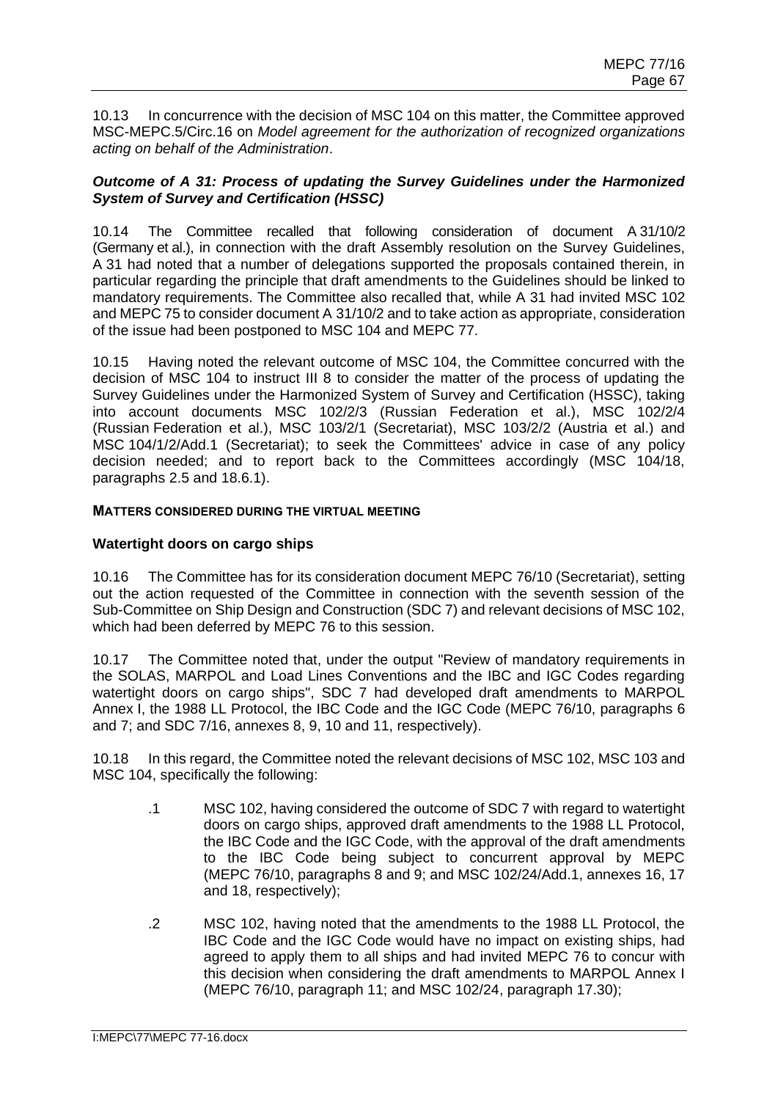10.13 In concurrence with the decision of MSC 104 on this matter, the Committee approved MSC-MEPC.5/Circ.16 on *Model agreement for the authorization of recognized organizations acting on behalf of the Administration*.

## *Outcome of A 31: Process of updating the Survey Guidelines under the Harmonized System of Survey and Certification (HSSC)*

10.14 The Committee recalled that following consideration of document A 31/10/2 (Germany et al.), in connection with the draft Assembly resolution on the Survey Guidelines, A 31 had noted that a number of delegations supported the proposals contained therein, in particular regarding the principle that draft amendments to the Guidelines should be linked to mandatory requirements. The Committee also recalled that, while A 31 had invited MSC 102 and MEPC 75 to consider document A 31/10/2 and to take action as appropriate, consideration of the issue had been postponed to MSC 104 and MEPC 77.

10.15 Having noted the relevant outcome of MSC 104, the Committee concurred with the decision of MSC 104 to instruct III 8 to consider the matter of the process of updating the Survey Guidelines under the Harmonized System of Survey and Certification (HSSC), taking into account documents MSC 102/2/3 (Russian Federation et al.), MSC 102/2/4 (Russian Federation et al.), MSC 103/2/1 (Secretariat), MSC 103/2/2 (Austria et al.) and MSC 104/1/2/Add.1 (Secretariat); to seek the Committees' advice in case of any policy decision needed; and to report back to the Committees accordingly (MSC 104/18, paragraphs 2.5 and 18.6.1).

### **MATTERS CONSIDERED DURING THE VIRTUAL MEETING**

### **Watertight doors on cargo ships**

10.16 The Committee has for its consideration document MEPC 76/10 (Secretariat), setting out the action requested of the Committee in connection with the seventh session of the Sub-Committee on Ship Design and Construction (SDC 7) and relevant decisions of MSC 102, which had been deferred by MEPC 76 to this session.

10.17 The Committee noted that, under the output "Review of mandatory requirements in the SOLAS, MARPOL and Load Lines Conventions and the IBC and IGC Codes regarding watertight doors on cargo ships", SDC 7 had developed draft amendments to MARPOL Annex I, the 1988 LL Protocol, the IBC Code and the IGC Code (MEPC 76/10, paragraphs 6 and 7; and SDC 7/16, annexes 8, 9, 10 and 11, respectively).

10.18 In this regard, the Committee noted the relevant decisions of MSC 102, MSC 103 and MSC 104, specifically the following:

- .1 MSC 102, having considered the outcome of SDC 7 with regard to watertight doors on cargo ships, approved draft amendments to the 1988 LL Protocol, the IBC Code and the IGC Code, with the approval of the draft amendments to the IBC Code being subject to concurrent approval by MEPC (MEPC 76/10, paragraphs 8 and 9; and MSC 102/24/Add.1, annexes 16, 17 and 18, respectively);
- .2 MSC 102, having noted that the amendments to the 1988 LL Protocol, the IBC Code and the IGC Code would have no impact on existing ships, had agreed to apply them to all ships and had invited MEPC 76 to concur with this decision when considering the draft amendments to MARPOL Annex I (MEPC 76/10, paragraph 11; and MSC 102/24, paragraph 17.30);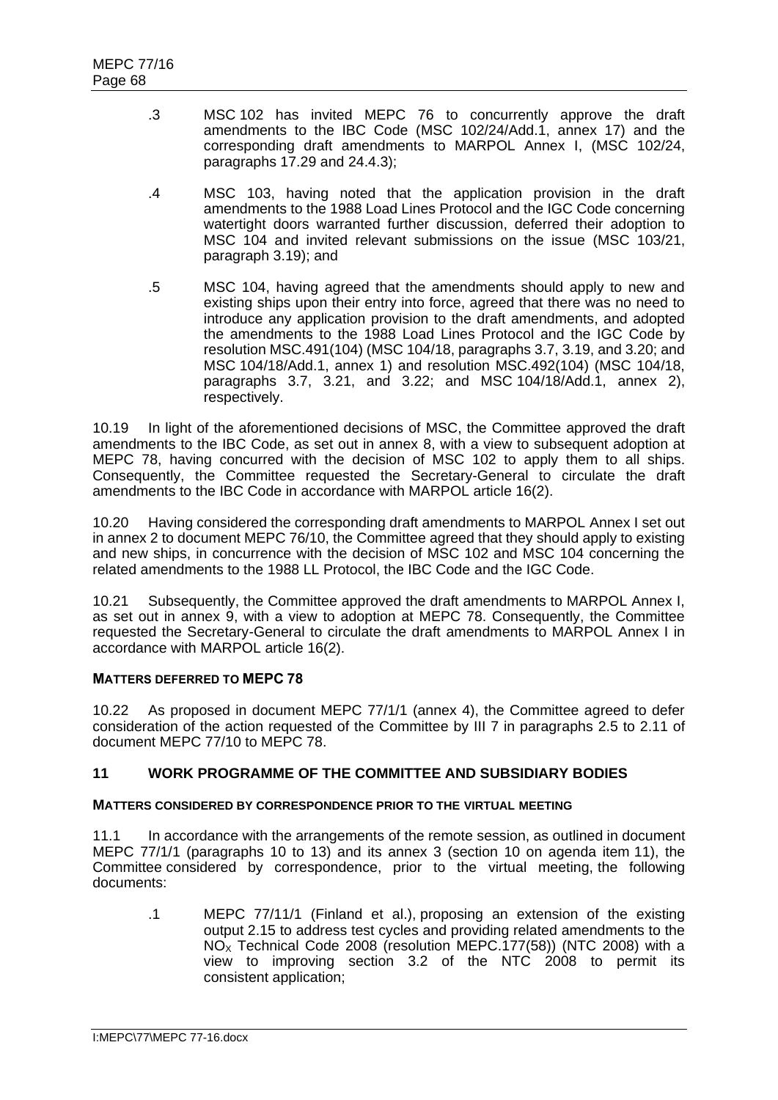- .3 MSC 102 has invited MEPC 76 to concurrently approve the draft amendments to the IBC Code (MSC 102/24/Add.1, annex 17) and the corresponding draft amendments to MARPOL Annex I, (MSC 102/24, paragraphs 17.29 and 24.4.3);
- .4 MSC 103, having noted that the application provision in the draft amendments to the 1988 Load Lines Protocol and the IGC Code concerning watertight doors warranted further discussion, deferred their adoption to MSC 104 and invited relevant submissions on the issue (MSC 103/21, paragraph 3.19); and
- .5 MSC 104, having agreed that the amendments should apply to new and existing ships upon their entry into force, agreed that there was no need to introduce any application provision to the draft amendments, and adopted the amendments to the 1988 Load Lines Protocol and the IGC Code by resolution MSC.491(104) (MSC 104/18, paragraphs 3.7, 3.19, and 3.20; and MSC 104/18/Add.1, annex 1) and resolution MSC.492(104) (MSC 104/18, paragraphs 3.7, 3.21, and 3.22; and MSC 104/18/Add.1, annex 2), respectively.

10.19 In light of the aforementioned decisions of MSC, the Committee approved the draft amendments to the IBC Code, as set out in annex 8, with a view to subsequent adoption at MEPC 78, having concurred with the decision of MSC 102 to apply them to all ships. Consequently, the Committee requested the Secretary-General to circulate the draft amendments to the IBC Code in accordance with MARPOL article 16(2).

10.20 Having considered the corresponding draft amendments to MARPOL Annex I set out in annex 2 to document MEPC 76/10, the Committee agreed that they should apply to existing and new ships, in concurrence with the decision of MSC 102 and MSC 104 concerning the related amendments to the 1988 LL Protocol, the IBC Code and the IGC Code.

10.21 Subsequently, the Committee approved the draft amendments to MARPOL Annex I, as set out in annex 9, with a view to adoption at MEPC 78. Consequently, the Committee requested the Secretary-General to circulate the draft amendments to MARPOL Annex I in accordance with MARPOL article 16(2).

## **MATTERS DEFERRED TO MEPC 78**

10.22 As proposed in document MEPC 77/1/1 (annex 4), the Committee agreed to defer consideration of the action requested of the Committee by III 7 in paragraphs 2.5 to 2.11 of document MEPC 77/10 to MEPC 78.

## **11 WORK PROGRAMME OF THE COMMITTEE AND SUBSIDIARY BODIES**

#### **MATTERS CONSIDERED BY CORRESPONDENCE PRIOR TO THE VIRTUAL MEETING**

11.1 In accordance with the arrangements of the remote session, as outlined in document MEPC 77/1/1 (paragraphs 10 to 13) and its annex 3 (section 10 on agenda item 11), the Committee considered by correspondence, prior to the virtual meeting, the following documents:

.1 MEPC 77/11/1 (Finland et al.), proposing an extension of the existing output 2.15 to address test cycles and providing related amendments to the  $NO<sub>x</sub>$  Technical Code 2008 (resolution MEPC.177(58)) (NTC 2008) with a view to improving section 3.2 of the NTC 2008 to permit its consistent application;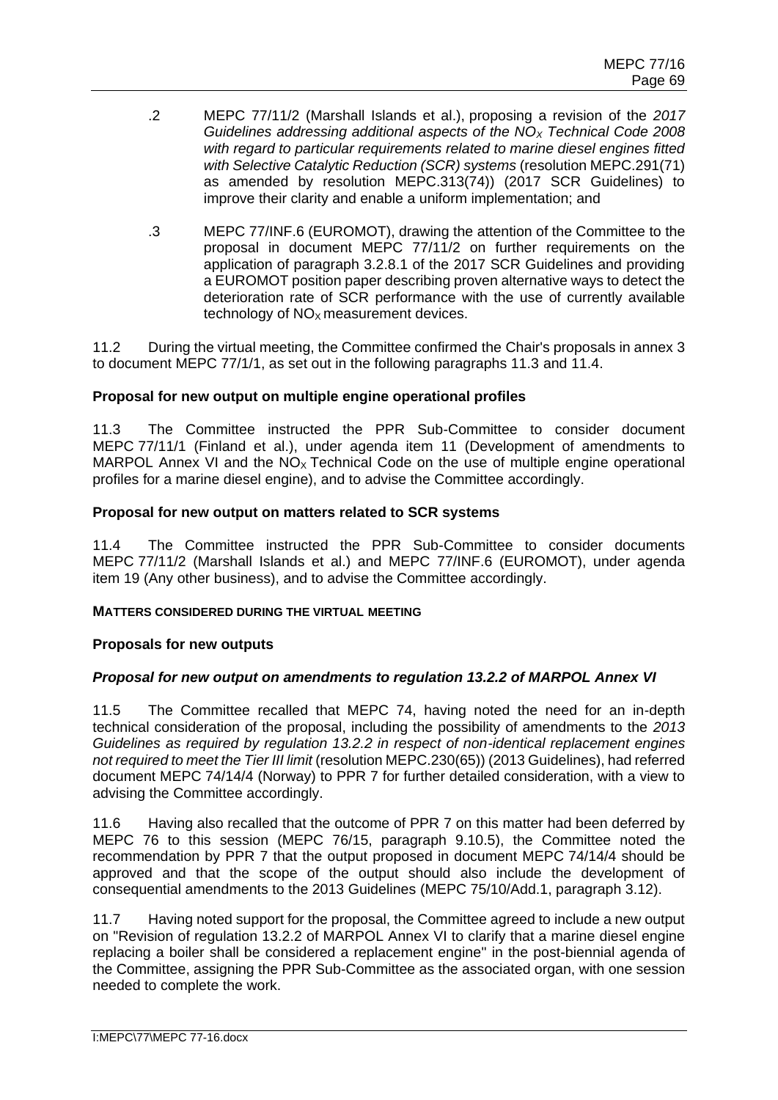- .2 MEPC 77/11/2 (Marshall Islands et al.), proposing a revision of the *2017 Guidelines addressing additional aspects of the NO<sup>X</sup> Technical Code 2008 with regard to particular requirements related to marine diesel engines fitted with Selective Catalytic Reduction (SCR) systems* (resolution MEPC.291(71) as amended by resolution MEPC.313(74)) (2017 SCR Guidelines) to improve their clarity and enable a uniform implementation; and
- .3 MEPC 77/INF.6 (EUROMOT), drawing the attention of the Committee to the proposal in document MEPC 77/11/2 on further requirements on the application of paragraph 3.2.8.1 of the 2017 SCR Guidelines and providing a EUROMOT position paper describing proven alternative ways to detect the deterioration rate of SCR performance with the use of currently available technology of  $NO<sub>x</sub>$  measurement devices.

11.2 During the virtual meeting, the Committee confirmed the Chair's proposals in annex 3 to document MEPC 77/1/1, as set out in the following paragraphs 11.3 and 11.4.

## **Proposal for new output on multiple engine operational profiles**

11.3 The Committee instructed the PPR Sub-Committee to consider document MEPC 77/11/1 (Finland et al.), under agenda item 11 (Development of amendments to MARPOL Annex VI and the  $NO<sub>X</sub>$  Technical Code on the use of multiple engine operational profiles for a marine diesel engine), and to advise the Committee accordingly.

### **Proposal for new output on matters related to SCR systems**

11.4 The Committee instructed the PPR Sub-Committee to consider documents MEPC 77/11/2 (Marshall Islands et al.) and MEPC 77/INF.6 (EUROMOT), under agenda item 19 (Any other business), and to advise the Committee accordingly.

#### **MATTERS CONSIDERED DURING THE VIRTUAL MEETING**

## **Proposals for new outputs**

## *Proposal for new output on amendments to regulation 13.2.2 of MARPOL Annex VI*

11.5 The Committee recalled that MEPC 74, having noted the need for an in-depth technical consideration of the proposal, including the possibility of amendments to the *2013 Guidelines as required by regulation 13.2.2 in respect of non-identical replacement engines not required to meet the Tier III limit* (resolution MEPC.230(65)) (2013 Guidelines), had referred document MEPC 74/14/4 (Norway) to PPR 7 for further detailed consideration, with a view to advising the Committee accordingly.

11.6 Having also recalled that the outcome of PPR 7 on this matter had been deferred by MEPC 76 to this session (MEPC 76/15, paragraph 9.10.5), the Committee noted the recommendation by PPR 7 that the output proposed in document MEPC 74/14/4 should be approved and that the scope of the output should also include the development of consequential amendments to the 2013 Guidelines (MEPC 75/10/Add.1, paragraph 3.12).

11.7 Having noted support for the proposal, the Committee agreed to include a new output on "Revision of regulation 13.2.2 of MARPOL Annex VI to clarify that a marine diesel engine replacing a boiler shall be considered a replacement engine" in the post-biennial agenda of the Committee, assigning the PPR Sub-Committee as the associated organ, with one session needed to complete the work.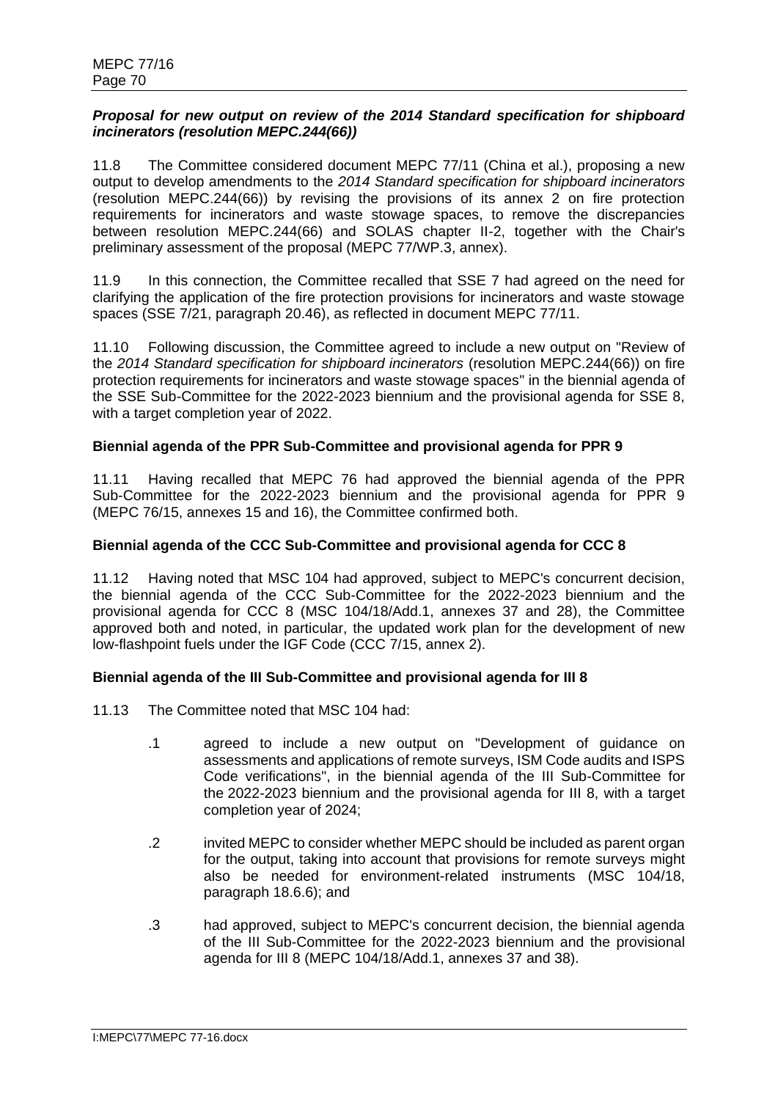# *Proposal for new output on review of the 2014 Standard specification for shipboard incinerators (resolution MEPC.244(66))*

11.8 The Committee considered document MEPC 77/11 (China et al.), proposing a new output to develop amendments to the *2014 Standard specification for shipboard incinerators* (resolution MEPC.244(66)) by revising the provisions of its annex 2 on fire protection requirements for incinerators and waste stowage spaces, to remove the discrepancies between resolution MEPC.244(66) and SOLAS chapter II-2, together with the Chair's preliminary assessment of the proposal (MEPC 77/WP.3, annex).

11.9 In this connection, the Committee recalled that SSE 7 had agreed on the need for clarifying the application of the fire protection provisions for incinerators and waste stowage spaces (SSE 7/21, paragraph 20.46), as reflected in document MEPC 77/11.

11.10 Following discussion, the Committee agreed to include a new output on "Review of the *2014 Standard specification for shipboard incinerators* (resolution MEPC.244(66)) on fire protection requirements for incinerators and waste stowage spaces" in the biennial agenda of the SSE Sub-Committee for the 2022-2023 biennium and the provisional agenda for SSE 8, with a target completion year of 2022.

## **Biennial agenda of the PPR Sub-Committee and provisional agenda for PPR 9**

11.11 Having recalled that MEPC 76 had approved the biennial agenda of the PPR Sub-Committee for the 2022-2023 biennium and the provisional agenda for PPR 9 (MEPC 76/15, annexes 15 and 16), the Committee confirmed both.

### **Biennial agenda of the CCC Sub-Committee and provisional agenda for CCC 8**

11.12 Having noted that MSC 104 had approved, subject to MEPC's concurrent decision, the biennial agenda of the CCC Sub-Committee for the 2022-2023 biennium and the provisional agenda for CCC 8 (MSC 104/18/Add.1, annexes 37 and 28), the Committee approved both and noted, in particular, the updated work plan for the development of new low-flashpoint fuels under the IGF Code (CCC 7/15, annex 2).

## **Biennial agenda of the III Sub-Committee and provisional agenda for III 8**

- 11.13 The Committee noted that MSC 104 had:
	- .1 agreed to include a new output on "Development of guidance on assessments and applications of remote surveys, ISM Code audits and ISPS Code verifications", in the biennial agenda of the III Sub-Committee for the 2022-2023 biennium and the provisional agenda for III 8, with a target completion year of 2024;
	- .2 invited MEPC to consider whether MEPC should be included as parent organ for the output, taking into account that provisions for remote surveys might also be needed for environment-related instruments (MSC 104/18, paragraph 18.6.6); and
	- .3 had approved, subject to MEPC's concurrent decision, the biennial agenda of the III Sub-Committee for the 2022-2023 biennium and the provisional agenda for III 8 (MEPC 104/18/Add.1, annexes 37 and 38).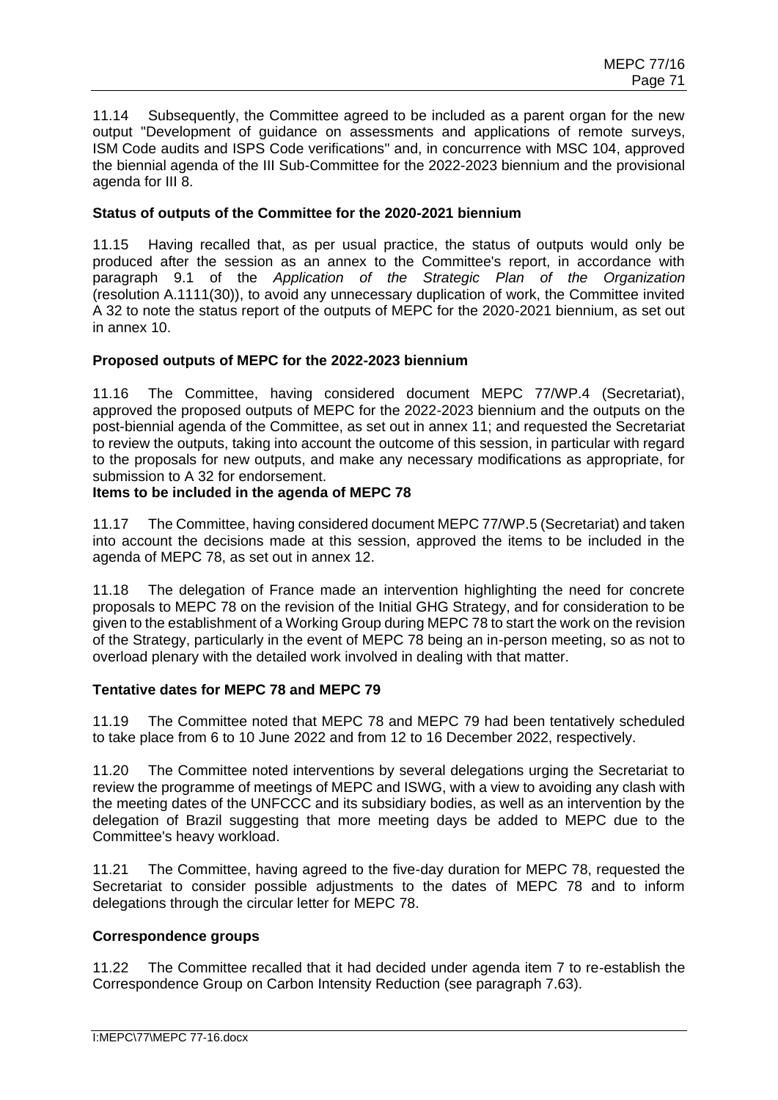11.14 Subsequently, the Committee agreed to be included as a parent organ for the new output "Development of guidance on assessments and applications of remote surveys, ISM Code audits and ISPS Code verifications" and, in concurrence with MSC 104, approved the biennial agenda of the III Sub-Committee for the 2022-2023 biennium and the provisional agenda for III 8.

## **Status of outputs of the Committee for the 2020-2021 biennium**

11.15 Having recalled that, as per usual practice, the status of outputs would only be produced after the session as an annex to the Committee's report, in accordance with paragraph 9.1 of the *Application of the Strategic Plan of the Organization*  (resolution A.1111(30)), to avoid any unnecessary duplication of work, the Committee invited A 32 to note the status report of the outputs of MEPC for the 2020-2021 biennium, as set out in annex 10.

# **Proposed outputs of MEPC for the 2022-2023 biennium**

11.16 The Committee, having considered document MEPC 77/WP.4 (Secretariat), approved the proposed outputs of MEPC for the 2022-2023 biennium and the outputs on the post-biennial agenda of the Committee, as set out in annex 11; and requested the Secretariat to review the outputs, taking into account the outcome of this session, in particular with regard to the proposals for new outputs, and make any necessary modifications as appropriate, for submission to A 32 for endorsement.

# **Items to be included in the agenda of MEPC 78**

11.17 The Committee, having considered document MEPC 77/WP.5 (Secretariat) and taken into account the decisions made at this session, approved the items to be included in the agenda of MEPC 78, as set out in annex 12.

11.18 The delegation of France made an intervention highlighting the need for concrete proposals to MEPC 78 on the revision of the Initial GHG Strategy, and for consideration to be given to the establishment of a Working Group during MEPC 78 to start the work on the revision of the Strategy, particularly in the event of MEPC 78 being an in-person meeting, so as not to overload plenary with the detailed work involved in dealing with that matter.

## **Tentative dates for MEPC 78 and MEPC 79**

11.19 The Committee noted that MEPC 78 and MEPC 79 had been tentatively scheduled to take place from 6 to 10 June 2022 and from 12 to 16 December 2022, respectively.

11.20 The Committee noted interventions by several delegations urging the Secretariat to review the programme of meetings of MEPC and ISWG, with a view to avoiding any clash with the meeting dates of the UNFCCC and its subsidiary bodies, as well as an intervention by the delegation of Brazil suggesting that more meeting days be added to MEPC due to the Committee's heavy workload.

11.21 The Committee, having agreed to the five-day duration for MEPC 78, requested the Secretariat to consider possible adjustments to the dates of MEPC 78 and to inform delegations through the circular letter for MEPC 78.

## **Correspondence groups**

11.22 The Committee recalled that it had decided under agenda item 7 to re-establish the Correspondence Group on Carbon Intensity Reduction (see paragraph 7.63).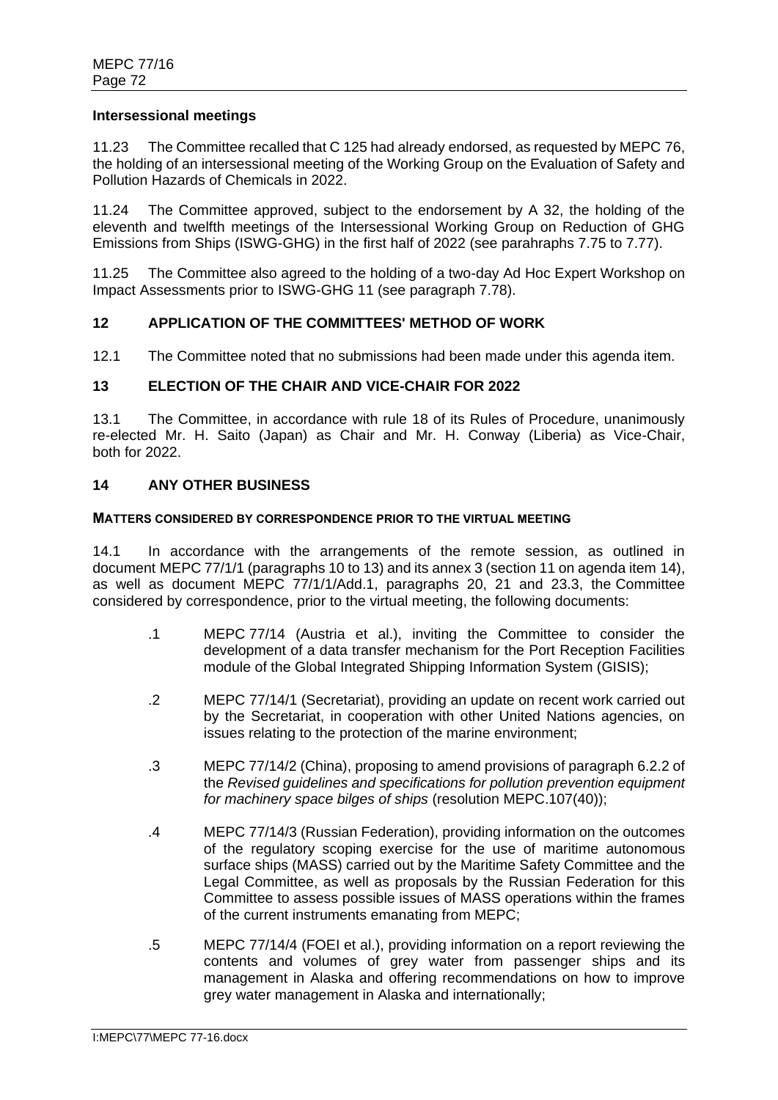### **Intersessional meetings**

11.23 The Committee recalled that C 125 had already endorsed, as requested by MEPC 76, the holding of an intersessional meeting of the Working Group on the Evaluation of Safety and Pollution Hazards of Chemicals in 2022.

11.24 The Committee approved, subject to the endorsement by A 32, the holding of the eleventh and twelfth meetings of the Intersessional Working Group on Reduction of GHG Emissions from Ships (ISWG-GHG) in the first half of 2022 (see parahraphs 7.75 to 7.77).

11.25 The Committee also agreed to the holding of a two-day Ad Hoc Expert Workshop on Impact Assessments prior to ISWG-GHG 11 (see paragraph 7.78).

### **12 APPLICATION OF THE COMMITTEES' METHOD OF WORK**

12.1 The Committee noted that no submissions had been made under this agenda item.

## **13 ELECTION OF THE CHAIR AND VICE-CHAIR FOR 2022**

13.1 The Committee, in accordance with rule 18 of its Rules of Procedure, unanimously re-elected Mr. H. Saito (Japan) as Chair and Mr. H. Conway (Liberia) as Vice-Chair, both for 2022.

## **14 ANY OTHER BUSINESS**

#### **MATTERS CONSIDERED BY CORRESPONDENCE PRIOR TO THE VIRTUAL MEETING**

14.1 In accordance with the arrangements of the remote session, as outlined in document MEPC 77/1/1 (paragraphs 10 to 13) and its annex 3 (section 11 on agenda item 14), as well as document MEPC 77/1/1/Add.1, paragraphs 20, 21 and 23.3, the Committee considered by correspondence, prior to the virtual meeting, the following documents:

- .1 MEPC 77/14 (Austria et al.), inviting the Committee to consider the development of a data transfer mechanism for the Port Reception Facilities module of the Global Integrated Shipping Information System (GISIS);
- .2 MEPC 77/14/1 (Secretariat), providing an update on recent work carried out by the Secretariat, in cooperation with other United Nations agencies, on issues relating to the protection of the marine environment;
- .3 MEPC 77/14/2 (China), proposing to amend provisions of paragraph 6.2.2 of the *Revised guidelines and specifications for pollution prevention equipment for machinery space bilges of ships* (resolution MEPC.107(40));
- .4 MEPC 77/14/3 (Russian Federation), providing information on the outcomes of the regulatory scoping exercise for the use of maritime autonomous surface ships (MASS) carried out by the Maritime Safety Committee and the Legal Committee, as well as proposals by the Russian Federation for this Committee to assess possible issues of MASS operations within the frames of the current instruments emanating from MEPC;
- .5 MEPC 77/14/4 (FOEI et al.), providing information on a report reviewing the contents and volumes of grey water from passenger ships and its management in Alaska and offering recommendations on how to improve grey water management in Alaska and internationally;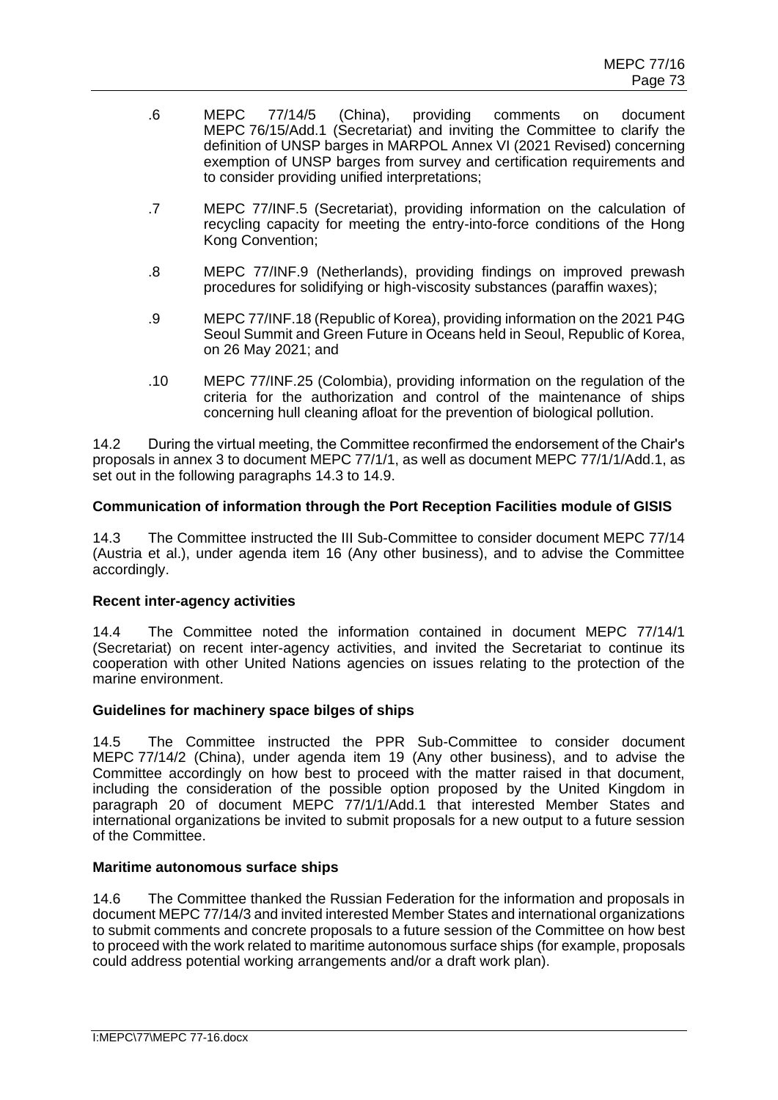- .6 MEPC 77/14/5 (China), providing comments on document MEPC 76/15/Add.1 (Secretariat) and inviting the Committee to clarify the definition of UNSP barges in MARPOL Annex VI (2021 Revised) concerning exemption of UNSP barges from survey and certification requirements and to consider providing unified interpretations;
- .7 MEPC 77/INF.5 (Secretariat), providing information on the calculation of recycling capacity for meeting the entry-into-force conditions of the Hong Kong Convention;
- .8 MEPC 77/INF.9 (Netherlands), providing findings on improved prewash procedures for solidifying or high-viscosity substances (paraffin waxes);
- .9 MEPC 77/INF.18 (Republic of Korea), providing information on the 2021 P4G Seoul Summit and Green Future in Oceans held in Seoul, Republic of Korea, on 26 May 2021; and
- .10 MEPC 77/INF.25 (Colombia), providing information on the regulation of the criteria for the authorization and control of the maintenance of ships concerning hull cleaning afloat for the prevention of biological pollution.

14.2 During the virtual meeting, the Committee reconfirmed the endorsement of the Chairʹs proposals in annex 3 to document MEPC 77/1/1, as well as document MEPC 77/1/1/Add.1, as set out in the following paragraphs 14.3 to 14.9.

## **Communication of information through the Port Reception Facilities module of GISIS**

14.3 The Committee instructed the III Sub-Committee to consider document MEPC 77/14 (Austria et al.), under agenda item 16 (Any other business), and to advise the Committee accordingly.

## **Recent inter-agency activities**

14.4 The Committee noted the information contained in document MEPC 77/14/1 (Secretariat) on recent inter-agency activities, and invited the Secretariat to continue its cooperation with other United Nations agencies on issues relating to the protection of the marine environment.

## **Guidelines for machinery space bilges of ships**

14.5 The Committee instructed the PPR Sub-Committee to consider document MEPC 77/14/2 (China), under agenda item 19 (Any other business), and to advise the Committee accordingly on how best to proceed with the matter raised in that document, including the consideration of the possible option proposed by the United Kingdom in paragraph 20 of document MEPC 77/1/1/Add.1 that interested Member States and international organizations be invited to submit proposals for a new output to a future session of the Committee.

## **Maritime autonomous surface ships**

14.6 The Committee thanked the Russian Federation for the information and proposals in document MEPC 77/14/3 and invited interested Member States and international organizations to submit comments and concrete proposals to a future session of the Committee on how best to proceed with the work related to maritime autonomous surface ships (for example, proposals could address potential working arrangements and/or a draft work plan).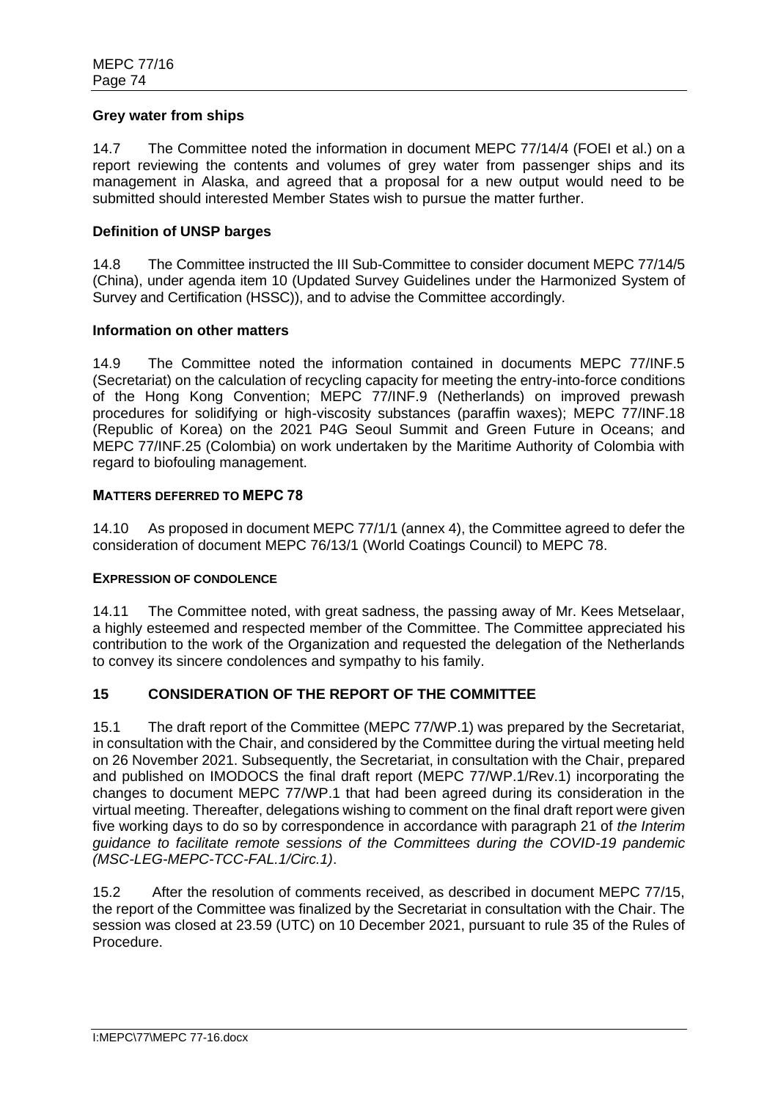### **Grey water from ships**

14.7 The Committee noted the information in document MEPC 77/14/4 (FOEI et al.) on a report reviewing the contents and volumes of grey water from passenger ships and its management in Alaska, and agreed that a proposal for a new output would need to be submitted should interested Member States wish to pursue the matter further.

## **Definition of UNSP barges**

14.8 The Committee instructed the III Sub-Committee to consider document MEPC 77/14/5 (China), under agenda item 10 (Updated Survey Guidelines under the Harmonized System of Survey and Certification (HSSC)), and to advise the Committee accordingly.

### **Information on other matters**

14.9 The Committee noted the information contained in documents MEPC 77/INF.5 (Secretariat) on the calculation of recycling capacity for meeting the entry-into-force conditions of the Hong Kong Convention; MEPC 77/INF.9 (Netherlands) on improved prewash procedures for solidifying or high-viscosity substances (paraffin waxes); MEPC 77/INF.18 (Republic of Korea) on the 2021 P4G Seoul Summit and Green Future in Oceans; and MEPC 77/INF.25 (Colombia) on work undertaken by the Maritime Authority of Colombia with regard to biofouling management.

### **MATTERS DEFERRED TO MEPC 78**

14.10 As proposed in document MEPC 77/1/1 (annex 4), the Committee agreed to defer the consideration of document MEPC 76/13/1 (World Coatings Council) to MEPC 78.

#### **EXPRESSION OF CONDOLENCE**

14.11 The Committee noted, with great sadness, the passing away of Mr. Kees Metselaar, a highly esteemed and respected member of the Committee. The Committee appreciated his contribution to the work of the Organization and requested the delegation of the Netherlands to convey its sincere condolences and sympathy to his family.

## **15 CONSIDERATION OF THE REPORT OF THE COMMITTEE**

15.1 The draft report of the Committee (MEPC 77/WP.1) was prepared by the Secretariat, in consultation with the Chair, and considered by the Committee during the virtual meeting held on 26 November 2021. Subsequently, the Secretariat, in consultation with the Chair, prepared and published on IMODOCS the final draft report (MEPC 77/WP.1/Rev.1) incorporating the changes to document MEPC 77/WP.1 that had been agreed during its consideration in the virtual meeting. Thereafter, delegations wishing to comment on the final draft report were given five working days to do so by correspondence in accordance with paragraph 21 of *the Interim guidance to facilitate remote sessions of the Committees during the COVID-19 pandemic (MSC-LEG-MEPC-TCC-FAL.1/Circ.1)*.

15.2 After the resolution of comments received, as described in document MEPC 77/15, the report of the Committee was finalized by the Secretariat in consultation with the Chair. The session was closed at 23.59 (UTC) on 10 December 2021, pursuant to rule 35 of the Rules of Procedure.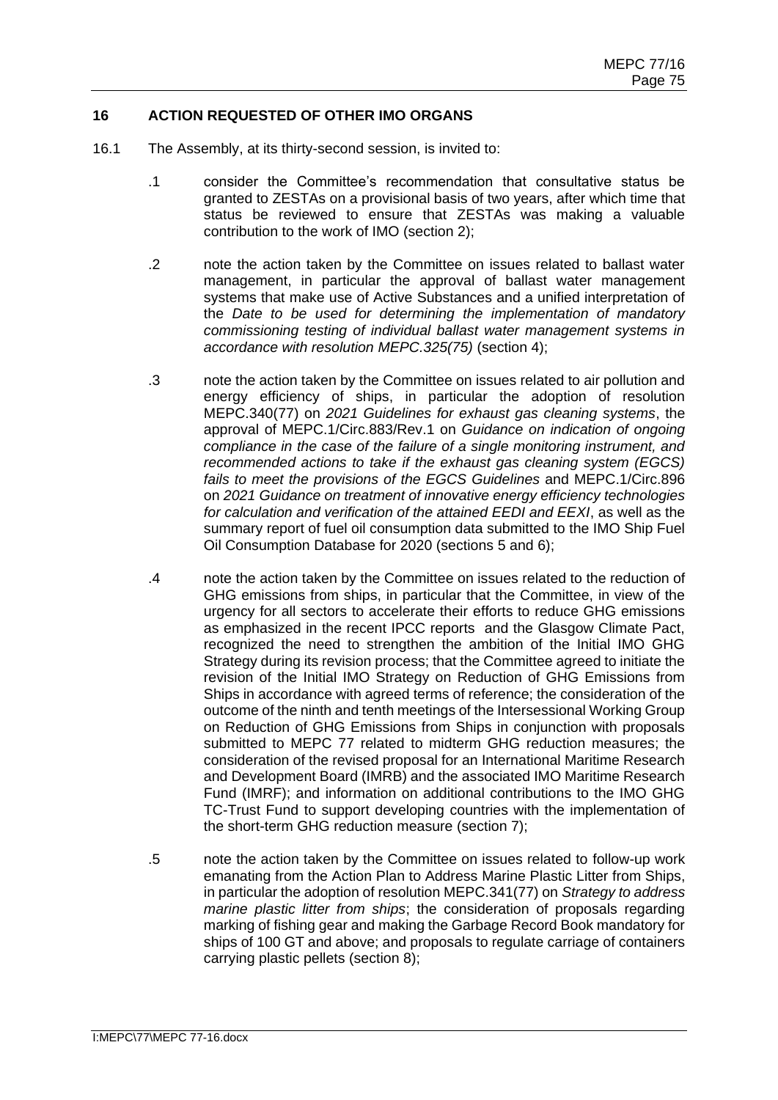# **16 ACTION REQUESTED OF OTHER IMO ORGANS**

- 16.1 The Assembly, at its thirty-second session, is invited to:
	- .1 consider the Committee's recommendation that consultative status be granted to ZESTAs on a provisional basis of two years, after which time that status be reviewed to ensure that ZESTAs was making a valuable contribution to the work of IMO (section 2);
	- .2 note the action taken by the Committee on issues related to ballast water management, in particular the approval of ballast water management systems that make use of Active Substances and a unified interpretation of the *Date to be used for determining the implementation of mandatory commissioning testing of individual ballast water management systems in accordance with resolution MEPC.325(75)* (section 4);
	- .3 note the action taken by the Committee on issues related to air pollution and energy efficiency of ships, in particular the adoption of resolution MEPC.340(77) on *2021 Guidelines for exhaust gas cleaning systems*, the approval of MEPC.1/Circ.883/Rev.1 on *Guidance on indication of ongoing compliance in the case of the failure of a single monitoring instrument, and recommended actions to take if the exhaust gas cleaning system (EGCS) fails to meet the provisions of the EGCS Guidelines* and MEPC.1/Circ.896 on *2021 Guidance on treatment of innovative energy efficiency technologies for calculation and verification of the attained EEDI and EEXI*, as well as the summary report of fuel oil consumption data submitted to the IMO Ship Fuel Oil Consumption Database for 2020 (sections 5 and 6);
	- .4 note the action taken by the Committee on issues related to the reduction of GHG emissions from ships, in particular that the Committee, in view of the urgency for all sectors to accelerate their efforts to reduce GHG emissions as emphasized in the recent IPCC reports and the Glasgow Climate Pact, recognized the need to strengthen the ambition of the Initial IMO GHG Strategy during its revision process; that the Committee agreed to initiate the revision of the Initial IMO Strategy on Reduction of GHG Emissions from Ships in accordance with agreed terms of reference; the consideration of the outcome of the ninth and tenth meetings of the Intersessional Working Group on Reduction of GHG Emissions from Ships in conjunction with proposals submitted to MEPC 77 related to midterm GHG reduction measures; the consideration of the revised proposal for an International Maritime Research and Development Board (IMRB) and the associated IMO Maritime Research Fund (IMRF); and information on additional contributions to the IMO GHG TC-Trust Fund to support developing countries with the implementation of the short-term GHG reduction measure (section 7);
	- .5 note the action taken by the Committee on issues related to follow-up work emanating from the Action Plan to Address Marine Plastic Litter from Ships, in particular the adoption of resolution MEPC.341(77) on *Strategy to address marine plastic litter from ships*; the consideration of proposals regarding marking of fishing gear and making the Garbage Record Book mandatory for ships of 100 GT and above; and proposals to regulate carriage of containers carrying plastic pellets (section 8);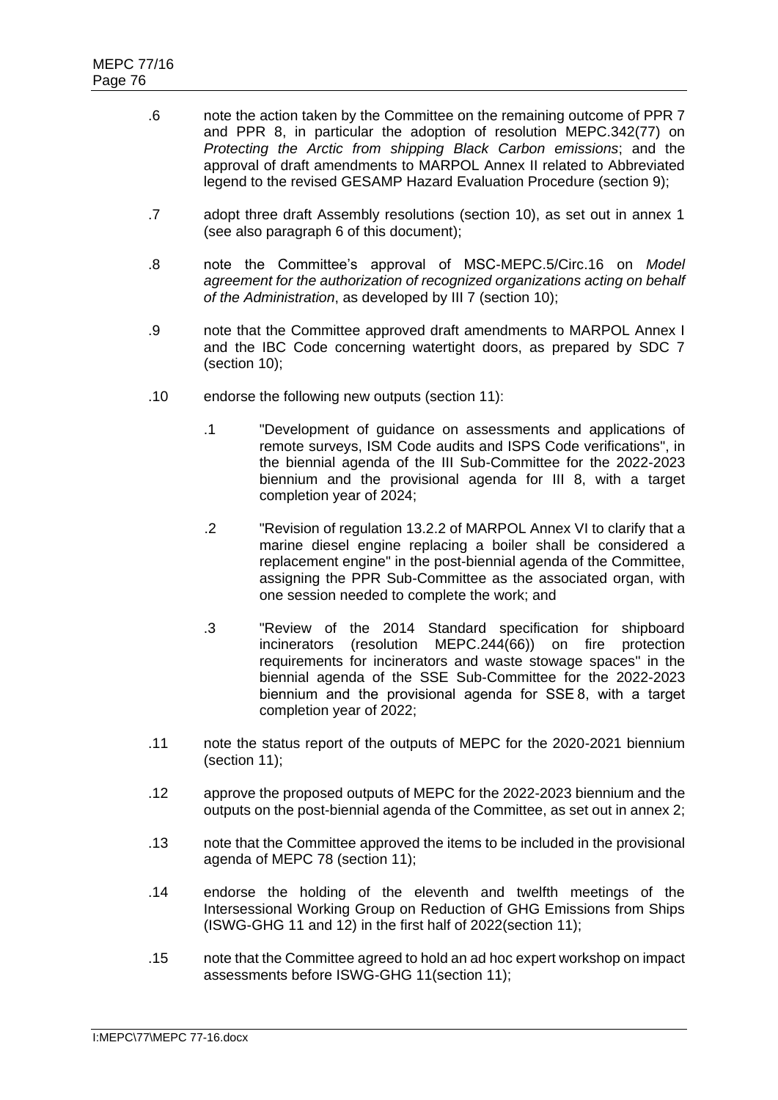- .6 note the action taken by the Committee on the remaining outcome of PPR 7 and PPR 8, in particular the adoption of resolution MEPC.342(77) on *Protecting the Arctic from shipping Black Carbon emissions*; and the approval of draft amendments to MARPOL Annex II related to Abbreviated legend to the revised GESAMP Hazard Evaluation Procedure (section 9);
- .7 adopt three draft Assembly resolutions (section 10), as set out in annex 1 (see also paragraph 6 of this document);
- .8 note the Committee's approval of MSC-MEPC.5/Circ.16 on *Model agreement for the authorization of recognized organizations acting on behalf of the Administration*, as developed by III 7 (section 10);
- .9 note that the Committee approved draft amendments to MARPOL Annex I and the IBC Code concerning watertight doors, as prepared by SDC 7 (section 10);
- .10 endorse the following new outputs (section 11):
	- .1 "Development of guidance on assessments and applications of remote surveys, ISM Code audits and ISPS Code verifications", in the biennial agenda of the III Sub-Committee for the 2022-2023 biennium and the provisional agenda for III 8, with a target completion year of 2024;
	- .2 "Revision of regulation 13.2.2 of MARPOL Annex VI to clarify that a marine diesel engine replacing a boiler shall be considered a replacement engine" in the post-biennial agenda of the Committee, assigning the PPR Sub-Committee as the associated organ, with one session needed to complete the work; and
	- .3 "Review of the 2014 Standard specification for shipboard incinerators (resolution MEPC.244(66)) on fire protection requirements for incinerators and waste stowage spaces" in the biennial agenda of the SSE Sub-Committee for the 2022-2023 biennium and the provisional agenda for SSE 8, with a target completion year of 2022;
- .11 note the status report of the outputs of MEPC for the 2020-2021 biennium (section 11);
- .12 approve the proposed outputs of MEPC for the 2022-2023 biennium and the outputs on the post-biennial agenda of the Committee, as set out in annex 2;
- .13 note that the Committee approved the items to be included in the provisional agenda of MEPC 78 (section 11);
- .14 endorse the holding of the eleventh and twelfth meetings of the Intersessional Working Group on Reduction of GHG Emissions from Ships (ISWG-GHG 11 and 12) in the first half of 2022(section 11);
- .15 note that the Committee agreed to hold an ad hoc expert workshop on impact assessments before ISWG-GHG 11(section 11);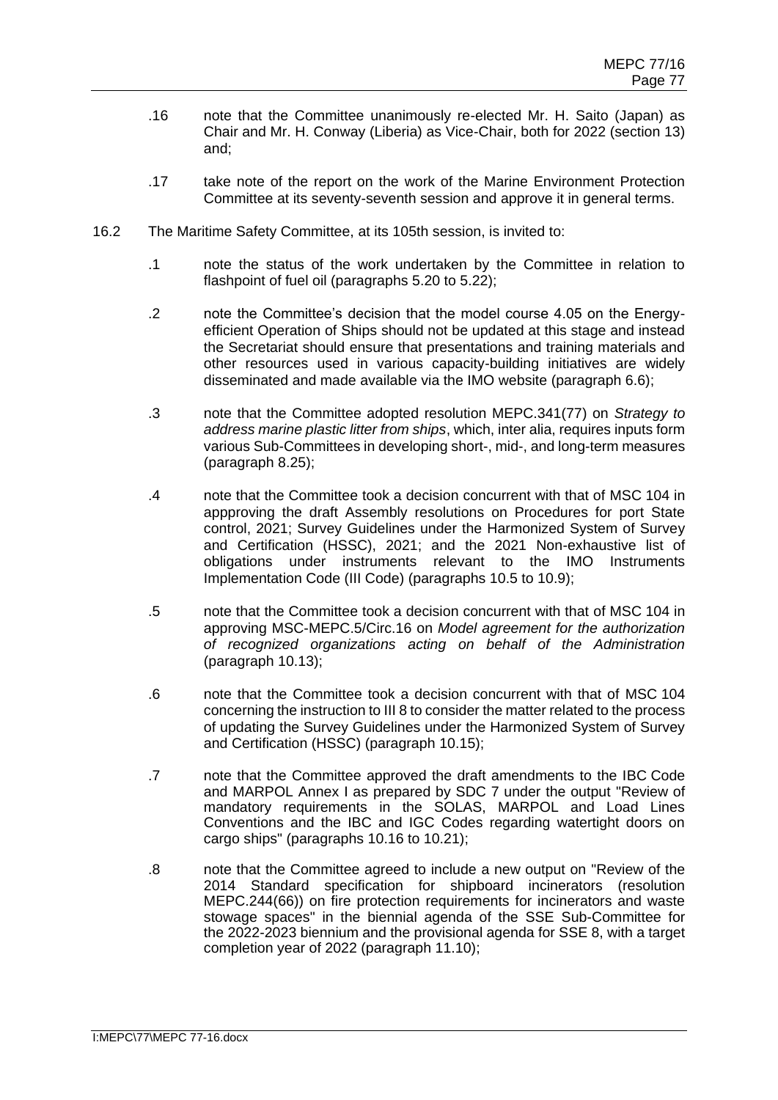- .16 note that the Committee unanimously re-elected Mr. H. Saito (Japan) as Chair and Mr. H. Conway (Liberia) as Vice-Chair, both for 2022 (section 13) and;
- .17 take note of the report on the work of the Marine Environment Protection Committee at its seventy-seventh session and approve it in general terms.
- 16.2 The Maritime Safety Committee, at its 105th session, is invited to:
	- .1 note the status of the work undertaken by the Committee in relation to flashpoint of fuel oil (paragraphs 5.20 to 5.22);
	- .2 note the Committee's decision that the model course 4.05 on the Energyefficient Operation of Ships should not be updated at this stage and instead the Secretariat should ensure that presentations and training materials and other resources used in various capacity-building initiatives are widely disseminated and made available via the IMO website (paragraph 6.6);
	- .3 note that the Committee adopted resolution MEPC.341(77) on *Strategy to address marine plastic litter from ships*, which, inter alia, requires inputs form various Sub-Committees in developing short-, mid-, and long-term measures (paragraph 8.25);
	- .4 note that the Committee took a decision concurrent with that of MSC 104 in appproving the draft Assembly resolutions on Procedures for port State control, 2021; Survey Guidelines under the Harmonized System of Survey and Certification (HSSC), 2021; and the 2021 Non-exhaustive list of obligations under instruments relevant to the IMO Instruments Implementation Code (III Code) (paragraphs 10.5 to 10.9);
	- .5 note that the Committee took a decision concurrent with that of MSC 104 in approving MSC-MEPC.5/Circ.16 on *Model agreement for the authorization of recognized organizations acting on behalf of the Administration* (paragraph 10.13);
	- .6 note that the Committee took a decision concurrent with that of MSC 104 concerning the instruction to III 8 to consider the matter related to the process of updating the Survey Guidelines under the Harmonized System of Survey and Certification (HSSC) (paragraph 10.15);
	- .7 note that the Committee approved the draft amendments to the IBC Code and MARPOL Annex I as prepared by SDC 7 under the output "Review of mandatory requirements in the SOLAS, MARPOL and Load Lines Conventions and the IBC and IGC Codes regarding watertight doors on cargo ships" (paragraphs 10.16 to 10.21);
	- .8 note that the Committee agreed to include a new output on "Review of the 2014 Standard specification for shipboard incinerators (resolution MEPC.244(66)) on fire protection requirements for incinerators and waste stowage spaces" in the biennial agenda of the SSE Sub-Committee for the 2022-2023 biennium and the provisional agenda for SSE 8, with a target completion year of 2022 (paragraph 11.10);